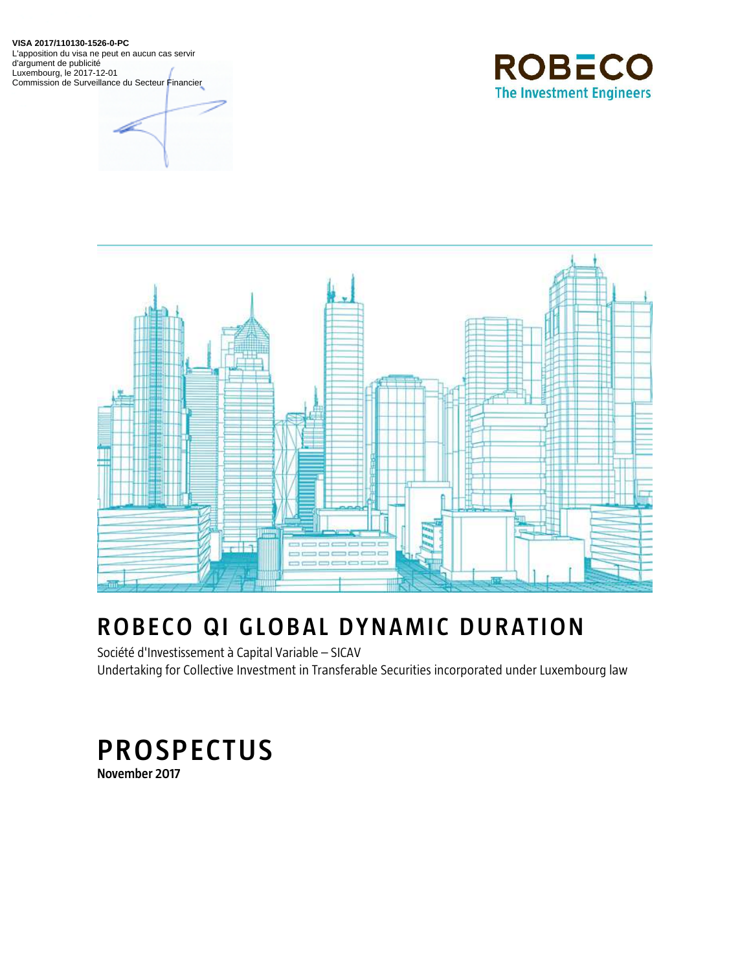**VISA 2017/110130-1526-0-PC**

L'apposition du visa ne peut en aucun cas servir d'argument de publicité Luxembourg, le 2017-12-01 Commission de Surveillance du Secteur Financier





# **ROBECO QI GLOBAL DYNAMIC DURATION**

Société d'Investissement à Capital Variable – SICAV Undertaking for Collective Investment in Transferable Securities incorporated under Luxembourg law

# **PROSPECTUS November 2017**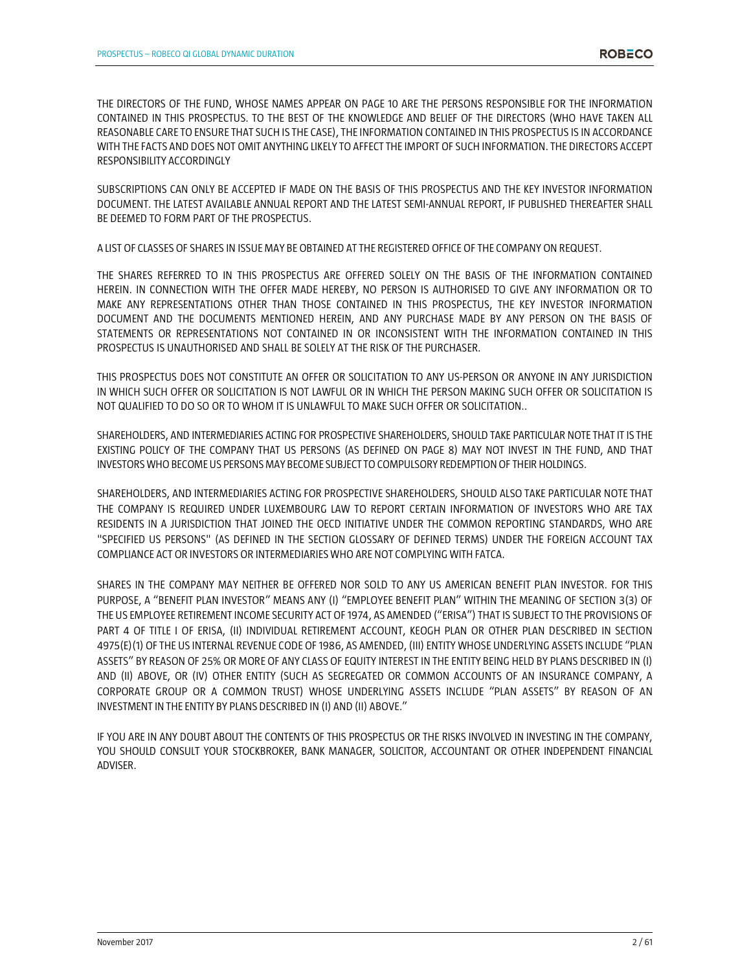THE DIRECTORS OF THE FUND, WHOSE NAMES APPEAR ON PAGE 10 ARE THE PERSONS RESPONSIBLE FOR THE INFORMATION CONTAINED IN THIS PROSPECTUS. TO THE BEST OF THE KNOWLEDGE AND BELIEF OF THE DIRECTORS (WHO HAVE TAKEN ALL REASONABLE CARE TO ENSURE THAT SUCH IS THE CASE), THE INFORMATION CONTAINED IN THIS PROSPECTUS IS IN ACCORDANCE WITH THE FACTS AND DOES NOT OMIT ANYTHING LIKELY TO AFFECT THE IMPORT OF SUCH INFORMATION. THE DIRECTORS ACCEPT RESPONSIBILITY ACCORDINGLY

SUBSCRIPTIONS CAN ONLY BE ACCEPTED IF MADE ON THE BASIS OF THIS PROSPECTUS AND THE KEY INVESTOR INFORMATION DOCUMENT. THE LATEST AVAILABLE ANNUAL REPORT AND THE LATEST SEMI-ANNUAL REPORT, IF PUBLISHED THEREAFTER SHALL BE DEEMED TO FORM PART OF THE PROSPECTUS.

A LIST OF CLASSES OF SHARES IN ISSUE MAY BE OBTAINED AT THE REGISTERED OFFICE OF THE COMPANY ON REQUEST.

THE SHARES REFERRED TO IN THIS PROSPECTUS ARE OFFERED SOLELY ON THE BASIS OF THE INFORMATION CONTAINED HEREIN. IN CONNECTION WITH THE OFFER MADE HEREBY, NO PERSON IS AUTHORISED TO GIVE ANY INFORMATION OR TO MAKE ANY REPRESENTATIONS OTHER THAN THOSE CONTAINED IN THIS PROSPECTUS, THE KEY INVESTOR INFORMATION DOCUMENT AND THE DOCUMENTS MENTIONED HEREIN, AND ANY PURCHASE MADE BY ANY PERSON ON THE BASIS OF STATEMENTS OR REPRESENTATIONS NOT CONTAINED IN OR INCONSISTENT WITH THE INFORMATION CONTAINED IN THIS PROSPECTUS IS UNAUTHORISED AND SHALL BE SOLELY AT THE RISK OF THE PURCHASER.

THIS PROSPECTUS DOES NOT CONSTITUTE AN OFFER OR SOLICITATION TO ANY US-PERSON OR ANYONE IN ANY JURISDICTION IN WHICH SUCH OFFER OR SOLICITATION IS NOT LAWFUL OR IN WHICH THE PERSON MAKING SUCH OFFER OR SOLICITATION IS NOT QUALIFIED TO DO SO OR TO WHOM IT IS UNLAWFUL TO MAKE SUCH OFFER OR SOLICITATION..

SHAREHOLDERS, AND INTERMEDIARIES ACTING FOR PROSPECTIVE SHAREHOLDERS, SHOULD TAKE PARTICULAR NOTE THAT IT IS THE EXISTING POLICY OF THE COMPANY THAT US PERSONS (AS DEFINED ON PAGE 8) MAY NOT INVEST IN THE FUND, AND THAT INVESTORS WHO BECOME US PERSONS MAY BECOME SUBJECT TO COMPULSORY REDEMPTION OF THEIR HOLDINGS.

SHAREHOLDERS, AND INTERMEDIARIES ACTING FOR PROSPECTIVE SHAREHOLDERS, SHOULD ALSO TAKE PARTICULAR NOTE THAT THE COMPANY IS REQUIRED UNDER LUXEMBOURG LAW TO REPORT CERTAIN INFORMATION OF INVESTORS WHO ARE TAX RESIDENTS IN A JURISDICTION THAT JOINED THE OECD INITIATIVE UNDER THE COMMON REPORTING STANDARDS, WHO ARE "SPECIFIED US PERSONS" (AS DEFINED IN THE SECTION GLOSSARY OF DEFINED TERMS) UNDER THE FOREIGN ACCOUNT TAX COMPLIANCE ACT OR INVESTORS OR INTERMEDIARIES WHO ARE NOT COMPLYING WITH FATCA.

SHARES IN THE COMPANY MAY NEITHER BE OFFERED NOR SOLD TO ANY US AMERICAN BENEFIT PLAN INVESTOR. FOR THIS PURPOSE, A "BENEFIT PLAN INVESTOR" MEANS ANY (I) "EMPLOYEE BENEFIT PLAN" WITHIN THE MEANING OF SECTION 3(3) OF THE US EMPLOYEE RETIREMENT INCOME SECURITY ACT OF 1974, AS AMENDED ("ERISA") THAT IS SUBJECT TO THE PROVISIONS OF PART 4 OF TITLE I OF ERISA, (II) INDIVIDUAL RETIREMENT ACCOUNT, KEOGH PLAN OR OTHER PLAN DESCRIBED IN SECTION 4975(E)(1) OF THE US INTERNAL REVENUE CODE OF 1986, AS AMENDED,(III) ENTITY WHOSE UNDERLYING ASSETS INCLUDE "PLAN ASSETS" BY REASON OF 25% OR MORE OF ANY CLASS OF EQUITY INTEREST IN THE ENTITY BEING HELD BY PLANS DESCRIBED IN (I) AND (II) ABOVE, OR (IV) OTHER ENTITY (SUCH AS SEGREGATED OR COMMON ACCOUNTS OF AN INSURANCE COMPANY, A CORPORATE GROUP OR A COMMON TRUST) WHOSE UNDERLYING ASSETS INCLUDE "PLAN ASSETS" BY REASON OF AN INVESTMENT IN THE ENTITY BY PLANS DESCRIBED IN (I) AND (II) ABOVE."

IF YOU ARE IN ANY DOUBT ABOUT THE CONTENTS OF THIS PROSPECTUS OR THE RISKS INVOLVED IN INVESTING IN THE COMPANY, YOU SHOULD CONSULT YOUR STOCKBROKER, BANK MANAGER, SOLICITOR, ACCOUNTANT OR OTHER INDEPENDENT FINANCIAL ADVISER.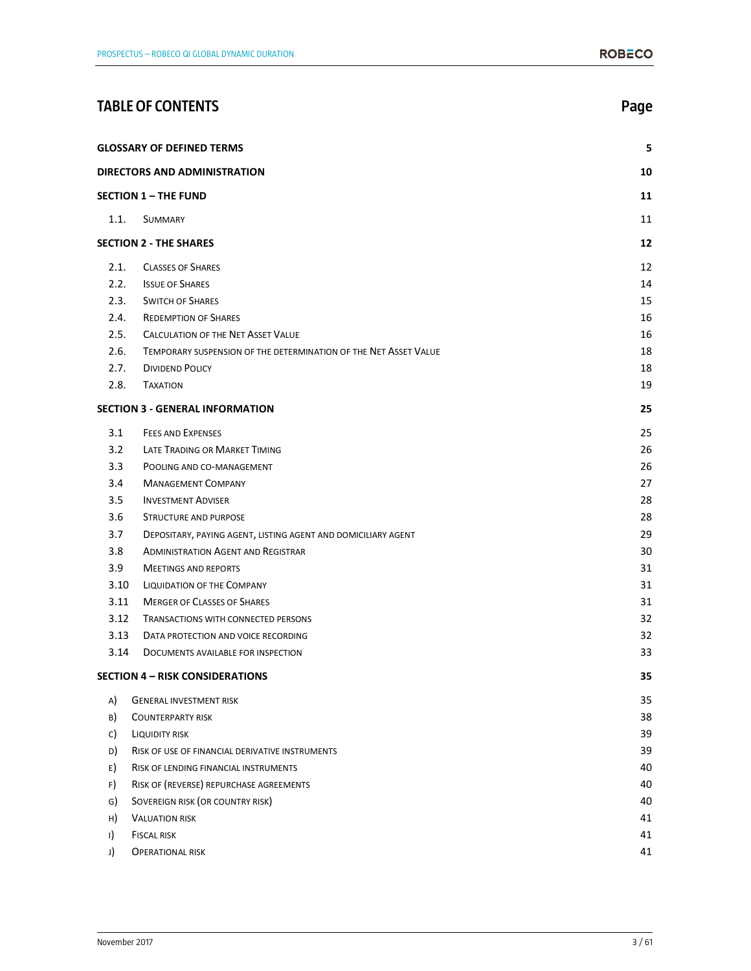|         | <b>TABLE OF CONTENTS</b>                                         | Page |
|---------|------------------------------------------------------------------|------|
|         | <b>GLOSSARY OF DEFINED TERMS</b>                                 | 5    |
|         | <b>DIRECTORS AND ADMINISTRATION</b>                              | 10   |
|         | <b>SECTION 1 - THE FUND</b>                                      | 11   |
| 1.1.    | <b>SUMMARY</b>                                                   | 11   |
|         | <b>SECTION 2 - THE SHARES</b>                                    | 12   |
| 2.1.    | <b>CLASSES OF SHARES</b>                                         | 12   |
| 2.2.    | <b>ISSUE OF SHARES</b>                                           | 14   |
| 2.3.    | <b>SWITCH OF SHARES</b>                                          | 15   |
| 2.4.    | <b>REDEMPTION OF SHARES</b>                                      | 16   |
| 2.5.    | <b>CALCULATION OF THE NET ASSET VALUE</b>                        | 16   |
| 2.6.    | TEMPORARY SUSPENSION OF THE DETERMINATION OF THE NET ASSET VALUE | 18   |
| 2.7.    | <b>DIVIDEND POLICY</b>                                           | 18   |
| 2.8.    | <b>TAXATION</b>                                                  | 19   |
|         | <b>SECTION 3 - GENERAL INFORMATION</b>                           | 25   |
| 3.1     | <b>FEES AND EXPENSES</b>                                         | 25   |
| 3.2     | LATE TRADING OR MARKET TIMING                                    | 26   |
| 3.3     | POOLING AND CO-MANAGEMENT                                        | 26   |
| 3.4     | <b>MANAGEMENT COMPANY</b>                                        | 27   |
| 3.5     | <b>INVESTMENT ADVISER</b>                                        | 28   |
| 3.6     | STRUCTURE AND PURPOSE                                            | 28   |
| 3.7     | DEPOSITARY, PAYING AGENT, LISTING AGENT AND DOMICILIARY AGENT    | 29   |
| 3.8     | <b>ADMINISTRATION AGENT AND REGISTRAR</b>                        | 30   |
| 3.9     | <b>MEETINGS AND REPORTS</b>                                      | 31   |
| 3.10    | <b>LIQUIDATION OF THE COMPANY</b>                                | 31   |
| 3.11    | <b>MERGER OF CLASSES OF SHARES</b>                               | 31   |
| 3.12    | <b>TRANSACTIONS WITH CONNECTED PERSONS</b>                       | 32   |
| 3.13    | DATA PROTECTION AND VOICE RECORDING                              | 32   |
| 3.14    | DOCUMENTS AVAILABLE FOR INSPECTION                               | 33   |
|         | <b>SECTION 4 - RISK CONSIDERATIONS</b>                           | 35   |
| A)      | <b>GENERAL INVESTMENT RISK</b>                                   | 35   |
| B)      | <b>COUNTERPARTY RISK</b>                                         | 38   |
| C)      | <b>LIQUIDITY RISK</b>                                            | 39   |
| D)      | RISK OF USE OF FINANCIAL DERIVATIVE INSTRUMENTS                  | 39   |
| E)      | RISK OF LENDING FINANCIAL INSTRUMENTS                            | 40   |
| F)      | RISK OF (REVERSE) REPURCHASE AGREEMENTS                          | 40   |
| G)      | SOVEREIGN RISK (OR COUNTRY RISK)                                 | 40   |
| H)      | <b>VALUATION RISK</b>                                            | 41   |
| $\vert$ | <b>FISCAL RISK</b>                                               | 41   |
| J)      | <b>OPERATIONAL RISK</b>                                          | 41   |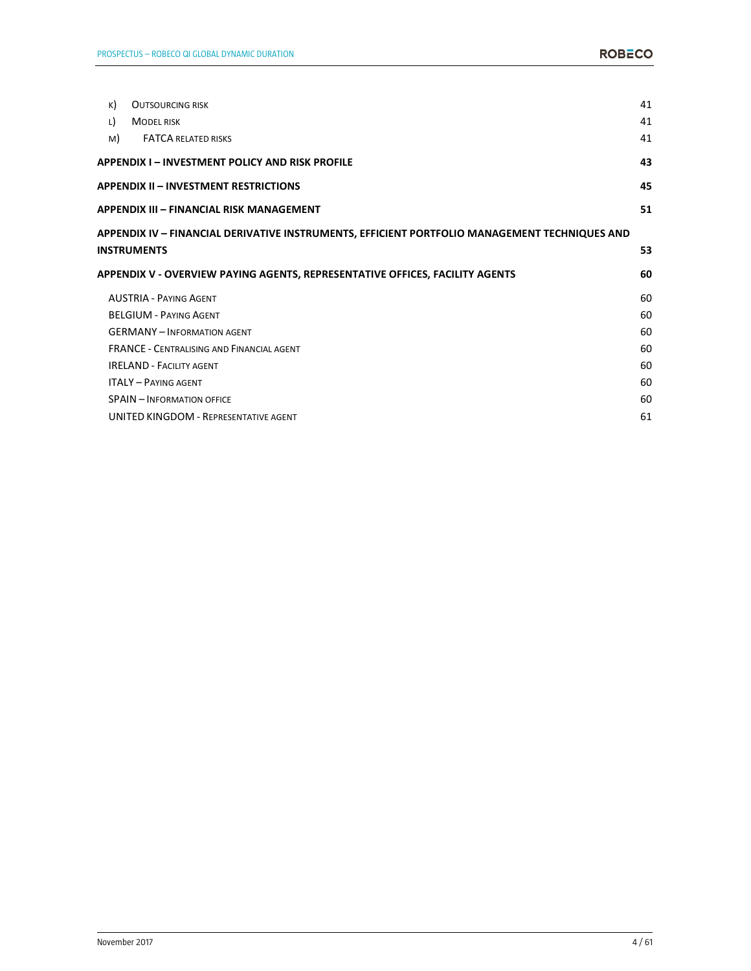| K) | <b>OUTSOURCING RISK</b>                                                                                             | 41 |
|----|---------------------------------------------------------------------------------------------------------------------|----|
| L) | <b>MODEL RISK</b>                                                                                                   | 41 |
| M) | <b>FATCA RELATED RISKS</b>                                                                                          | 41 |
|    | APPENDIX I – INVESTMENT POLICY AND RISK PROFILE                                                                     | 43 |
|    | APPENDIX II – INVESTMENT RESTRICTIONS                                                                               | 45 |
|    | APPENDIX III – FINANCIAL RISK MANAGEMENT                                                                            | 51 |
|    | APPENDIX IV – FINANCIAL DERIVATIVE INSTRUMENTS, EFFICIENT PORTFOLIO MANAGEMENT TECHNIQUES AND<br><b>INSTRUMENTS</b> | 53 |
|    | APPENDIX V - OVERVIEW PAYING AGENTS, REPRESENTATIVE OFFICES, FACILITY AGENTS                                        | 60 |
|    | <b>AUSTRIA - PAYING AGENT</b>                                                                                       | 60 |
|    | <b>BELGIUM - PAYING AGENT</b>                                                                                       | 60 |
|    | <b>GERMANY - INFORMATION AGENT</b>                                                                                  | 60 |
|    | <b>FRANCE - CENTRALISING AND FINANCIAL AGENT</b>                                                                    | 60 |
|    | <b>IRELAND - FACILITY AGENT</b>                                                                                     | 60 |
|    | <b>ITALY - PAYING AGENT</b>                                                                                         | 60 |
|    | <b>SPAIN - INFORMATION OFFICE</b>                                                                                   | 60 |
|    | UNITED KINGDOM - REPRESENTATIVE AGENT                                                                               | 61 |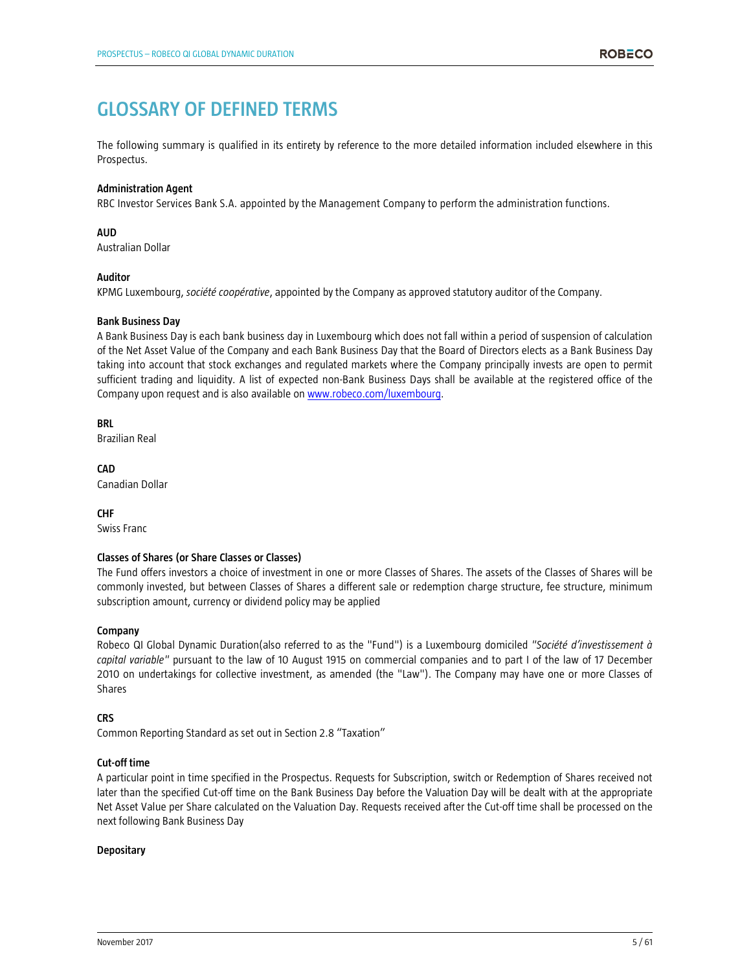# **GLOSSARY OF DEFINED TERMS**

The following summary is qualified in its entirety by reference to the more detailed information included elsewhere in this Prospectus.

# **Administration Agent**

RBC Investor Services Bank S.A. appointed by the Management Company to perform the administration functions.

# **AUD**

Australian Dollar

#### **Auditor**

KPMG Luxembourg, *société coopérative*, appointed by the Company as approved statutory auditor of the Company.

#### **Bank Business Day**

A Bank Business Day is each bank business day in Luxembourg which does not fall within a period of suspension of calculation of the Net Asset Value of the Company and each Bank Business Day that the Board of Directors elects as a Bank Business Day taking into account that stock exchanges and regulated markets where the Company principally invests are open to permit sufficient trading and liquidity. A list of expected non-Bank Business Days shall be available at the registered office of the Company upon request and is also available on www.robeco.com/luxembourg.

**BRL**  Brazilian Real

**CAD**  Canadian Dollar

**CHF**  Swiss Franc

# **Classes of Shares (or Share Classes or Classes)**

The Fund offers investors a choice of investment in one or more Classes of Shares. The assets of the Classes of Shares will be commonly invested, but between Classes of Shares a different sale or redemption charge structure, fee structure, minimum subscription amount, currency or dividend policy may be applied

# **Company**

Robeco QI Global Dynamic Duration(also referred to as the "Fund") is a Luxembourg domiciled *"Société d'investissement à capital variable"* pursuant to the law of 10 August 1915 on commercial companies and to part I of the law of 17 December 2010 on undertakings for collective investment, as amended (the "Law"). The Company may have one or more Classes of Shares

# **CRS**

Common Reporting Standard as set out in Section 2.8 "Taxation"

#### **Cut-off time**

A particular point in time specified in the Prospectus. Requests for Subscription, switch or Redemption of Shares received not later than the specified Cut-off time on the Bank Business Day before the Valuation Day will be dealt with at the appropriate Net Asset Value per Share calculated on the Valuation Day. Requests received after the Cut-off time shall be processed on the next following Bank Business Day

#### **Depositary**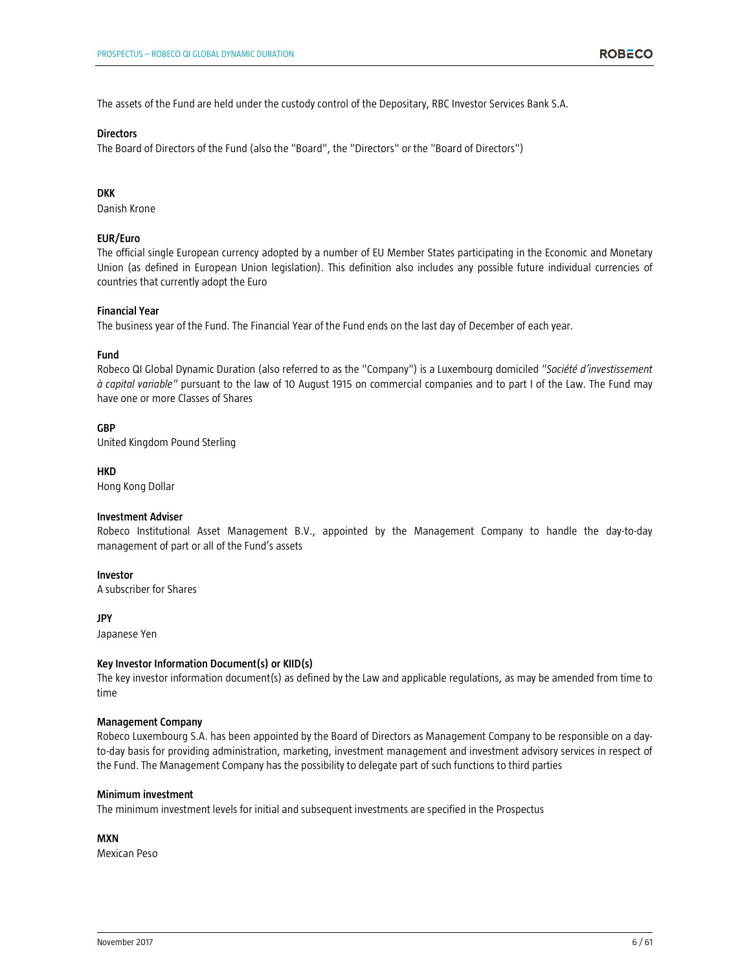The assets of the Fund are held under the custody control of the Depositary, RBC Investor Services Bank S.A.

#### **Directors**

The Board of Directors of the Fund (also the "Board", the "Directors" or the "Board of Directors")

# **DKK**

Danish Krone

### **EUR/Euro**

The official single European currency adopted by a number of EU Member States participating in the Economic and Monetary Union (as defined in European Union legislation). This definition also includes any possible future individual currencies of countries that currently adopt the Euro

#### **Financial Year**

The business year of the Fund. The Financial Year of the Fund ends on the last day of December of each year.

#### **Fund**

Robeco QI Global Dynamic Duration (also referred to as the "Company") is a Luxembourg domiciled *"Société d'investissement à capital variable"* pursuant to the law of 10 August 1915 on commercial companies and to part I of the Law. The Fund may have one or more Classes of Shares

#### **GBP**

United Kingdom Pound Sterling

#### **HKD**

Hong Kong Dollar

#### **Investment Adviser**

Robeco Institutional Asset Management B.V., appointed by the Management Company to handle the day-to-day management of part or all of the Fund's assets

### **Investor**

A subscriber for Shares

#### **JPY**

Japanese Yen

#### **Key Investor Information Document(s) or KIID(s)**

The key investor information document(s) as defined by the Law and applicable regulations, as may be amended from time to time

#### **Management Company**

Robeco Luxembourg S.A. has been appointed by the Board of Directors as Management Company to be responsible on a dayto-day basis for providing administration, marketing, investment management and investment advisory services in respect of the Fund. The Management Company has the possibility to delegate part of such functions to third parties

#### **Minimum investment**

The minimum investment levels for initial and subsequent investments are specified in the Prospectus

# **MXN**

Mexican Peso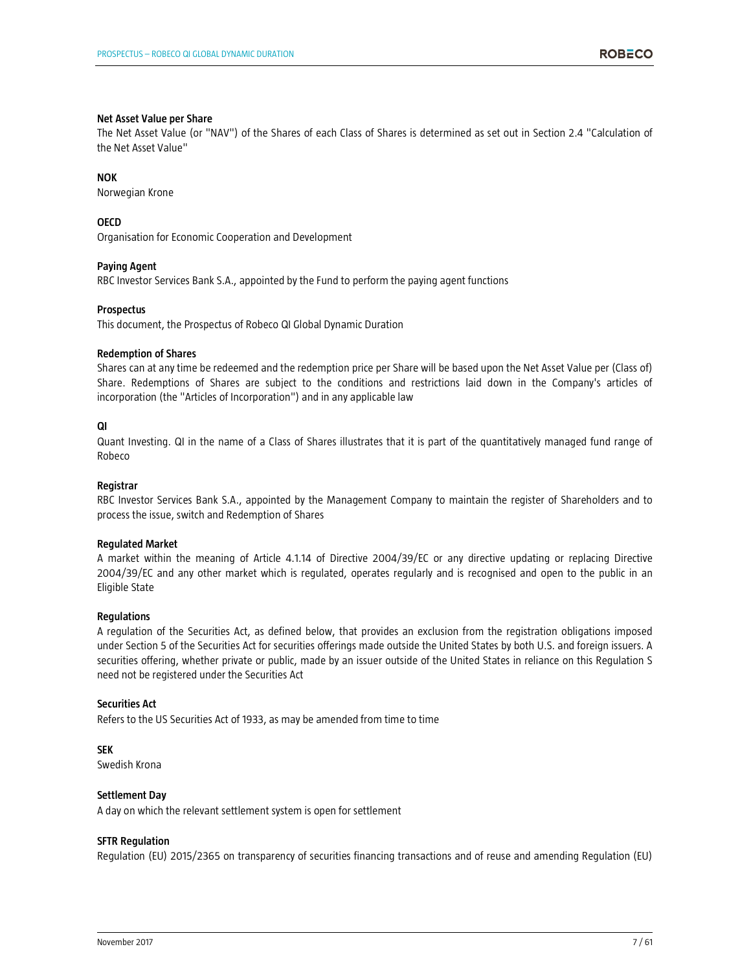#### **Net Asset Value per Share**

The Net Asset Value (or "NAV") of the Shares of each Class of Shares is determined as set out in Section 2.4 "Calculation of the Net Asset Value"

### **NOK**

Norwegian Krone

**OECD** 

Organisation for Economic Cooperation and Development

# **Paying Agent**

RBC Investor Services Bank S.A., appointed by the Fund to perform the paying agent functions

#### **Prospectus**

This document, the Prospectus of Robeco QI Global Dynamic Duration

#### **Redemption of Shares**

Shares can at any time be redeemed and the redemption price per Share will be based upon the Net Asset Value per (Class of) Share. Redemptions of Shares are subject to the conditions and restrictions laid down in the Company's articles of incorporation (the "Articles of Incorporation") and in any applicable law

#### **QI**

Quant Investing. QI in the name of a Class of Shares illustrates that it is part of the quantitatively managed fund range of Robeco

# **Registrar**

RBC Investor Services Bank S.A., appointed by the Management Company to maintain the register of Shareholders and to process the issue, switch and Redemption of Shares

# **Regulated Market**

A market within the meaning of Article 4.1.14 of Directive 2004/39/EC or any directive updating or replacing Directive 2004/39/EC and any other market which is regulated, operates regularly and is recognised and open to the public in an Eligible State

#### **Regulations**

A regulation of the Securities Act, as defined below, that provides an exclusion from the registration obligations imposed under Section 5 of the Securities Act for securities offerings made outside the United States by both U.S. and foreign issuers. A securities offering, whether private or public, made by an issuer outside of the United States in reliance on this Regulation S need not be registered under the Securities Act

#### **Securities Act**

Refers to the US Securities Act of 1933, as may be amended from time to time

# **SEK**

Swedish Krona

# **Settlement Day**

A day on which the relevant settlement system is open for settlement

#### **SFTR Regulation**

Regulation (EU) 2015/2365 on transparency of securities financing transactions and of reuse and amending Regulation (EU)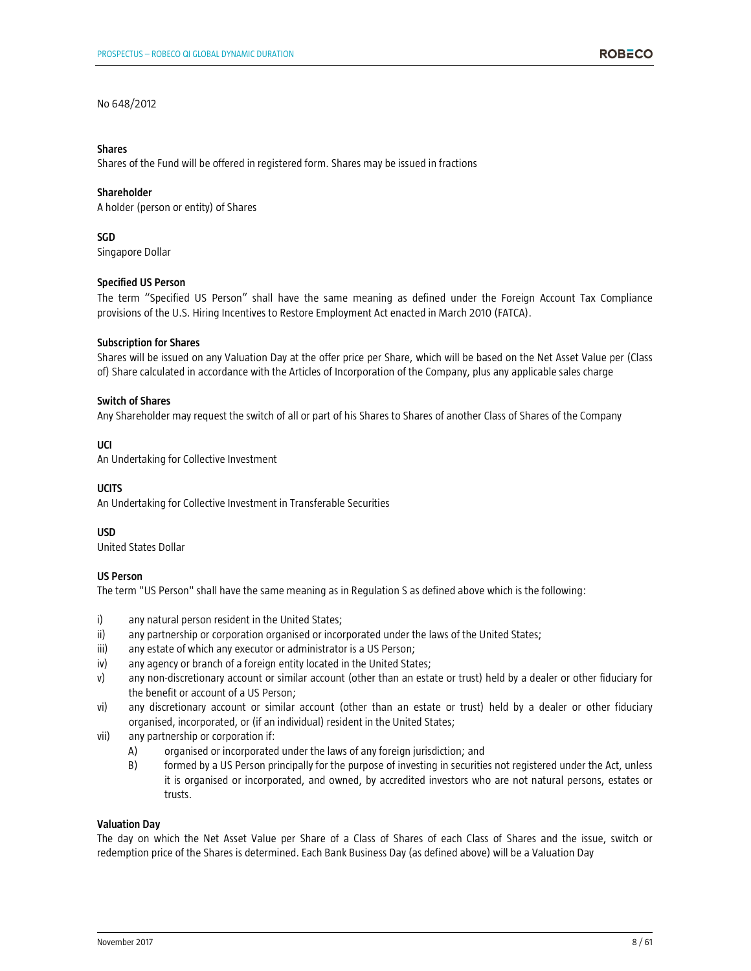# No 648/2012

#### **Shares**

Shares of the Fund will be offered in registered form. Shares may be issued in fractions

### **Shareholder**

A holder (person or entity) of Shares

# **SGD**

Singapore Dollar

# **Specified US Person**

The term "Specified US Person" shall have the same meaning as defined under the Foreign Account Tax Compliance provisions of the U.S. Hiring Incentives to Restore Employment Act enacted in March 2010 (FATCA).

#### **Subscription for Shares**

Shares will be issued on any Valuation Day at the offer price per Share, which will be based on the Net Asset Value per (Class of) Share calculated in accordance with the Articles of Incorporation of the Company, plus any applicable sales charge

#### **Switch of Shares**

Any Shareholder may request the switch of all or part of his Shares to Shares of another Class of Shares of the Company

# **UCI**

An Undertaking for Collective Investment

# **UCITS**

An Undertaking for Collective Investment in Transferable Securities

# **USD**

United States Dollar

# **US Person**

The term "US Person" shall have the same meaning as in Regulation S as defined above which is the following:

- i) any natural person resident in the United States;
- ii) any partnership or corporation organised or incorporated under the laws of the United States;
- iii) any estate of which any executor or administrator is a US Person;
- iv) any agency or branch of a foreign entity located in the United States;
- v) any non-discretionary account or similar account (other than an estate or trust) held by a dealer or other fiduciary for the benefit or account of a US Person;
- vi) any discretionary account or similar account (other than an estate or trust) held by a dealer or other fiduciary organised, incorporated, or (if an individual) resident in the United States;
- vii) any partnership or corporation if:
	- A) organised or incorporated under the laws of any foreign jurisdiction; and
	- B) formed by a US Person principally for the purpose of investing in securities not registered under the Act, unless it is organised or incorporated, and owned, by accredited investors who are not natural persons, estates or trusts.

# **Valuation Day**

The day on which the Net Asset Value per Share of a Class of Shares of each Class of Shares and the issue, switch or redemption price of the Shares is determined. Each Bank Business Day (as defined above) will be a Valuation Day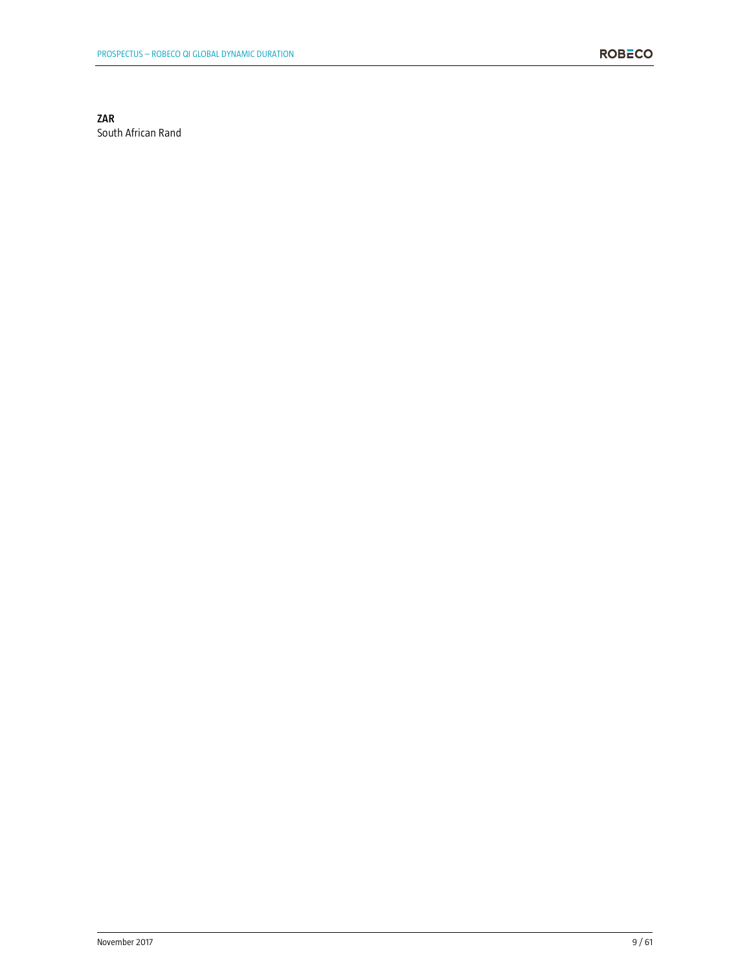# **ZAR**

South African Rand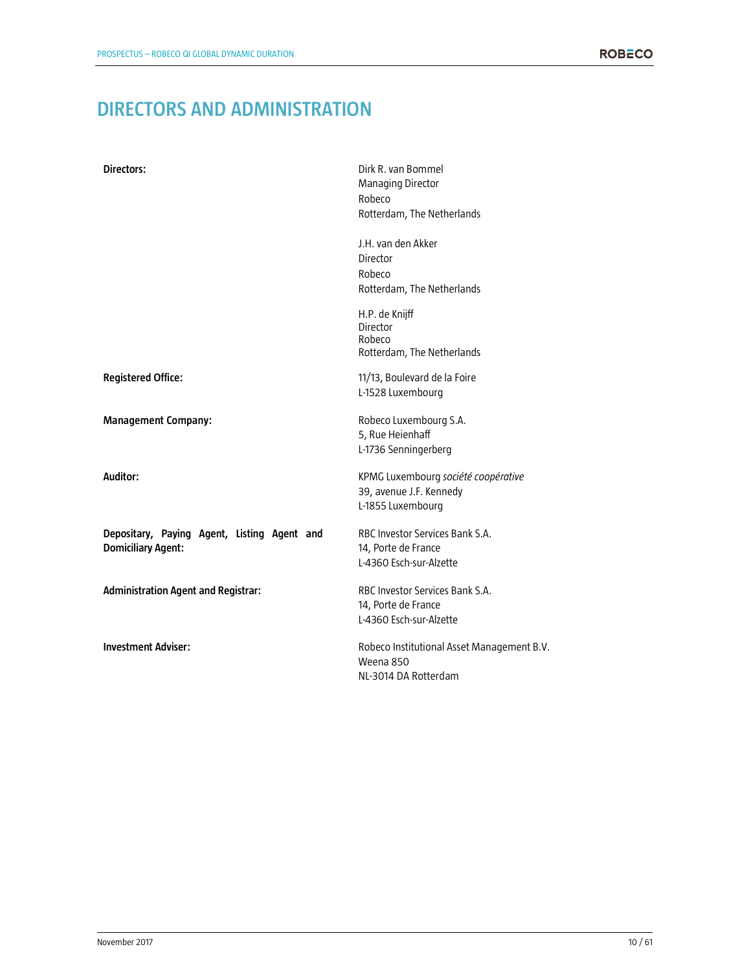# **DIRECTORS AND ADMINISTRATION**

| Directors:                                                               | Dirk R. van Bommel<br><b>Managing Director</b><br>Robeco<br>Rotterdam, The Netherlands |
|--------------------------------------------------------------------------|----------------------------------------------------------------------------------------|
|                                                                          | J.H. van den Akker<br>Director<br>Robeco<br>Rotterdam, The Netherlands                 |
|                                                                          | H.P. de Knijff<br>Director<br>Robeco<br>Rotterdam, The Netherlands                     |
| <b>Registered Office:</b>                                                | 11/13, Boulevard de la Foire<br>L-1528 Luxembourg                                      |
| <b>Management Company:</b>                                               | Robeco Luxembourg S.A.<br>5, Rue Heienhaff<br>L-1736 Senningerberg                     |
| Auditor:                                                                 | KPMG Luxembourg société coopérative<br>39, avenue J.F. Kennedy<br>L-1855 Luxembourg    |
| Depositary, Paying Agent, Listing Agent and<br><b>Domiciliary Agent:</b> | RBC Investor Services Bank S.A.<br>14, Porte de France<br>L-4360 Esch-sur-Alzette      |
| <b>Administration Agent and Registrar:</b>                               | RBC Investor Services Bank S.A.<br>14, Porte de France<br>L-4360 Esch-sur-Alzette      |
| <b>Investment Adviser:</b>                                               | Robeco Institutional Asset Management B.V.<br>Weena 850<br>NL-3014 DA Rotterdam        |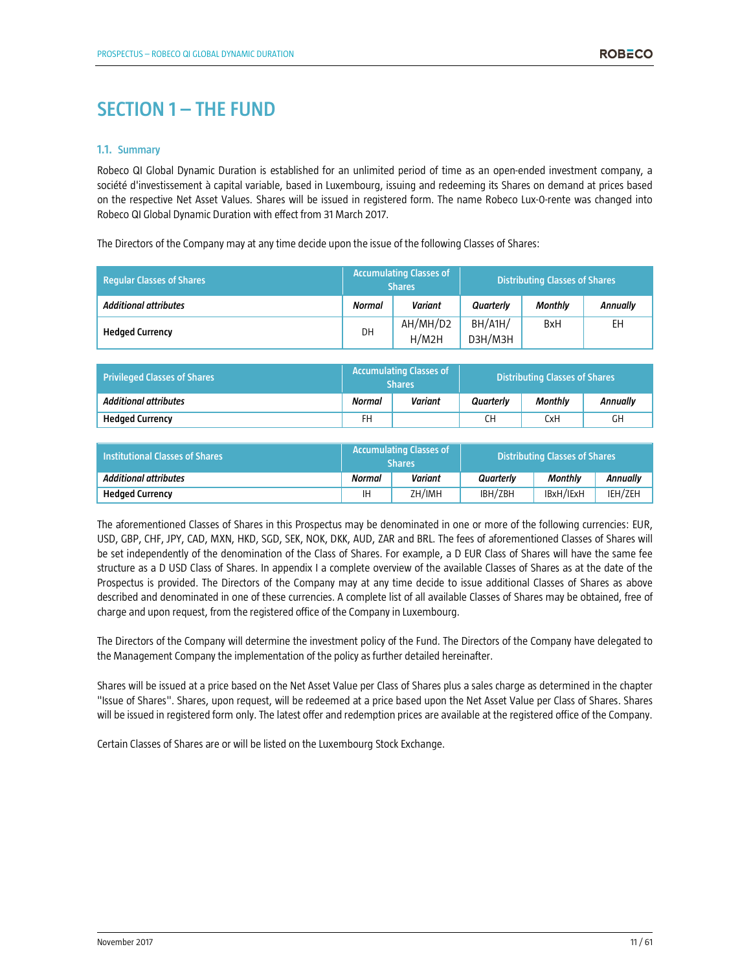# **SECTION 1 – THE FUND**

#### **1.1. Summary**

Robeco QI Global Dynamic Duration is established for an unlimited period of time as an open-ended investment company, a société d'investissement à capital variable, based in Luxembourg, issuing and redeeming its Shares on demand at prices based on the respective Net Asset Values. Shares will be issued in registered form. The name Robeco Lux-0-rente was changed into Robeco QI Global Dynamic Duration with effect from 31 March 2017.

The Directors of the Company may at any time decide upon the issue of the following Classes of Shares:

| <b>Regular Classes of Shares</b> | <b>Accumulating Classes of</b><br><b>Shares</b> |                   |                          | <b>Distributing Classes of Shares</b> |                 |
|----------------------------------|-------------------------------------------------|-------------------|--------------------------|---------------------------------------|-----------------|
| <b>Additional attributes</b>     | <b>Normal</b>                                   | <b>Variant</b>    | Quarterly                | <b>Monthly</b>                        | <b>Annually</b> |
| <b>Hedged Currency</b>           | DH                                              | AH/MH/D2<br>H/M2H | $BH/$ A1H $/$<br>D3H/M3H | <b>BxH</b>                            | EH              |

| <b>Privileged Classes of Shares</b> | <b>Accumulating Classes of A</b><br><b>Shares</b> |         |           | <b>Distributing Classes of Shares</b> |                 |
|-------------------------------------|---------------------------------------------------|---------|-----------|---------------------------------------|-----------------|
| <b>Additional attributes</b>        | <b>Normal</b>                                     | Variant | Quarterly | <b>Monthly</b>                        | <b>Annually</b> |
| <b>Hedaed Currency</b>              | FH                                                |         | CН        | CxH                                   | GН              |

| <b>Institutional Classes of Shares</b> | Accumulating Classes of<br><b>Shares</b> |         | <b>Distributing Classes of Shares</b> |           |                 |
|----------------------------------------|------------------------------------------|---------|---------------------------------------|-----------|-----------------|
| <b>Additional attributes</b>           | Normal                                   | Variant | Quarterly                             | Monthly   | <b>Annually</b> |
| <b>Hedged Currency</b>                 | ΙH                                       | ZH/IMH  | IBH/ZBH                               | IBxH/IExH | IEH/ZEH         |

The aforementioned Classes of Shares in this Prospectus may be denominated in one or more of the following currencies: EUR, USD, GBP, CHF, JPY, CAD, MXN, HKD, SGD, SEK, NOK, DKK, AUD, ZAR and BRL. The fees of aforementioned Classes of Shares will be set independently of the denomination of the Class of Shares. For example, a D EUR Class of Shares will have the same fee structure as a D USD Class of Shares. In appendix I a complete overview of the available Classes of Shares as at the date of the Prospectus is provided. The Directors of the Company may at any time decide to issue additional Classes of Shares as above described and denominated in one of these currencies. A complete list of all available Classes of Shares may be obtained, free of charge and upon request, from the registered office of the Company in Luxembourg.

The Directors of the Company will determine the investment policy of the Fund. The Directors of the Company have delegated to the Management Company the implementation of the policy as further detailed hereinafter.

Shares will be issued at a price based on the Net Asset Value per Class of Shares plus a sales charge as determined in the chapter "Issue of Shares". Shares, upon request, will be redeemed at a price based upon the Net Asset Value per Class of Shares. Shares will be issued in registered form only. The latest offer and redemption prices are available at the registered office of the Company.

Certain Classes of Shares are or will be listed on the Luxembourg Stock Exchange.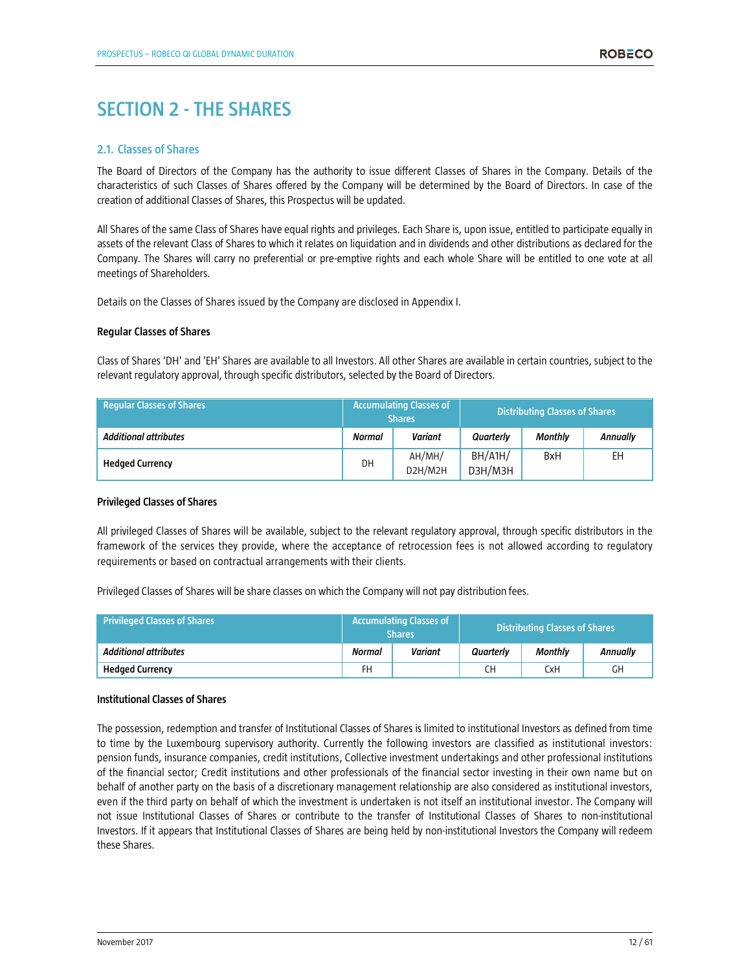# **SECTION 2 - THE SHARES**

# **2.1. Classes of Shares**

The Board of Directors of the Company has the authority to issue different Classes of Shares in the Company. Details of the characteristics of such Classes of Shares offered by the Company will be determined by the Board of Directors. In case of the creation of additional Classes of Shares, this Prospectus will be updated.

All Shares of the same Class of Shares have equal rights and privileges. Each Share is, upon issue, entitled to participate equally in assets of the relevant Class of Shares to which it relates on liquidation and in dividends and other distributions as declared for the Company. The Shares will carry no preferential or pre-emptive rights and each whole Share will be entitled to one vote at all meetings of Shareholders.

Details on the Classes of Shares issued by the Company are disclosed in Appendix I.

#### **Regular Classes of Shares**

Class of Shares 'DH' and 'EH' Shares are available to all Investors. All other Shares are available in certain countries, subject to the relevant regulatory approval, through specific distributors, selected by the Board of Directors.

| <b>Regular Classes of Shares</b> | <b>Accumulating Classes of</b><br><b>Shares</b> |                   |                    | <b>Distributing Classes of Shares</b> |                 |
|----------------------------------|-------------------------------------------------|-------------------|--------------------|---------------------------------------|-----------------|
| <b>Additional attributes</b>     | <b>Normal</b>                                   | <b>Variant</b>    | Quarterly          | <b>Monthly</b>                        | <b>Annually</b> |
| <b>Hedged Currency</b>           | DH                                              | AH/MH/<br>D2H/M2H | BH/A1H/<br>D3H/M3H | <b>B</b> xH                           | EН              |

# **Privileged Classes of Shares**

All privileged Classes of Shares will be available, subject to the relevant regulatory approval, through specific distributors in the framework of the services they provide, where the acceptance of retrocession fees is not allowed according to regulatory requirements or based on contractual arrangements with their clients.

Privileged Classes of Shares will be share classes on which the Company will not pay distribution fees.

| <b>Privileged Classes of Shares</b> | <b>Accumulating Classes of a</b><br><b>Shares</b> |         |           | <b>Distributing Classes of Shares</b> |          |
|-------------------------------------|---------------------------------------------------|---------|-----------|---------------------------------------|----------|
| Additional attributes               | Normal                                            | Variant | Quarterly | Monthly                               | Annuallv |
| <b>Hedged Currency</b>              | FH                                                |         | CН        | CxH                                   | GH       |

#### **Institutional Classes of Shares**

The possession, redemption and transfer of Institutional Classes of Shares is limited to institutional Investors as defined from time to time by the Luxembourg supervisory authority. Currently the following investors are classified as institutional investors: pension funds, insurance companies, credit institutions, Collective investment undertakings and other professional institutions of the financial sector; Credit institutions and other professionals of the financial sector investing in their own name but on behalf of another party on the basis of a discretionary management relationship are also considered as institutional investors, even if the third party on behalf of which the investment is undertaken is not itself an institutional investor. The Company will not issue Institutional Classes of Shares or contribute to the transfer of Institutional Classes of Shares to non-institutional Investors. If it appears that Institutional Classes of Shares are being held by non-institutional Investors the Company will redeem these Shares.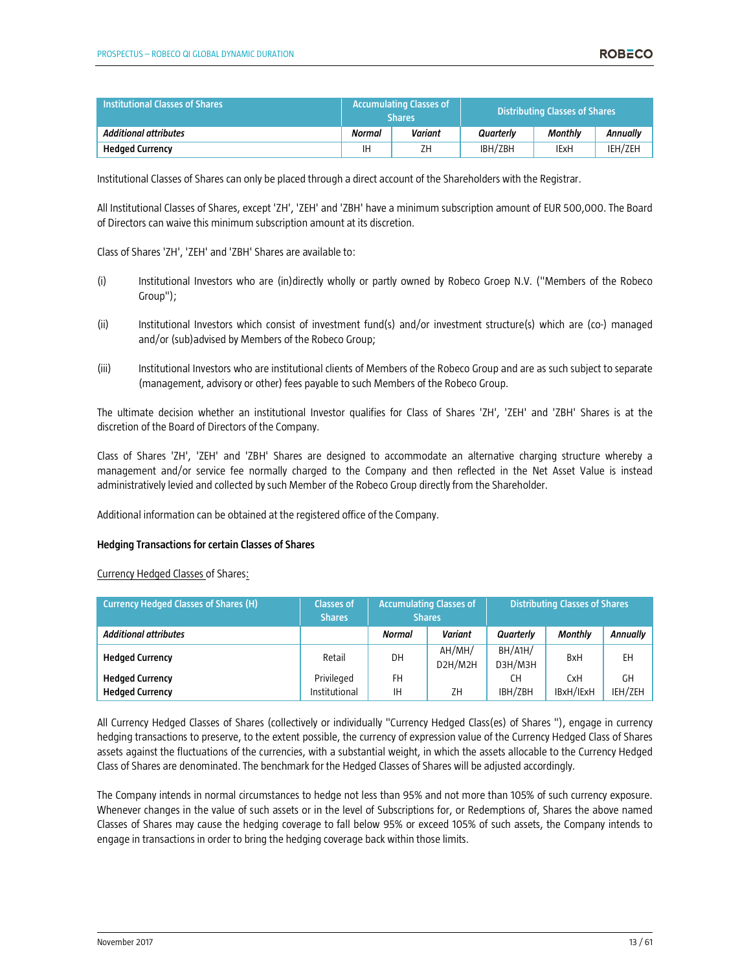| <b>Institutional Classes of Shares</b> | Accumulating Classes of<br><b>Shares</b> |         | <b>Distributing Classes of Shares</b> |         |          |
|----------------------------------------|------------------------------------------|---------|---------------------------------------|---------|----------|
| Additional attributes                  | Normal                                   | Variant | Quarterly                             | Monthly | Annuallv |
| <b>Hedged Currency</b>                 | ΙH                                       | ZΗ      | IBH/ZBH                               | IExH    | IEH/ZEH  |

Institutional Classes of Shares can only be placed through a direct account of the Shareholders with the Registrar.

All Institutional Classes of Shares, except 'ZH', 'ZEH' and 'ZBH' have a minimum subscription amount of EUR 500,000. The Board of Directors can waive this minimum subscription amount at its discretion.

Class of Shares 'ZH', 'ZEH' and 'ZBH' Shares are available to:

- (i) Institutional Investors who are (in)directly wholly or partly owned by Robeco Groep N.V. ("Members of the Robeco Group");
- (ii) Institutional Investors which consist of investment fund(s) and/or investment structure(s) which are (co-) managed and/or (sub)advised by Members of the Robeco Group;
- (iii) Institutional Investors who are institutional clients of Members of the Robeco Group and are as such subject to separate (management, advisory or other) fees payable to such Members of the Robeco Group.

The ultimate decision whether an institutional Investor qualifies for Class of Shares 'ZH', 'ZEH' and 'ZBH' Shares is at the discretion of the Board of Directors of the Company.

Class of Shares 'ZH', 'ZEH' and 'ZBH' Shares are designed to accommodate an alternative charging structure whereby a management and/or service fee normally charged to the Company and then reflected in the Net Asset Value is instead administratively levied and collected by such Member of the Robeco Group directly from the Shareholder.

Additional information can be obtained at the registered office of the Company.

#### **Hedging Transactions for certain Classes of Shares**

Currency Hedged Classes of Shares:

| <b>Currency Hedged Classes of Shares (H)</b> | <b>Classes of</b><br><b>Shares</b> | <b>Accumulating Classes of</b><br><b>Shares</b> |                   |                   | <b>Distributing Classes of Shares</b> |          |
|----------------------------------------------|------------------------------------|-------------------------------------------------|-------------------|-------------------|---------------------------------------|----------|
| <b>Additional attributes</b>                 |                                    | <b>Normal</b>                                   | <b>Variant</b>    | Quarterly         | <b>Monthly</b>                        | Annually |
| <b>Hedged Currency</b>                       | Retail                             | DH                                              | AH/MH/<br>D2H/M2H | BH/AH/<br>D3H/M3H | <b>B</b> xH                           | EH       |
| <b>Hedged Currency</b>                       | Privileged                         | FH                                              |                   | CН                | <b>CxH</b>                            | GН       |
| <b>Hedged Currency</b>                       | Institutional                      | ΙH                                              | ZΗ                | IBH/ZBH           | IBxH/IExH                             | IEH/ZEH  |

All Currency Hedged Classes of Shares (collectively or individually "Currency Hedged Class(es) of Shares "), engage in currency hedging transactions to preserve, to the extent possible, the currency of expression value of the Currency Hedged Class of Shares assets against the fluctuations of the currencies, with a substantial weight, in which the assets allocable to the Currency Hedged Class of Shares are denominated. The benchmark for the Hedged Classes of Shares will be adjusted accordingly.

The Company intends in normal circumstances to hedge not less than 95% and not more than 105% of such currency exposure. Whenever changes in the value of such assets or in the level of Subscriptions for, or Redemptions of, Shares the above named Classes of Shares may cause the hedging coverage to fall below 95% or exceed 105% of such assets, the Company intends to engage in transactions in order to bring the hedging coverage back within those limits.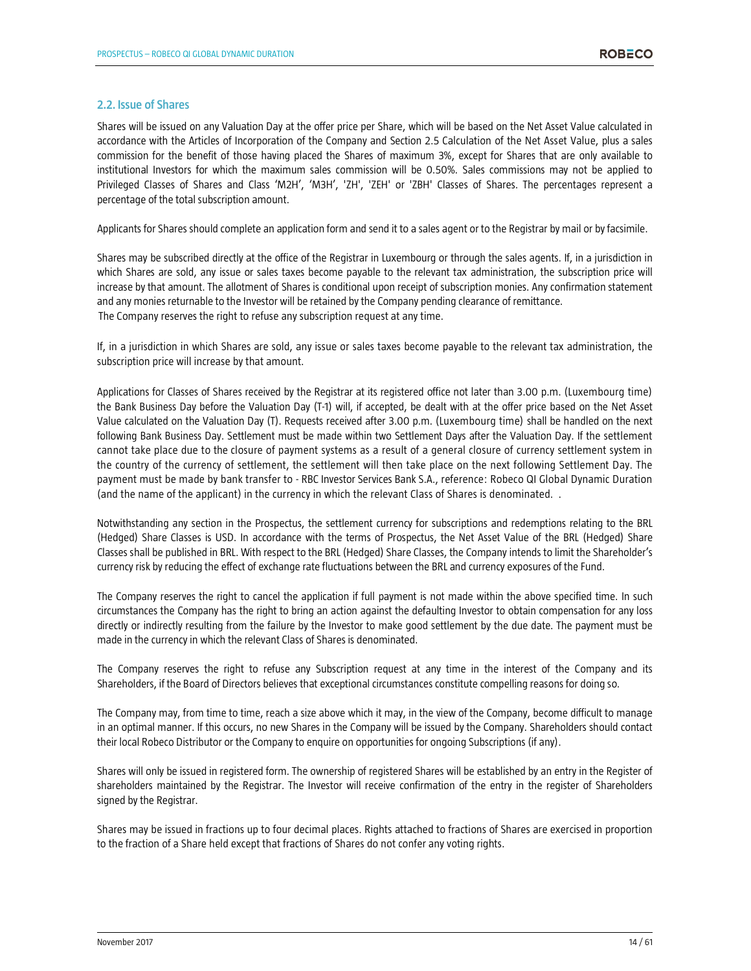# **2.2. Issue of Shares**

Shares will be issued on any Valuation Day at the offer price per Share, which will be based on the Net Asset Value calculated in accordance with the Articles of Incorporation of the Company and Section 2.5 Calculation of the Net Asset Value, plus a sales commission for the benefit of those having placed the Shares of maximum 3%, except for Shares that are only available to institutional Investors for which the maximum sales commission will be 0.50%. Sales commissions may not be applied to Privileged Classes of Shares and Class 'M2H', 'M3H', 'ZH', 'ZEH' or 'ZBH' Classes of Shares. The percentages represent a percentage of the total subscription amount.

Applicants for Shares should complete an application form and send it to a sales agent or to the Registrar by mail or by facsimile.

Shares may be subscribed directly at the office of the Registrar in Luxembourg or through the sales agents. If, in a jurisdiction in which Shares are sold, any issue or sales taxes become payable to the relevant tax administration, the subscription price will increase by that amount. The allotment of Shares is conditional upon receipt of subscription monies. Any confirmation statement and any monies returnable to the Investor will be retained by the Company pending clearance of remittance. The Company reserves the right to refuse any subscription request at any time.

If, in a jurisdiction in which Shares are sold, any issue or sales taxes become payable to the relevant tax administration, the subscription price will increase by that amount.

Applications for Classes of Shares received by the Registrar at its registered office not later than 3.00 p.m. (Luxembourg time) the Bank Business Day before the Valuation Day (T-1) will, if accepted, be dealt with at the offer price based on the Net Asset Value calculated on the Valuation Day (T). Requests received after 3.00 p.m. (Luxembourg time) shall be handled on the next following Bank Business Day. Settlement must be made within two Settlement Days after the Valuation Day. If the settlement cannot take place due to the closure of payment systems as a result of a general closure of currency settlement system in the country of the currency of settlement, the settlement will then take place on the next following Settlement Day. The payment must be made by bank transfer to - RBC Investor Services Bank S.A., reference: Robeco QI Global Dynamic Duration (and the name of the applicant) in the currency in which the relevant Class of Shares is denominated. .

Notwithstanding any section in the Prospectus, the settlement currency for subscriptions and redemptions relating to the BRL (Hedged) Share Classes is USD. In accordance with the terms of Prospectus, the Net Asset Value of the BRL (Hedged) Share Classes shall be published in BRL. With respect to the BRL (Hedged) Share Classes, the Company intends to limit the Shareholder's currency risk by reducing the effect of exchange rate fluctuations between the BRL and currency exposures of the Fund.

The Company reserves the right to cancel the application if full payment is not made within the above specified time. In such circumstances the Company has the right to bring an action against the defaulting Investor to obtain compensation for any loss directly or indirectly resulting from the failure by the Investor to make good settlement by the due date. The payment must be made in the currency in which the relevant Class of Shares is denominated.

The Company reserves the right to refuse any Subscription request at any time in the interest of the Company and its Shareholders, if the Board of Directors believes that exceptional circumstances constitute compelling reasons for doing so.

The Company may, from time to time, reach a size above which it may, in the view of the Company, become difficult to manage in an optimal manner. If this occurs, no new Shares in the Company will be issued by the Company. Shareholders should contact their local Robeco Distributor or the Company to enquire on opportunities for ongoing Subscriptions (if any).

Shares will only be issued in registered form. The ownership of registered Shares will be established by an entry in the Register of shareholders maintained by the Registrar. The Investor will receive confirmation of the entry in the register of Shareholders signed by the Registrar.

Shares may be issued in fractions up to four decimal places. Rights attached to fractions of Shares are exercised in proportion to the fraction of a Share held except that fractions of Shares do not confer any voting rights.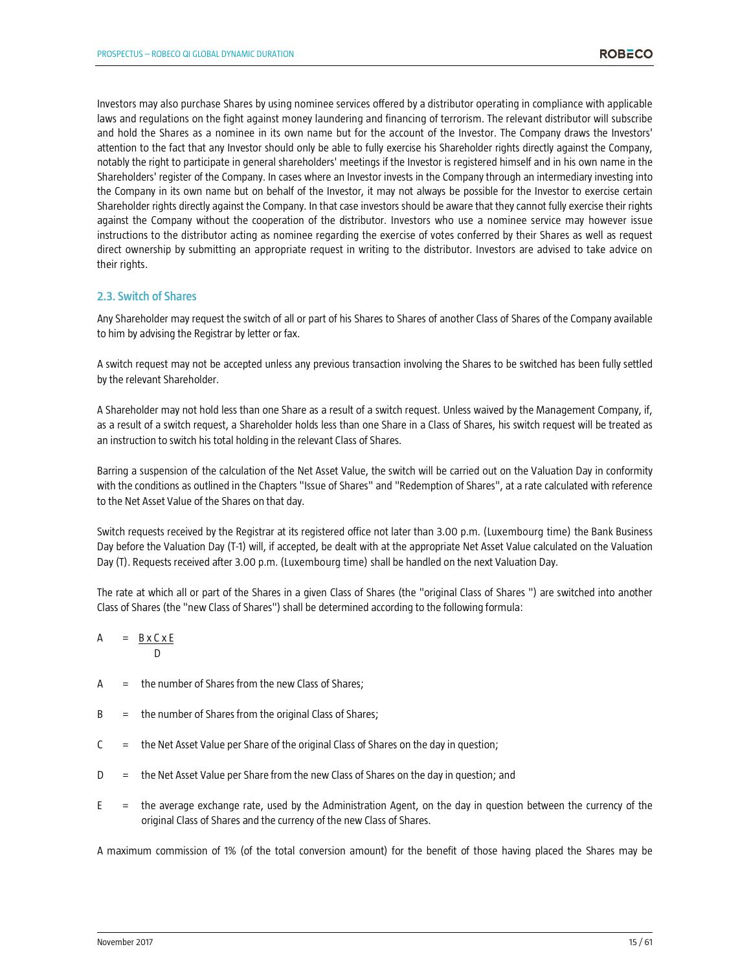Investors may also purchase Shares by using nominee services offered by a distributor operating in compliance with applicable laws and regulations on the fight against money laundering and financing of terrorism. The relevant distributor will subscribe and hold the Shares as a nominee in its own name but for the account of the Investor. The Company draws the Investors' attention to the fact that any Investor should only be able to fully exercise his Shareholder rights directly against the Company, notably the right to participate in general shareholders' meetings if the Investor is registered himself and in his own name in the Shareholders' register of the Company. In cases where an Investor invests in the Company through an intermediary investing into the Company in its own name but on behalf of the Investor, it may not always be possible for the Investor to exercise certain Shareholder rights directly against the Company. In that case investors should be aware that they cannot fully exercise their rights against the Company without the cooperation of the distributor. Investors who use a nominee service may however issue instructions to the distributor acting as nominee regarding the exercise of votes conferred by their Shares as well as request direct ownership by submitting an appropriate request in writing to the distributor. Investors are advised to take advice on their rights.

# **2.3. Switch of Shares**

Any Shareholder may request the switch of all or part of his Shares to Shares of another Class of Shares of the Company available to him by advising the Registrar by letter or fax.

A switch request may not be accepted unless any previous transaction involving the Shares to be switched has been fully settled by the relevant Shareholder.

A Shareholder may not hold less than one Share as a result of a switch request. Unless waived by the Management Company, if, as a result of a switch request, a Shareholder holds less than one Share in a Class of Shares, his switch request will be treated as an instruction to switch his total holding in the relevant Class of Shares.

Barring a suspension of the calculation of the Net Asset Value, the switch will be carried out on the Valuation Day in conformity with the conditions as outlined in the Chapters "Issue of Shares" and "Redemption of Shares", at a rate calculated with reference to the Net Asset Value of the Shares on that day.

Switch requests received by the Registrar at its registered office not later than 3.00 p.m. (Luxembourg time) the Bank Business Day before the Valuation Day (T-1) will, if accepted, be dealt with at the appropriate Net Asset Value calculated on the Valuation Day (T). Requests received after 3.00 p.m. (Luxembourg time) shall be handled on the next Valuation Day.

The rate at which all or part of the Shares in a given Class of Shares (the "original Class of Shares ") are switched into another Class of Shares (the "new Class of Shares") shall be determined according to the following formula:

$$
A = \frac{B \times C \times E}{D}
$$

- $A =$  the number of Shares from the new Class of Shares;
- B = the number of Shares from the original Class of Shares;
- $C =$  the Net Asset Value per Share of the original Class of Shares on the day in question;
- D = the Net Asset Value per Share from the new Class of Shares on the day in question; and
- $E =$  the average exchange rate, used by the Administration Agent, on the day in question between the currency of the original Class of Shares and the currency of the new Class of Shares.

A maximum commission of 1% (of the total conversion amount) for the benefit of those having placed the Shares may be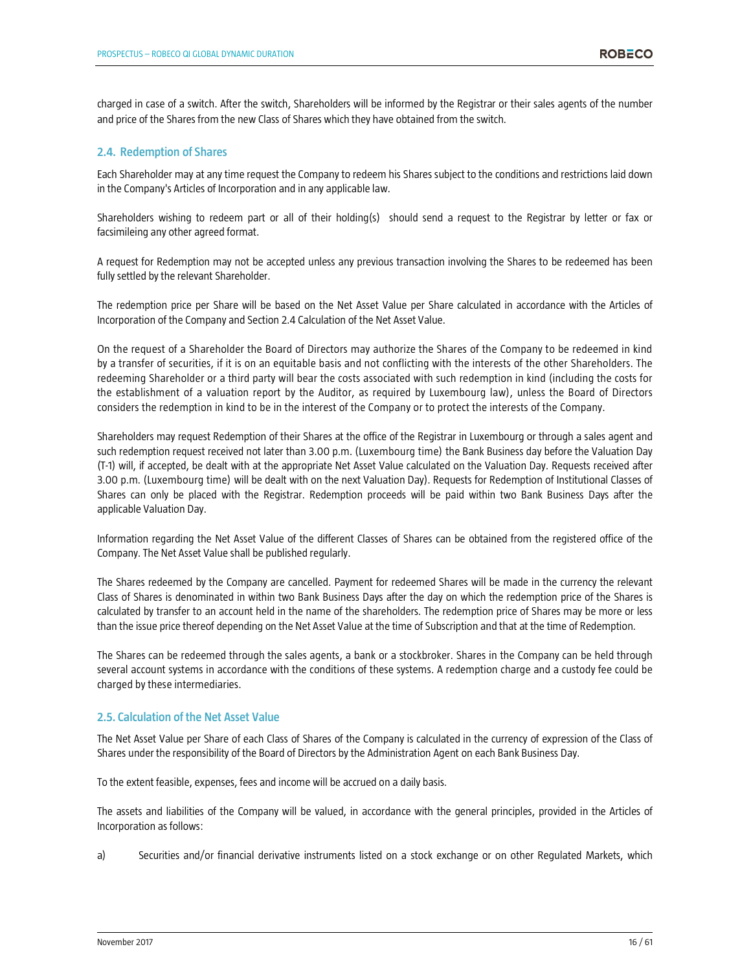charged in case of a switch. After the switch, Shareholders will be informed by the Registrar or their sales agents of the number and price of the Shares from the new Class of Shares which they have obtained from the switch.

# **2.4. Redemption of Shares**

Each Shareholder may at any time request the Company to redeem his Shares subject to the conditions and restrictions laid down in the Company's Articles of Incorporation and in any applicable law.

Shareholders wishing to redeem part or all of their holding(s) should send a request to the Registrar by letter or fax or facsimileing any other agreed format.

A request for Redemption may not be accepted unless any previous transaction involving the Shares to be redeemed has been fully settled by the relevant Shareholder.

The redemption price per Share will be based on the Net Asset Value per Share calculated in accordance with the Articles of Incorporation of the Company and Section 2.4 Calculation of the Net Asset Value.

On the request of a Shareholder the Board of Directors may authorize the Shares of the Company to be redeemed in kind by a transfer of securities, if it is on an equitable basis and not conflicting with the interests of the other Shareholders. The redeeming Shareholder or a third party will bear the costs associated with such redemption in kind (including the costs for the establishment of a valuation report by the Auditor, as required by Luxembourg law), unless the Board of Directors considers the redemption in kind to be in the interest of the Company or to protect the interests of the Company.

Shareholders may request Redemption of their Shares at the office of the Registrar in Luxembourg or through a sales agent and such redemption request received not later than 3.00 p.m. (Luxembourg time) the Bank Business day before the Valuation Day (T-1) will, if accepted, be dealt with at the appropriate Net Asset Value calculated on the Valuation Day. Requests received after 3.00 p.m. (Luxembourg time) will be dealt with on the next Valuation Day). Requests for Redemption of Institutional Classes of Shares can only be placed with the Registrar. Redemption proceeds will be paid within two Bank Business Days after the applicable Valuation Day.

Information regarding the Net Asset Value of the different Classes of Shares can be obtained from the registered office of the Company. The Net Asset Value shall be published regularly.

The Shares redeemed by the Company are cancelled. Payment for redeemed Shares will be made in the currency the relevant Class of Shares is denominated in within two Bank Business Days after the day on which the redemption price of the Shares is calculated by transfer to an account held in the name of the shareholders. The redemption price of Shares may be more or less than the issue price thereof depending on the Net Asset Value at the time of Subscription and that at the time of Redemption.

The Shares can be redeemed through the sales agents, a bank or a stockbroker. Shares in the Company can be held through several account systems in accordance with the conditions of these systems. A redemption charge and a custody fee could be charged by these intermediaries.

# **2.5. Calculation of the Net Asset Value**

The Net Asset Value per Share of each Class of Shares of the Company is calculated in the currency of expression of the Class of Shares under the responsibility of the Board of Directors by the Administration Agent on each Bank Business Day.

To the extent feasible, expenses, fees and income will be accrued on a daily basis.

The assets and liabilities of the Company will be valued, in accordance with the general principles, provided in the Articles of Incorporation as follows:

a) Securities and/or financial derivative instruments listed on a stock exchange or on other Regulated Markets, which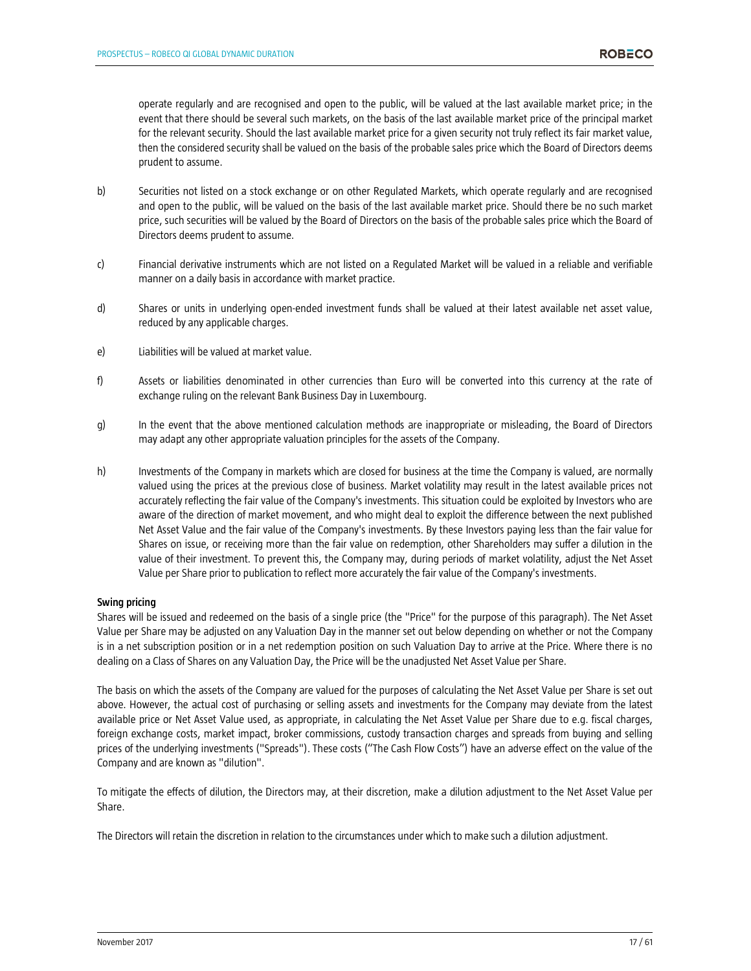operate regularly and are recognised and open to the public, will be valued at the last available market price; in the event that there should be several such markets, on the basis of the last available market price of the principal market for the relevant security. Should the last available market price for a given security not truly reflect its fair market value, then the considered security shall be valued on the basis of the probable sales price which the Board of Directors deems prudent to assume.

- b) Securities not listed on a stock exchange or on other Regulated Markets, which operate regularly and are recognised and open to the public, will be valued on the basis of the last available market price. Should there be no such market price, such securities will be valued by the Board of Directors on the basis of the probable sales price which the Board of Directors deems prudent to assume.
- c) Financial derivative instruments which are not listed on a Regulated Market will be valued in a reliable and verifiable manner on a daily basis in accordance with market practice.
- d) Shares or units in underlying open-ended investment funds shall be valued at their latest available net asset value, reduced by any applicable charges.
- e) Liabilities will be valued at market value.
- f) Assets or liabilities denominated in other currencies than Euro will be converted into this currency at the rate of exchange ruling on the relevant Bank Business Day in Luxembourg.
- g) In the event that the above mentioned calculation methods are inappropriate or misleading, the Board of Directors may adapt any other appropriate valuation principles for the assets of the Company.
- h) Investments of the Company in markets which are closed for business at the time the Company is valued, are normally valued using the prices at the previous close of business. Market volatility may result in the latest available prices not accurately reflecting the fair value of the Company's investments. This situation could be exploited by Investors who are aware of the direction of market movement, and who might deal to exploit the difference between the next published Net Asset Value and the fair value of the Company's investments. By these Investors paying less than the fair value for Shares on issue, or receiving more than the fair value on redemption, other Shareholders may suffer a dilution in the value of their investment. To prevent this, the Company may, during periods of market volatility, adjust the Net Asset Value per Share prior to publication to reflect more accurately the fair value of the Company's investments.

#### **Swing pricing**

Shares will be issued and redeemed on the basis of a single price (the "Price" for the purpose of this paragraph). The Net Asset Value per Share may be adjusted on any Valuation Day in the manner set out below depending on whether or not the Company is in a net subscription position or in a net redemption position on such Valuation Day to arrive at the Price. Where there is no dealing on a Class of Shares on any Valuation Day, the Price will be the unadjusted Net Asset Value per Share.

The basis on which the assets of the Company are valued for the purposes of calculating the Net Asset Value per Share is set out above. However, the actual cost of purchasing or selling assets and investments for the Company may deviate from the latest available price or Net Asset Value used, as appropriate, in calculating the Net Asset Value per Share due to e.g. fiscal charges, foreign exchange costs, market impact, broker commissions, custody transaction charges and spreads from buying and selling prices of the underlying investments ("Spreads"). These costs ("The Cash Flow Costs") have an adverse effect on the value of the Company and are known as "dilution".

To mitigate the effects of dilution, the Directors may, at their discretion, make a dilution adjustment to the Net Asset Value per Share.

The Directors will retain the discretion in relation to the circumstances under which to make such a dilution adjustment.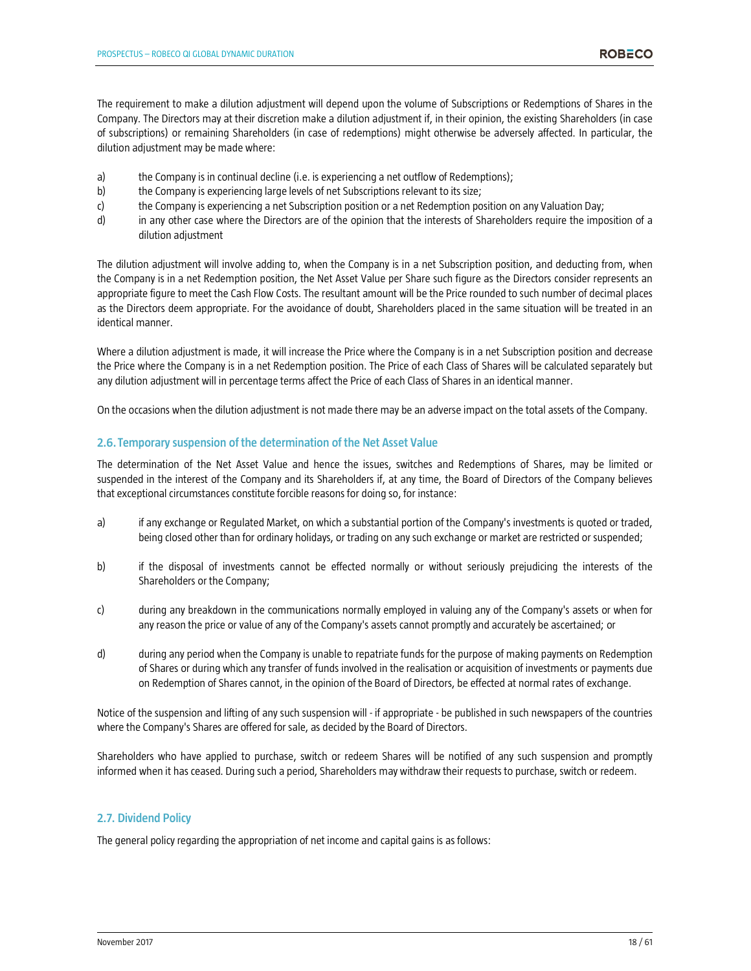The requirement to make a dilution adjustment will depend upon the volume of Subscriptions or Redemptions of Shares in the Company. The Directors may at their discretion make a dilution adjustment if, in their opinion, the existing Shareholders (in case of subscriptions) or remaining Shareholders (in case of redemptions) might otherwise be adversely affected. In particular, the dilution adjustment may be made where:

- a) the Company is in continual decline (i.e. is experiencing a net outflow of Redemptions);
- b) the Company is experiencing large levels of net Subscriptions relevant to its size;
- c) the Company is experiencing a net Subscription position or a net Redemption position on any Valuation Day;
- d) in any other case where the Directors are of the opinion that the interests of Shareholders require the imposition of a dilution adjustment

The dilution adjustment will involve adding to, when the Company is in a net Subscription position, and deducting from, when the Company is in a net Redemption position, the Net Asset Value per Share such figure as the Directors consider represents an appropriate figure to meet the Cash Flow Costs. The resultant amount will be the Price rounded to such number of decimal places as the Directors deem appropriate. For the avoidance of doubt, Shareholders placed in the same situation will be treated in an identical manner.

Where a dilution adjustment is made, it will increase the Price where the Company is in a net Subscription position and decrease the Price where the Company is in a net Redemption position. The Price of each Class of Shares will be calculated separately but any dilution adjustment will in percentage terms affect the Price of each Class of Shares in an identical manner.

On the occasions when the dilution adjustment is not made there may be an adverse impact on the total assets of the Company.

# **2.6. Temporary suspension of the determination of the Net Asset Value**

The determination of the Net Asset Value and hence the issues, switches and Redemptions of Shares, may be limited or suspended in the interest of the Company and its Shareholders if, at any time, the Board of Directors of the Company believes that exceptional circumstances constitute forcible reasons for doing so, for instance:

- a) if any exchange or Regulated Market, on which a substantial portion of the Company's investments is quoted or traded, being closed other than for ordinary holidays, or trading on any such exchange or market are restricted or suspended;
- b) if the disposal of investments cannot be effected normally or without seriously prejudicing the interests of the Shareholders or the Company;
- c) during any breakdown in the communications normally employed in valuing any of the Company's assets or when for any reason the price or value of any of the Company's assets cannot promptly and accurately be ascertained; or
- d) during any period when the Company is unable to repatriate funds for the purpose of making payments on Redemption of Shares or during which any transfer of funds involved in the realisation or acquisition of investments or payments due on Redemption of Shares cannot, in the opinion of the Board of Directors, be effected at normal rates of exchange.

Notice of the suspension and lifting of any such suspension will - if appropriate - be published in such newspapers of the countries where the Company's Shares are offered for sale, as decided by the Board of Directors.

Shareholders who have applied to purchase, switch or redeem Shares will be notified of any such suspension and promptly informed when it has ceased. During such a period, Shareholders may withdraw their requests to purchase, switch or redeem.

# **2.7. Dividend Policy**

The general policy regarding the appropriation of net income and capital gains is as follows: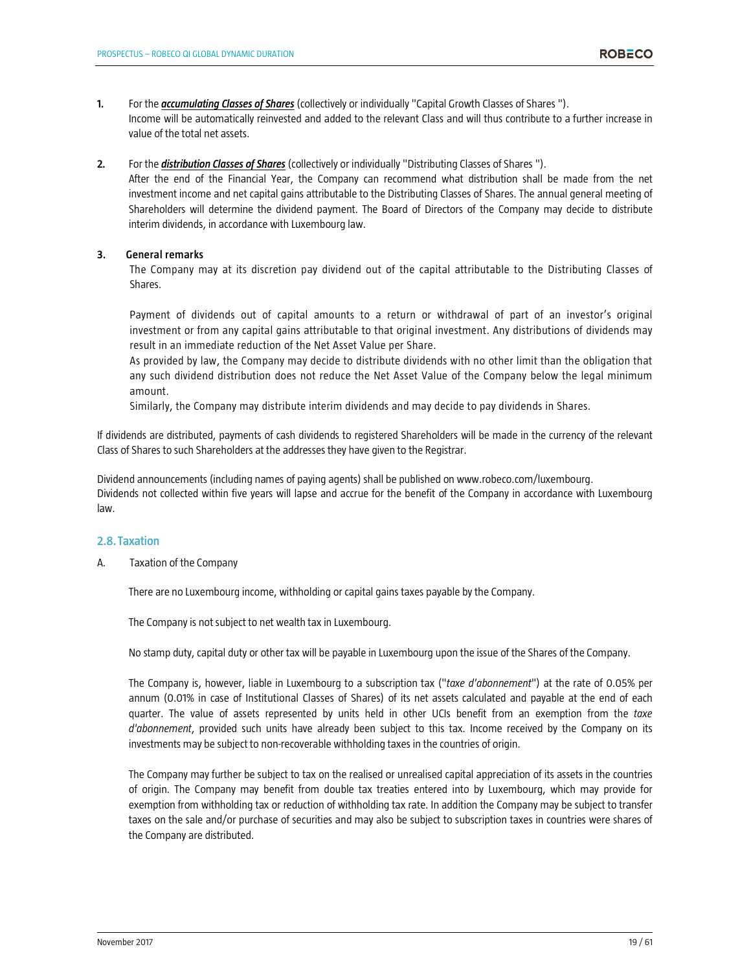- **1.** For the *accumulating Classes of Shares* (collectively or individually "Capital Growth Classes of Shares "). Income will be automatically reinvested and added to the relevant Class and will thus contribute to a further increase in value of the total net assets.
- **2.** For the *distribution Classes of Shares* (collectively or individually "Distributing Classes of Shares ").

After the end of the Financial Year, the Company can recommend what distribution shall be made from the net investment income and net capital gains attributable to the Distributing Classes of Shares. The annual general meeting of Shareholders will determine the dividend payment. The Board of Directors of the Company may decide to distribute interim dividends, in accordance with Luxembourg law.

# **3. General remarks**

The Company may at its discretion pay dividend out of the capital attributable to the Distributing Classes of Shares.

Payment of dividends out of capital amounts to a return or withdrawal of part of an investor's original investment or from any capital gains attributable to that original investment. Any distributions of dividends may result in an immediate reduction of the Net Asset Value per Share.

As provided by law, the Company may decide to distribute dividends with no other limit than the obligation that any such dividend distribution does not reduce the Net Asset Value of the Company below the legal minimum amount.

Similarly, the Company may distribute interim dividends and may decide to pay dividends in Shares.

If dividends are distributed, payments of cash dividends to registered Shareholders will be made in the currency of the relevant Class of Shares to such Shareholders at the addresses they have given to the Registrar.

Dividend announcements (including names of paying agents) shall be published on www.robeco.com/luxembourg. Dividends not collected within five years will lapse and accrue for the benefit of the Company in accordance with Luxembourg law.

# **2.8. Taxation**

A. Taxation of the Company

There are no Luxembourg income, withholding or capital gains taxes payable by the Company.

The Company is not subject to net wealth tax in Luxembourg.

No stamp duty, capital duty or other tax will be payable in Luxembourg upon the issue of the Shares of the Company.

The Company is, however, liable in Luxembourg to a subscription tax ("*taxe d'abonnement*") at the rate of 0.05% per annum (0.01% in case of Institutional Classes of Shares) of its net assets calculated and payable at the end of each quarter. The value of assets represented by units held in other UCIs benefit from an exemption from the *taxe d'abonnement*, provided such units have already been subject to this tax. Income received by the Company on its investments may be subject to non-recoverable withholding taxes in the countries of origin.

The Company may further be subject to tax on the realised or unrealised capital appreciation of its assets in the countries of origin. The Company may benefit from double tax treaties entered into by Luxembourg, which may provide for exemption from withholding tax or reduction of withholding tax rate. In addition the Company may be subject to transfer taxes on the sale and/or purchase of securities and may also be subject to subscription taxes in countries were shares of the Company are distributed.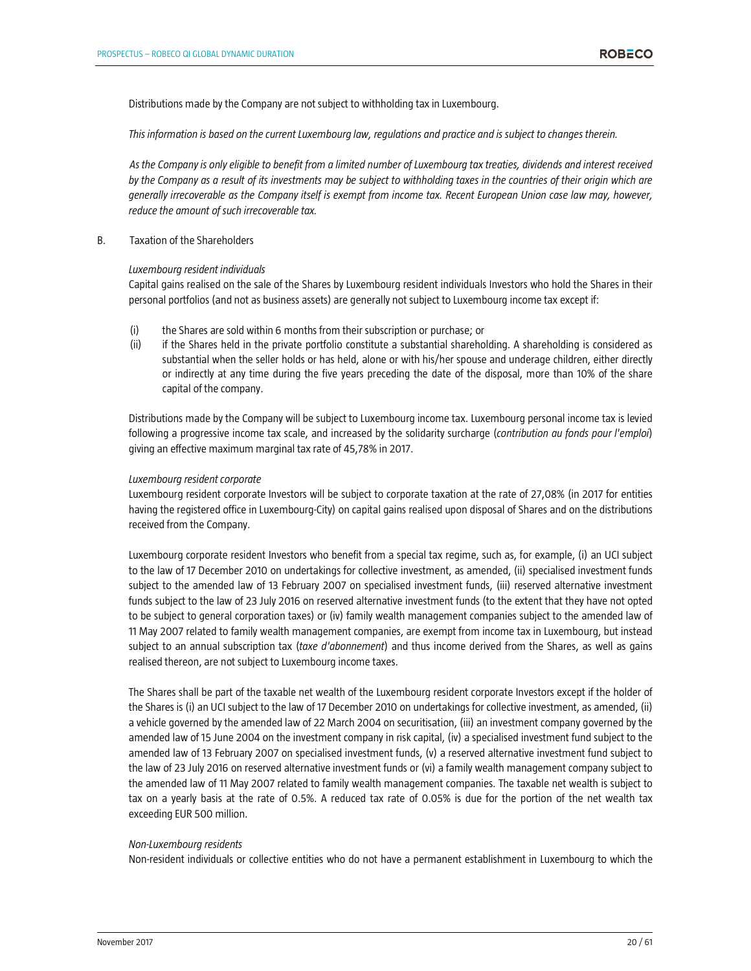Distributions made by the Company are not subject to withholding tax in Luxembourg.

*This information is based on the current Luxembourg law, regulations and practice and is subject to changes therein.* 

*As the Company is only eligible to benefit from a limited number of Luxembourg tax treaties, dividends and interest received by the Company as a result of its investments may be subject to withholding taxes in the countries of their origin which are generally irrecoverable as the Company itself is exempt from income tax. Recent European Union case law may, however, reduce the amount of such irrecoverable tax.* 

B. Taxation of the Shareholders

#### *Luxembourg resident individuals*

Capital gains realised on the sale of the Shares by Luxembourg resident individuals Investors who hold the Shares in their personal portfolios (and not as business assets) are generally not subject to Luxembourg income tax except if:

- (i) the Shares are sold within 6 months from their subscription or purchase; or
- (ii) if the Shares held in the private portfolio constitute a substantial shareholding. A shareholding is considered as substantial when the seller holds or has held, alone or with his/her spouse and underage children, either directly or indirectly at any time during the five years preceding the date of the disposal, more than 10% of the share capital of the company.

Distributions made by the Company will be subject to Luxembourg income tax. Luxembourg personal income tax is levied following a progressive income tax scale, and increased by the solidarity surcharge (*contribution au fonds pour l'emploi*) giving an effective maximum marginal tax rate of 45,78% in 2017.

#### *Luxembourg resident corporate*

Luxembourg resident corporate Investors will be subject to corporate taxation at the rate of 27,08% (in 2017 for entities having the registered office in Luxembourg-City) on capital gains realised upon disposal of Shares and on the distributions received from the Company.

Luxembourg corporate resident Investors who benefit from a special tax regime, such as, for example, (i) an UCI subject to the law of 17 December 2010 on undertakings for collective investment, as amended, (ii) specialised investment funds subject to the amended law of 13 February 2007 on specialised investment funds, (iii) reserved alternative investment funds subject to the law of 23 July 2016 on reserved alternative investment funds (to the extent that they have not opted to be subject to general corporation taxes) or (iv) family wealth management companies subject to the amended law of 11 May 2007 related to family wealth management companies, are exempt from income tax in Luxembourg, but instead subject to an annual subscription tax (*taxe d'abonnement*) and thus income derived from the Shares, as well as gains realised thereon, are not subject to Luxembourg income taxes.

The Shares shall be part of the taxable net wealth of the Luxembourg resident corporate Investors except if the holder of the Shares is (i) an UCI subject to the law of 17 December 2010 on undertakings for collective investment, as amended, (ii) a vehicle governed by the amended law of 22 March 2004 on securitisation, (iii) an investment company governed by the amended law of 15 June 2004 on the investment company in risk capital, (iv) a specialised investment fund subject to the amended law of 13 February 2007 on specialised investment funds, (v) a reserved alternative investment fund subject to the law of 23 July 2016 on reserved alternative investment funds or (vi) a family wealth management company subject to the amended law of 11 May 2007 related to family wealth management companies. The taxable net wealth is subject to tax on a yearly basis at the rate of 0.5%. A reduced tax rate of 0.05% is due for the portion of the net wealth tax exceeding EUR 500 million.

#### *Non-Luxembourg residents*

Non-resident individuals or collective entities who do not have a permanent establishment in Luxembourg to which the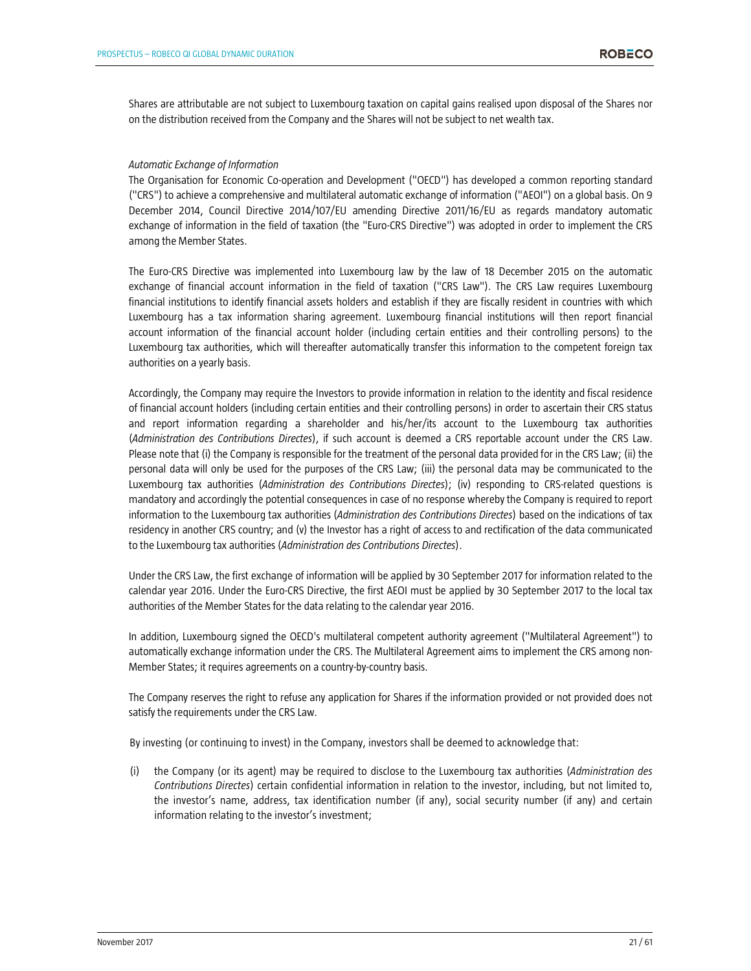Shares are attributable are not subject to Luxembourg taxation on capital gains realised upon disposal of the Shares nor on the distribution received from the Company and the Shares will not be subject to net wealth tax.

### *Automatic Exchange of Information*

The Organisation for Economic Co-operation and Development ("OECD") has developed a common reporting standard ("CRS") to achieve a comprehensive and multilateral automatic exchange of information ("AEOI") on a global basis. On 9 December 2014, Council Directive 2014/107/EU amending Directive 2011/16/EU as regards mandatory automatic exchange of information in the field of taxation (the "Euro-CRS Directive") was adopted in order to implement the CRS among the Member States.

The Euro-CRS Directive was implemented into Luxembourg law by the law of 18 December 2015 on the automatic exchange of financial account information in the field of taxation ("CRS Law"). The CRS Law requires Luxembourg financial institutions to identify financial assets holders and establish if they are fiscally resident in countries with which Luxembourg has a tax information sharing agreement. Luxembourg financial institutions will then report financial account information of the financial account holder (including certain entities and their controlling persons) to the Luxembourg tax authorities, which will thereafter automatically transfer this information to the competent foreign tax authorities on a yearly basis.

Accordingly, the Company may require the Investors to provide information in relation to the identity and fiscal residence of financial account holders (including certain entities and their controlling persons) in order to ascertain their CRS status and report information regarding a shareholder and his/her/its account to the Luxembourg tax authorities (*Administration des Contributions Directes*), if such account is deemed a CRS reportable account under the CRS Law. Please note that (i) the Company is responsible for the treatment of the personal data provided for in the CRS Law; (ii) the personal data will only be used for the purposes of the CRS Law; (iii) the personal data may be communicated to the Luxembourg tax authorities (*Administration des Contributions Directes*); (iv) responding to CRS-related questions is mandatory and accordingly the potential consequences in case of no response whereby the Company is required to report information to the Luxembourg tax authorities (*Administration des Contributions Directes*) based on the indications of tax residency in another CRS country; and (v) the Investor has a right of access to and rectification of the data communicated to the Luxembourg tax authorities (*Administration des Contributions Directes*).

Under the CRS Law, the first exchange of information will be applied by 30 September 2017 for information related to the calendar year 2016. Under the Euro-CRS Directive, the first AEOI must be applied by 30 September 2017 to the local tax authorities of the Member States for the data relating to the calendar year 2016.

In addition, Luxembourg signed the OECD's multilateral competent authority agreement ("Multilateral Agreement") to automatically exchange information under the CRS. The Multilateral Agreement aims to implement the CRS among non-Member States; it requires agreements on a country-by-country basis.

The Company reserves the right to refuse any application for Shares if the information provided or not provided does not satisfy the requirements under the CRS Law.

By investing (or continuing to invest) in the Company, investors shall be deemed to acknowledge that:

(i) the Company (or its agent) may be required to disclose to the Luxembourg tax authorities (*Administration des Contributions Directes*) certain confidential information in relation to the investor, including, but not limited to, the investor's name, address, tax identification number (if any), social security number (if any) and certain information relating to the investor's investment;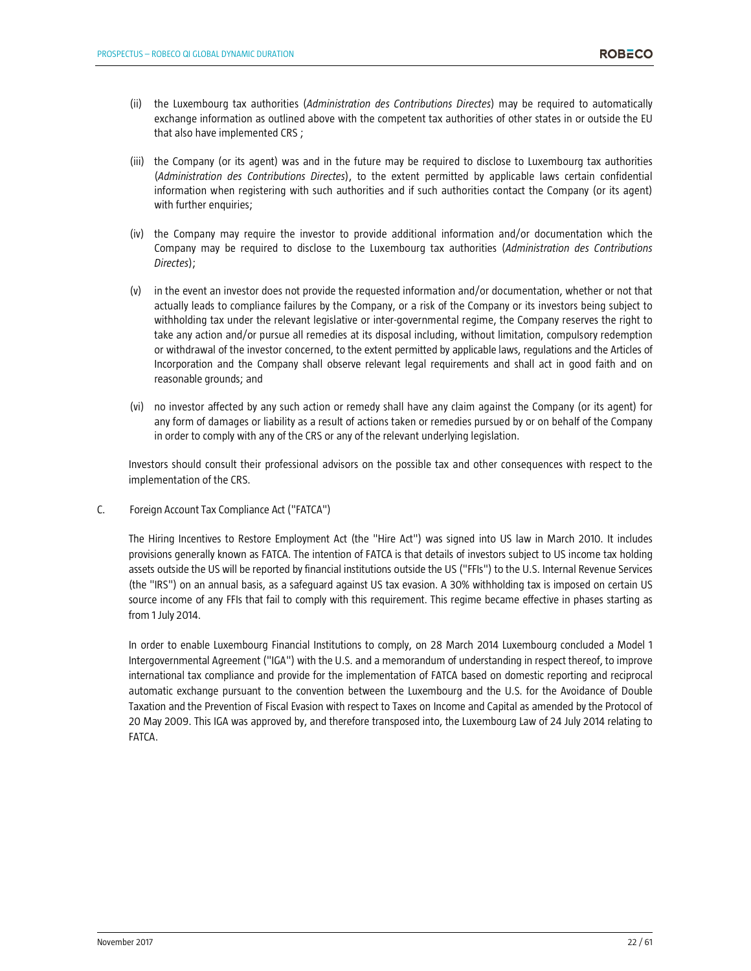- (ii) the Luxembourg tax authorities (*Administration des Contributions Directes*) may be required to automatically exchange information as outlined above with the competent tax authorities of other states in or outside the EU that also have implemented CRS ;
- (iii) the Company (or its agent) was and in the future may be required to disclose to Luxembourg tax authorities (*Administration des Contributions Directes*), to the extent permitted by applicable laws certain confidential information when registering with such authorities and if such authorities contact the Company (or its agent) with further enquiries;
- (iv) the Company may require the investor to provide additional information and/or documentation which the Company may be required to disclose to the Luxembourg tax authorities (*Administration des Contributions Directes*);
- (v) in the event an investor does not provide the requested information and/or documentation, whether or not that actually leads to compliance failures by the Company, or a risk of the Company or its investors being subject to withholding tax under the relevant legislative or inter-governmental regime, the Company reserves the right to take any action and/or pursue all remedies at its disposal including, without limitation, compulsory redemption or withdrawal of the investor concerned, to the extent permitted by applicable laws, regulations and the Articles of Incorporation and the Company shall observe relevant legal requirements and shall act in good faith and on reasonable grounds; and
- (vi) no investor affected by any such action or remedy shall have any claim against the Company (or its agent) for any form of damages or liability as a result of actions taken or remedies pursued by or on behalf of the Company in order to comply with any of the CRS or any of the relevant underlying legislation.

Investors should consult their professional advisors on the possible tax and other consequences with respect to the implementation of the CRS.

C. Foreign Account Tax Compliance Act ("FATCA")

The Hiring Incentives to Restore Employment Act (the "Hire Act") was signed into US law in March 2010. It includes provisions generally known as FATCA. The intention of FATCA is that details of investors subject to US income tax holding assets outside the US will be reported by financial institutions outside the US ("FFIs") to the U.S. Internal Revenue Services (the "IRS") on an annual basis, as a safeguard against US tax evasion. A 30% withholding tax is imposed on certain US source income of any FFIs that fail to comply with this requirement. This regime became effective in phases starting as from 1 July 2014.

In order to enable Luxembourg Financial Institutions to comply, on 28 March 2014 Luxembourg concluded a Model 1 Intergovernmental Agreement ("IGA") with the U.S. and a memorandum of understanding in respect thereof, to improve international tax compliance and provide for the implementation of FATCA based on domestic reporting and reciprocal automatic exchange pursuant to the convention between the Luxembourg and the U.S. for the Avoidance of Double Taxation and the Prevention of Fiscal Evasion with respect to Taxes on Income and Capital as amended by the Protocol of 20 May 2009. This IGA was approved by, and therefore transposed into, the Luxembourg Law of 24 July 2014 relating to FATCA.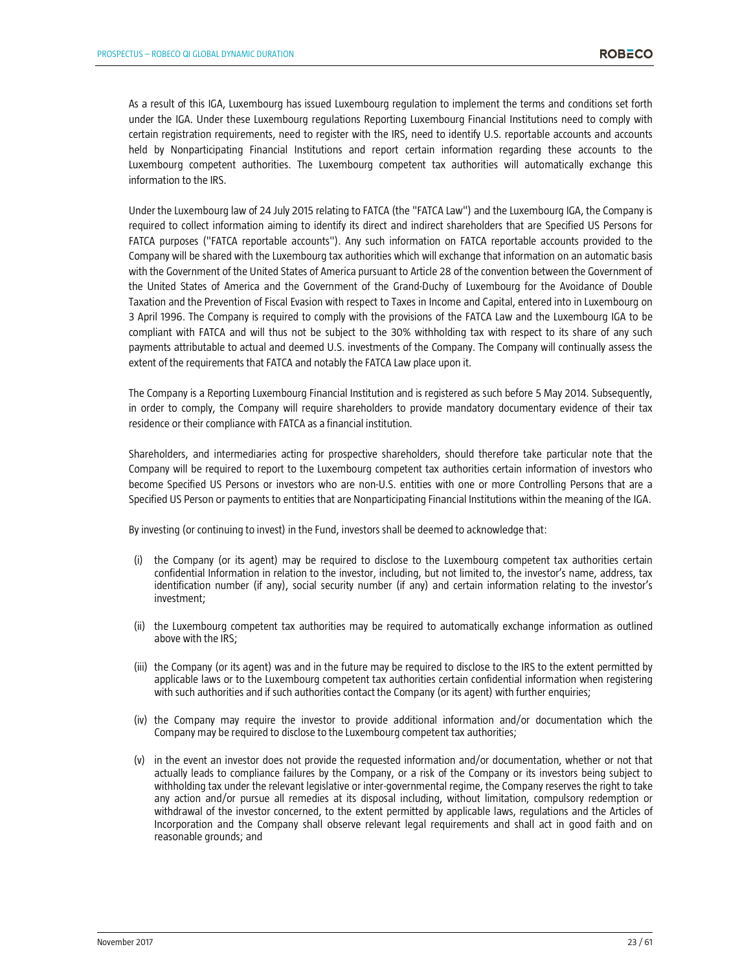As a result of this IGA, Luxembourg has issued Luxembourg regulation to implement the terms and conditions set forth under the IGA. Under these Luxembourg regulations Reporting Luxembourg Financial Institutions need to comply with certain registration requirements, need to register with the IRS, need to identify U.S. reportable accounts and accounts held by Nonparticipating Financial Institutions and report certain information regarding these accounts to the Luxembourg competent authorities. The Luxembourg competent tax authorities will automatically exchange this information to the IRS.

Under the Luxembourg law of 24 July 2015 relating to FATCA (the "FATCA Law") and the Luxembourg IGA, the Company is required to collect information aiming to identify its direct and indirect shareholders that are Specified US Persons for FATCA purposes ("FATCA reportable accounts"). Any such information on FATCA reportable accounts provided to the Company will be shared with the Luxembourg tax authorities which will exchange that information on an automatic basis with the Government of the United States of America pursuant to Article 28 of the convention between the Government of the United States of America and the Government of the Grand-Duchy of Luxembourg for the Avoidance of Double Taxation and the Prevention of Fiscal Evasion with respect to Taxes in Income and Capital, entered into in Luxembourg on 3 April 1996. The Company is required to comply with the provisions of the FATCA Law and the Luxembourg IGA to be compliant with FATCA and will thus not be subject to the 30% withholding tax with respect to its share of any such payments attributable to actual and deemed U.S. investments of the Company. The Company will continually assess the extent of the requirements that FATCA and notably the FATCA Law place upon it.

The Company is a Reporting Luxembourg Financial Institution and is registered as such before 5 May 2014. Subsequently, in order to comply, the Company will require shareholders to provide mandatory documentary evidence of their tax residence or their compliance with FATCA as a financial institution.

Shareholders, and intermediaries acting for prospective shareholders, should therefore take particular note that the Company will be required to report to the Luxembourg competent tax authorities certain information of investors who become Specified US Persons or investors who are non-U.S. entities with one or more Controlling Persons that are a Specified US Person or payments to entities that are Nonparticipating Financial Institutions within the meaning of the IGA.

By investing (or continuing to invest) in the Fund, investors shall be deemed to acknowledge that:

- (i) the Company (or its agent) may be required to disclose to the Luxembourg competent tax authorities certain confidential Information in relation to the investor, including, but not limited to, the investor's name, address, tax identification number (if any), social security number (if any) and certain information relating to the investor's investment;
- (ii) the Luxembourg competent tax authorities may be required to automatically exchange information as outlined above with the IRS;
- (iii) the Company (or its agent) was and in the future may be required to disclose to the IRS to the extent permitted by applicable laws or to the Luxembourg competent tax authorities certain confidential information when registering with such authorities and if such authorities contact the Company (or its agent) with further enquiries;
- (iv) the Company may require the investor to provide additional information and/or documentation which the Company may be required to disclose to the Luxembourg competent tax authorities;
- (v) in the event an investor does not provide the requested information and/or documentation, whether or not that actually leads to compliance failures by the Company, or a risk of the Company or its investors being subject to withholding tax under the relevant legislative or inter-governmental regime, the Company reserves the right to take any action and/or pursue all remedies at its disposal including, without limitation, compulsory redemption or withdrawal of the investor concerned, to the extent permitted by applicable laws, regulations and the Articles of Incorporation and the Company shall observe relevant legal requirements and shall act in good faith and on reasonable grounds; and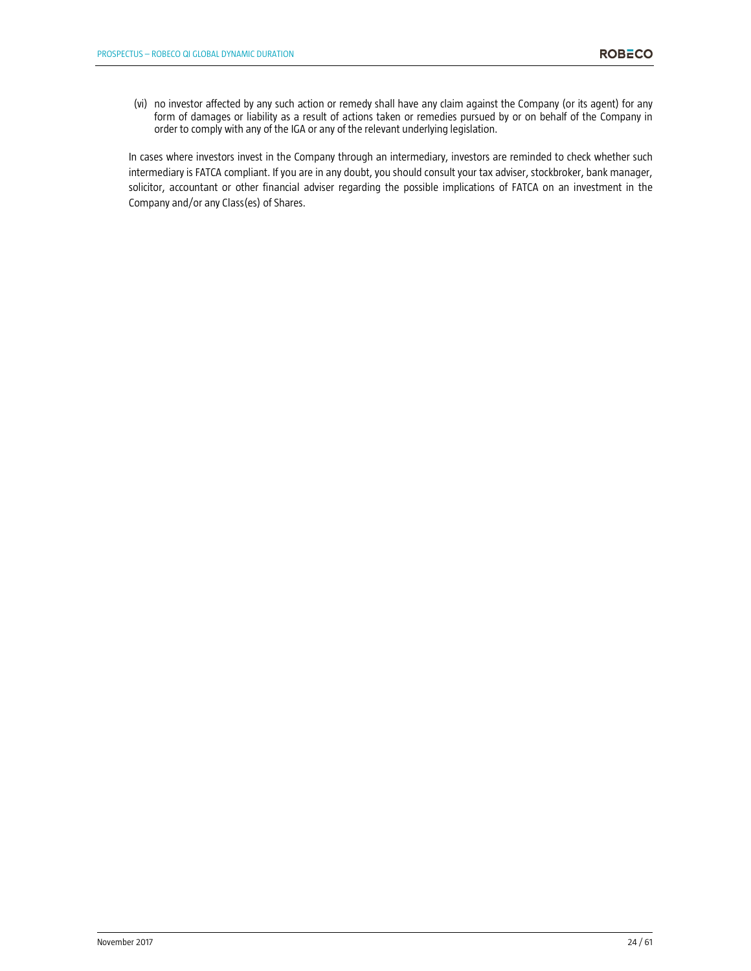(vi) no investor affected by any such action or remedy shall have any claim against the Company (or its agent) for any form of damages or liability as a result of actions taken or remedies pursued by or on behalf of the Company in order to comply with any of the IGA or any of the relevant underlying legislation.

In cases where investors invest in the Company through an intermediary, investors are reminded to check whether such intermediary is FATCA compliant. If you are in any doubt, you should consult your tax adviser, stockbroker, bank manager, solicitor, accountant or other financial adviser regarding the possible implications of FATCA on an investment in the Company and/or any Class(es) of Shares.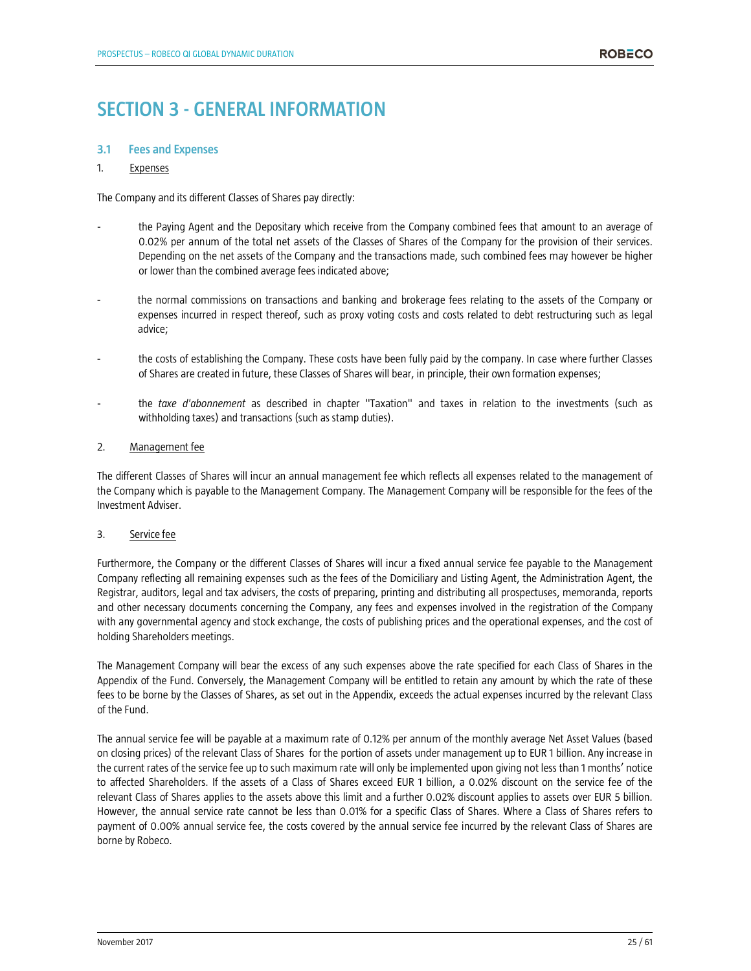# **SECTION 3 - GENERAL INFORMATION**

# **3.1 Fees and Expenses**

# 1. Expenses

The Company and its different Classes of Shares pay directly:

- the Paying Agent and the Depositary which receive from the Company combined fees that amount to an average of 0.02% per annum of the total net assets of the Classes of Shares of the Company for the provision of their services. Depending on the net assets of the Company and the transactions made, such combined fees may however be higher or lower than the combined average fees indicated above;
- the normal commissions on transactions and banking and brokerage fees relating to the assets of the Company or expenses incurred in respect thereof, such as proxy voting costs and costs related to debt restructuring such as legal advice;
- the costs of establishing the Company. These costs have been fully paid by the company. In case where further Classes of Shares are created in future, these Classes of Shares will bear, in principle, their own formation expenses;
- the *taxe d'abonnement* as described in chapter "Taxation" and taxes in relation to the investments (such as withholding taxes) and transactions (such as stamp duties).

# 2. Management fee

The different Classes of Shares will incur an annual management fee which reflects all expenses related to the management of the Company which is payable to the Management Company. The Management Company will be responsible for the fees of the Investment Adviser.

# 3. Service fee

Furthermore, the Company or the different Classes of Shares will incur a fixed annual service fee payable to the Management Company reflecting all remaining expenses such as the fees of the Domiciliary and Listing Agent, the Administration Agent, the Registrar, auditors, legal and tax advisers, the costs of preparing, printing and distributing all prospectuses, memoranda, reports and other necessary documents concerning the Company, any fees and expenses involved in the registration of the Company with any governmental agency and stock exchange, the costs of publishing prices and the operational expenses, and the cost of holding Shareholders meetings.

The Management Company will bear the excess of any such expenses above the rate specified for each Class of Shares in the Appendix of the Fund. Conversely, the Management Company will be entitled to retain any amount by which the rate of these fees to be borne by the Classes of Shares, as set out in the Appendix, exceeds the actual expenses incurred by the relevant Class of the Fund.

The annual service fee will be payable at a maximum rate of 0.12% per annum of the monthly average Net Asset Values (based on closing prices) of the relevant Class of Shares for the portion of assets under management up to EUR 1 billion. Any increase in the current rates of the service fee up to such maximum rate will only be implemented upon giving not less than 1 months' notice to affected Shareholders. If the assets of a Class of Shares exceed EUR 1 billion, a 0.02% discount on the service fee of the relevant Class of Shares applies to the assets above this limit and a further 0.02% discount applies to assets over EUR 5 billion. However, the annual service rate cannot be less than 0.01% for a specific Class of Shares. Where a Class of Shares refers to payment of 0.00% annual service fee, the costs covered by the annual service fee incurred by the relevant Class of Shares are borne by Robeco.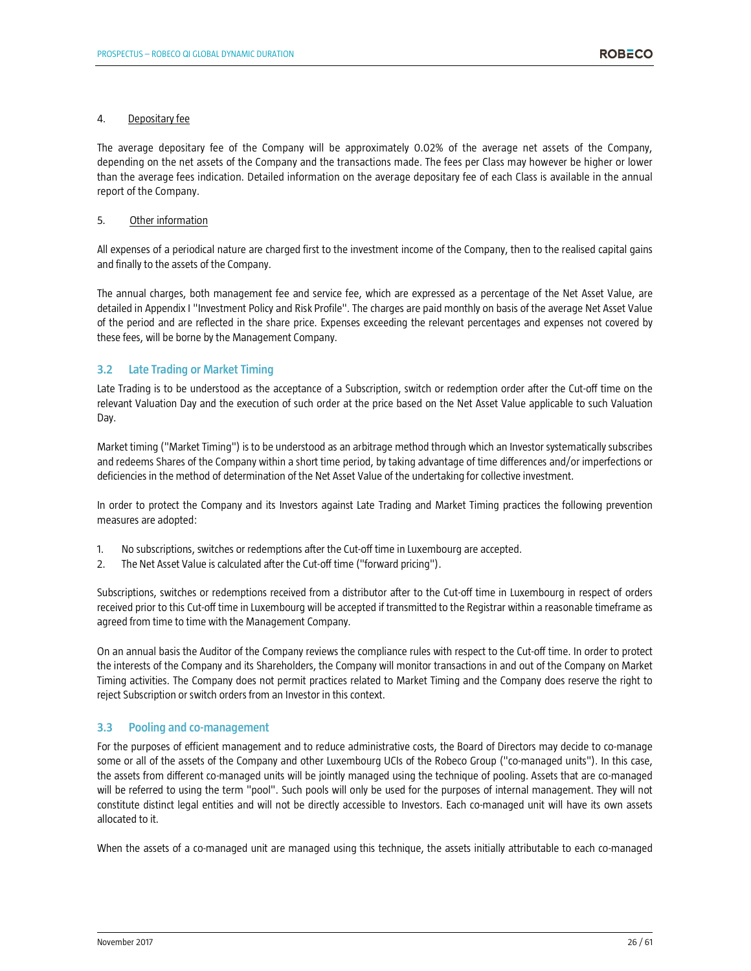### 4. Depositary fee

The average depositary fee of the Company will be approximately 0.02% of the average net assets of the Company, depending on the net assets of the Company and the transactions made. The fees per Class may however be higher or lower than the average fees indication. Detailed information on the average depositary fee of each Class is available in the annual report of the Company.

### 5. Other information

All expenses of a periodical nature are charged first to the investment income of the Company, then to the realised capital gains and finally to the assets of the Company.

The annual charges, both management fee and service fee, which are expressed as a percentage of the Net Asset Value, are detailed in Appendix I "Investment Policy and Risk Profile". The charges are paid monthly on basis of the average Net Asset Value of the period and are reflected in the share price. Expenses exceeding the relevant percentages and expenses not covered by these fees, will be borne by the Management Company.

# **3.2 Late Trading or Market Timing**

Late Trading is to be understood as the acceptance of a Subscription, switch or redemption order after the Cut-off time on the relevant Valuation Day and the execution of such order at the price based on the Net Asset Value applicable to such Valuation Day.

Market timing ("Market Timing") is to be understood as an arbitrage method through which an Investor systematically subscribes and redeems Shares of the Company within a short time period, by taking advantage of time differences and/or imperfections or deficiencies in the method of determination of the Net Asset Value of the undertaking for collective investment.

In order to protect the Company and its Investors against Late Trading and Market Timing practices the following prevention measures are adopted:

- 1. No subscriptions, switches or redemptions after the Cut-off time in Luxembourg are accepted.
- 2. The Net Asset Value is calculated after the Cut-off time ("forward pricing").

Subscriptions, switches or redemptions received from a distributor after to the Cut-off time in Luxembourg in respect of orders received prior to this Cut-off time in Luxembourg will be accepted if transmitted to the Registrar within a reasonable timeframe as agreed from time to time with the Management Company.

On an annual basis the Auditor of the Company reviews the compliance rules with respect to the Cut-off time. In order to protect the interests of the Company and its Shareholders, the Company will monitor transactions in and out of the Company on Market Timing activities. The Company does not permit practices related to Market Timing and the Company does reserve the right to reject Subscription or switch orders from an Investor in this context.

# **3.3 Pooling and co-management**

For the purposes of efficient management and to reduce administrative costs, the Board of Directors may decide to co-manage some or all of the assets of the Company and other Luxembourg UCIs of the Robeco Group ("co-managed units"). In this case, the assets from different co-managed units will be jointly managed using the technique of pooling. Assets that are co-managed will be referred to using the term "pool". Such pools will only be used for the purposes of internal management. They will not constitute distinct legal entities and will not be directly accessible to Investors. Each co-managed unit will have its own assets allocated to it.

When the assets of a co-managed unit are managed using this technique, the assets initially attributable to each co-managed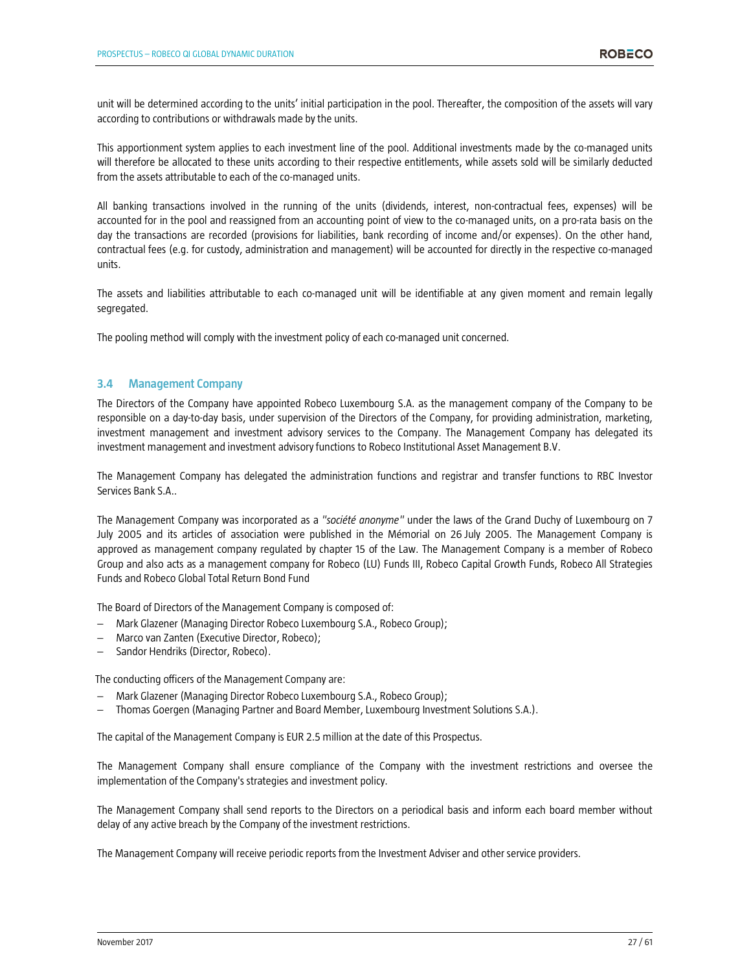unit will be determined according to the units' initial participation in the pool. Thereafter, the composition of the assets will vary according to contributions or withdrawals made by the units.

This apportionment system applies to each investment line of the pool. Additional investments made by the co-managed units will therefore be allocated to these units according to their respective entitlements, while assets sold will be similarly deducted from the assets attributable to each of the co-managed units.

All banking transactions involved in the running of the units (dividends, interest, non-contractual fees, expenses) will be accounted for in the pool and reassigned from an accounting point of view to the co-managed units, on a pro-rata basis on the day the transactions are recorded (provisions for liabilities, bank recording of income and/or expenses). On the other hand, contractual fees (e.g. for custody, administration and management) will be accounted for directly in the respective co-managed units.

The assets and liabilities attributable to each co-managed unit will be identifiable at any given moment and remain legally segregated.

The pooling method will comply with the investment policy of each co-managed unit concerned.

# **3.4 Management Company**

The Directors of the Company have appointed Robeco Luxembourg S.A. as the management company of the Company to be responsible on a day-to-day basis, under supervision of the Directors of the Company, for providing administration, marketing, investment management and investment advisory services to the Company. The Management Company has delegated its investment management and investment advisory functions to Robeco Institutional Asset Management B.V.

The Management Company has delegated the administration functions and registrar and transfer functions to RBC Investor Services Bank S.A..

The Management Company was incorporated as a *"société anonyme"* under the laws of the Grand Duchy of Luxembourg on 7 July 2005 and its articles of association were published in the Mémorial on 26 July 2005. The Management Company is approved as management company regulated by chapter 15 of the Law. The Management Company is a member of Robeco Group and also acts as a management company for Robeco (LU) Funds III, Robeco Capital Growth Funds, Robeco All Strategies Funds and Robeco Global Total Return Bond Fund

The Board of Directors of the Management Company is composed of:

- − Mark Glazener (Managing Director Robeco Luxembourg S.A., Robeco Group);
- − Marco van Zanten (Executive Director, Robeco);
- − Sandor Hendriks (Director, Robeco).

The conducting officers of the Management Company are:

- − Mark Glazener (Managing Director Robeco Luxembourg S.A., Robeco Group);
- − Thomas Goergen (Managing Partner and Board Member, Luxembourg Investment Solutions S.A.).

The capital of the Management Company is EUR 2.5 million at the date of this Prospectus.

The Management Company shall ensure compliance of the Company with the investment restrictions and oversee the implementation of the Company's strategies and investment policy.

The Management Company shall send reports to the Directors on a periodical basis and inform each board member without delay of any active breach by the Company of the investment restrictions.

The Management Company will receive periodic reports from the Investment Adviser and other service providers.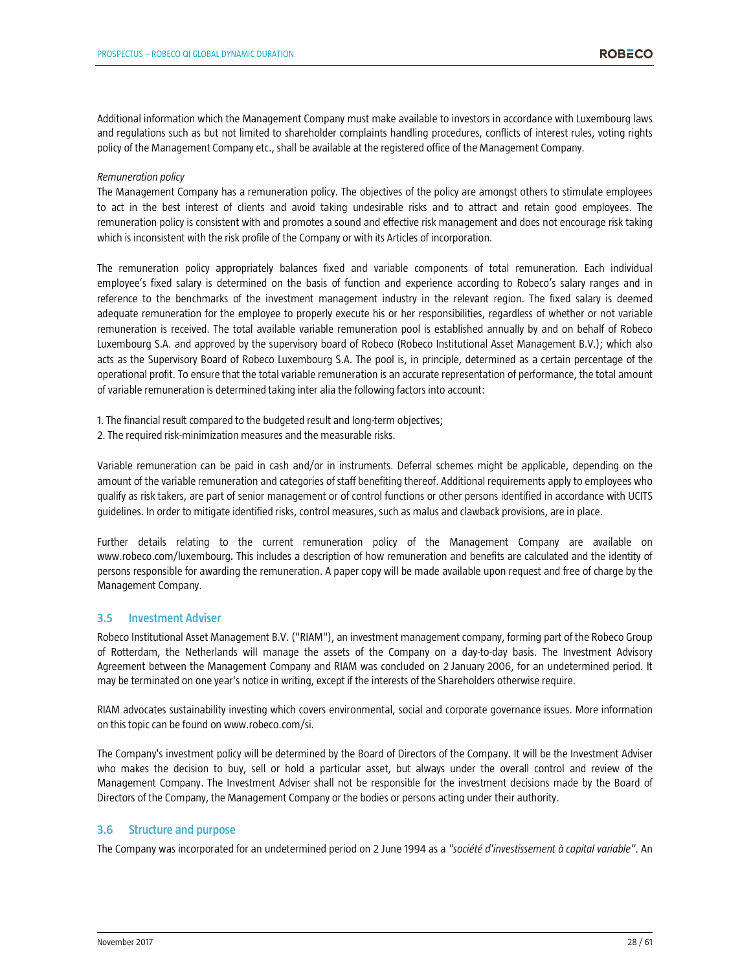Additional information which the Management Company must make available to investors in accordance with Luxembourg laws and regulations such as but not limited to shareholder complaints handling procedures, conflicts of interest rules, voting rights policy of the Management Company etc., shall be available at the registered office of the Management Company.

#### *Remuneration policy*

The Management Company has a remuneration policy. The objectives of the policy are amongst others to stimulate employees to act in the best interest of clients and avoid taking undesirable risks and to attract and retain good employees. The remuneration policy is consistent with and promotes a sound and effective risk management and does not encourage risk taking which is inconsistent with the risk profile of the Company or with its Articles of incorporation.

The remuneration policy appropriately balances fixed and variable components of total remuneration. Each individual employee's fixed salary is determined on the basis of function and experience according to Robeco's salary ranges and in reference to the benchmarks of the investment management industry in the relevant region. The fixed salary is deemed adequate remuneration for the employee to properly execute his or her responsibilities, regardless of whether or not variable remuneration is received. The total available variable remuneration pool is established annually by and on behalf of Robeco Luxembourg S.A. and approved by the supervisory board of Robeco (Robeco Institutional Asset Management B.V.); which also acts as the Supervisory Board of Robeco Luxembourg S.A. The pool is, in principle, determined as a certain percentage of the operational profit. To ensure that the total variable remuneration is an accurate representation of performance, the total amount of variable remuneration is determined taking inter alia the following factors into account:

1. The financial result compared to the budgeted result and long-term objectives;

2. The required risk-minimization measures and the measurable risks.

Variable remuneration can be paid in cash and/or in instruments. Deferral schemes might be applicable, depending on the amount of the variable remuneration and categories of staff benefiting thereof. Additional requirements apply to employees who qualify as risk takers, are part of senior management or of control functions or other persons identified in accordance with UCITS guidelines. In order to mitigate identified risks, control measures, such as malus and clawback provisions, are in place.

Further details relating to the current remuneration policy of the Management Company are available on www.robeco.com/luxembourg*.* This includes a description of how remuneration and benefits are calculated and the identity of persons responsible for awarding the remuneration. A paper copy will be made available upon request and free of charge by the Management Company.

# **3.5 Investment Adviser**

Robeco Institutional Asset Management B.V. ("RIAM"), an investment management company, forming part of the Robeco Group of Rotterdam, the Netherlands will manage the assets of the Company on a day-to-day basis. The Investment Advisory Agreement between the Management Company and RIAM was concluded on 2 January 2006, for an undetermined period. It may be terminated on one year's notice in writing, except if the interests of the Shareholders otherwise require.

RIAM advocates sustainability investing which covers environmental, social and corporate governance issues. More information on this topic can be found on www.robeco.com/si.

The Company's investment policy will be determined by the Board of Directors of the Company. It will be the Investment Adviser who makes the decision to buy, sell or hold a particular asset, but always under the overall control and review of the Management Company. The Investment Adviser shall not be responsible for the investment decisions made by the Board of Directors of the Company, the Management Company or the bodies or persons acting under their authority.

# **3.6 Structure and purpose**

The Company was incorporated for an undetermined period on 2 June 1994 as a *"société d'investissement à capital variable"*. An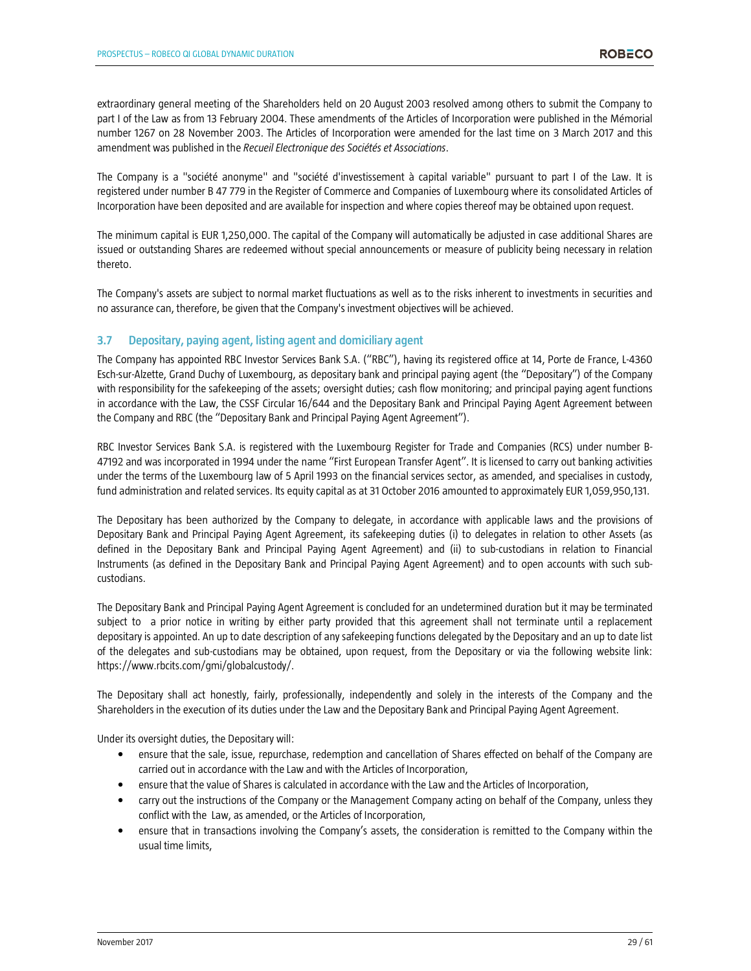extraordinary general meeting of the Shareholders held on 20 August 2003 resolved among others to submit the Company to part I of the Law as from 13 February 2004. These amendments of the Articles of Incorporation were published in the Mémorial number 1267 on 28 November 2003. The Articles of Incorporation were amended for the last time on 3 March 2017 and this amendment was published in the *Recueil Electronique des Sociétés et Associations*.

The Company is a "société anonyme" and "société d'investissement à capital variable" pursuant to part I of the Law. It is registered under number B 47 779 in the Register of Commerce and Companies of Luxembourg where its consolidated Articles of Incorporation have been deposited and are available for inspection and where copies thereof may be obtained upon request.

The minimum capital is EUR 1,250,000. The capital of the Company will automatically be adjusted in case additional Shares are issued or outstanding Shares are redeemed without special announcements or measure of publicity being necessary in relation thereto.

The Company's assets are subject to normal market fluctuations as well as to the risks inherent to investments in securities and no assurance can, therefore, be given that the Company's investment objectives will be achieved.

# **3.7 Depositary, paying agent, listing agent and domiciliary agent**

The Company has appointed RBC Investor Services Bank S.A. ("RBC"), having its registered office at 14, Porte de France, L-4360 Esch-sur-Alzette, Grand Duchy of Luxembourg, as depositary bank and principal paying agent (the "Depositary") of the Company with responsibility for the safekeeping of the assets; oversight duties; cash flow monitoring; and principal paying agent functions in accordance with the Law, the CSSF Circular 16/644 and the Depositary Bank and Principal Paying Agent Agreement between the Company and RBC (the "Depositary Bank and Principal Paying Agent Agreement").

RBC Investor Services Bank S.A. is registered with the Luxembourg Register for Trade and Companies (RCS) under number B-47192 and was incorporated in 1994 under the name "First European Transfer Agent". It is licensed to carry out banking activities under the terms of the Luxembourg law of 5 April 1993 on the financial services sector, as amended, and specialises in custody, fund administration and related services. Its equity capital as at 31 October 2016 amounted to approximately EUR 1,059,950,131.

The Depositary has been authorized by the Company to delegate, in accordance with applicable laws and the provisions of Depositary Bank and Principal Paying Agent Agreement, its safekeeping duties (i) to delegates in relation to other Assets (as defined in the Depositary Bank and Principal Paying Agent Agreement) and (ii) to sub-custodians in relation to Financial Instruments (as defined in the Depositary Bank and Principal Paying Agent Agreement) and to open accounts with such subcustodians.

The Depositary Bank and Principal Paying Agent Agreement is concluded for an undetermined duration but it may be terminated subject to a prior notice in writing by either party provided that this agreement shall not terminate until a replacement depositary is appointed. An up to date description of any safekeeping functions delegated by the Depositary and an up to date list of the delegates and sub-custodians may be obtained, upon request, from the Depositary or via the following website link: https://www.rbcits.com/gmi/globalcustody/.

The Depositary shall act honestly, fairly, professionally, independently and solely in the interests of the Company and the Shareholders in the execution of its duties under the Law and the Depositary Bank and Principal Paying Agent Agreement.

Under its oversight duties, the Depositary will:

- ensure that the sale, issue, repurchase, redemption and cancellation of Shares effected on behalf of the Company are carried out in accordance with the Law and with the Articles of Incorporation,
- ensure that the value of Shares is calculated in accordance with the Law and the Articles of Incorporation,
- carry out the instructions of the Company or the Management Company acting on behalf of the Company, unless they conflict with the Law, as amended, or the Articles of Incorporation,
- ensure that in transactions involving the Company's assets, the consideration is remitted to the Company within the usual time limits,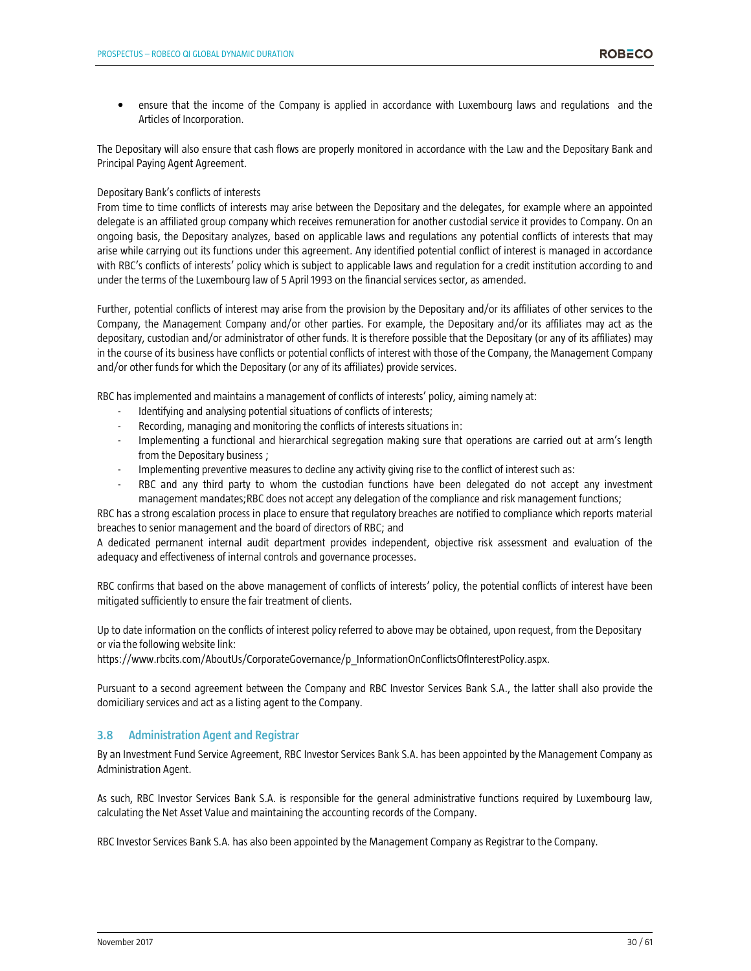• ensure that the income of the Company is applied in accordance with Luxembourg laws and regulations and the Articles of Incorporation.

The Depositary will also ensure that cash flows are properly monitored in accordance with the Law and the Depositary Bank and Principal Paying Agent Agreement.

#### Depositary Bank's conflicts of interests

From time to time conflicts of interests may arise between the Depositary and the delegates, for example where an appointed delegate is an affiliated group company which receives remuneration for another custodial service it provides to Company. On an ongoing basis, the Depositary analyzes, based on applicable laws and regulations any potential conflicts of interests that may arise while carrying out its functions under this agreement. Any identified potential conflict of interest is managed in accordance with RBC's conflicts of interests' policy which is subject to applicable laws and regulation for a credit institution according to and under the terms of the Luxembourg law of 5 April 1993 on the financial services sector, as amended.

Further, potential conflicts of interest may arise from the provision by the Depositary and/or its affiliates of other services to the Company, the Management Company and/or other parties. For example, the Depositary and/or its affiliates may act as the depositary, custodian and/or administrator of other funds. It is therefore possible that the Depositary (or any of its affiliates) may in the course of its business have conflicts or potential conflicts of interest with those of the Company, the Management Company and/or other funds for which the Depositary (or any of its affiliates) provide services.

RBC has implemented and maintains a management of conflicts of interests' policy, aiming namely at:

- Identifying and analysing potential situations of conflicts of interests;
- Recording, managing and monitoring the conflicts of interests situations in:
- Implementing a functional and hierarchical segregation making sure that operations are carried out at arm's length from the Depositary business ;
- Implementing preventive measures to decline any activity giving rise to the conflict of interest such as:
- RBC and any third party to whom the custodian functions have been delegated do not accept any investment management mandates;RBC does not accept any delegation of the compliance and risk management functions;

RBC has a strong escalation process in place to ensure that regulatory breaches are notified to compliance which reports material breaches to senior management and the board of directors of RBC; and

A dedicated permanent internal audit department provides independent, objective risk assessment and evaluation of the adequacy and effectiveness of internal controls and governance processes.

RBC confirms that based on the above management of conflicts of interests' policy, the potential conflicts of interest have been mitigated sufficiently to ensure the fair treatment of clients.

Up to date information on the conflicts of interest policy referred to above may be obtained, upon request, from the Depositary or via the following website link:

https://www.rbcits.com/AboutUs/CorporateGovernance/p\_InformationOnConflictsOfInterestPolicy.aspx.

Pursuant to a second agreement between the Company and RBC Investor Services Bank S.A., the latter shall also provide the domiciliary services and act as a listing agent to the Company.

# **3.8 Administration Agent and Registrar**

By an Investment Fund Service Agreement, RBC Investor Services Bank S.A. has been appointed by the Management Company as Administration Agent.

As such, RBC Investor Services Bank S.A. is responsible for the general administrative functions required by Luxembourg law, calculating the Net Asset Value and maintaining the accounting records of the Company.

RBC Investor Services Bank S.A. has also been appointed by the Management Company as Registrar to the Company.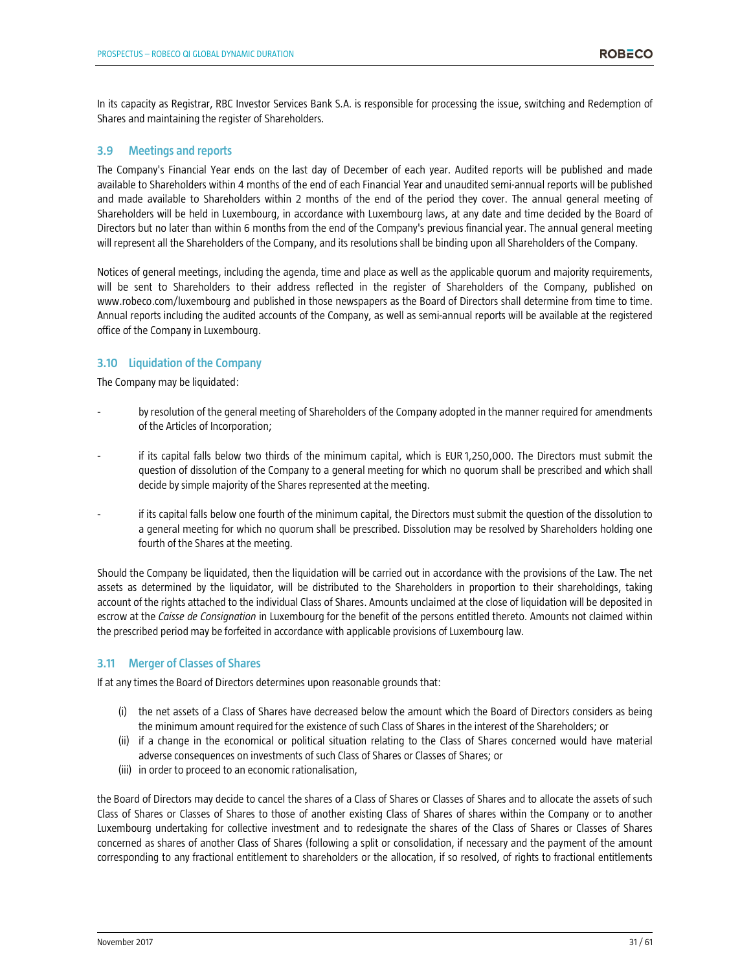In its capacity as Registrar, RBC Investor Services Bank S.A. is responsible for processing the issue, switching and Redemption of Shares and maintaining the register of Shareholders.

# **3.9 Meetings and reports**

The Company's Financial Year ends on the last day of December of each year. Audited reports will be published and made available to Shareholders within 4 months of the end of each Financial Year and unaudited semi-annual reports will be published and made available to Shareholders within 2 months of the end of the period they cover. The annual general meeting of Shareholders will be held in Luxembourg, in accordance with Luxembourg laws, at any date and time decided by the Board of Directors but no later than within 6 months from the end of the Company's previous financial year. The annual general meeting will represent all the Shareholders of the Company, and its resolutions shall be binding upon all Shareholders of the Company.

Notices of general meetings, including the agenda, time and place as well as the applicable quorum and majority requirements, will be sent to Shareholders to their address reflected in the register of Shareholders of the Company, published on www.robeco.com/luxembourg and published in those newspapers as the Board of Directors shall determine from time to time. Annual reports including the audited accounts of the Company, as well as semi-annual reports will be available at the registered office of the Company in Luxembourg.

# **3.10 Liquidation of the Company**

The Company may be liquidated:

- by resolution of the general meeting of Shareholders of the Company adopted in the manner required for amendments of the Articles of Incorporation;
- if its capital falls below two thirds of the minimum capital, which is EUR 1,250,000. The Directors must submit the question of dissolution of the Company to a general meeting for which no quorum shall be prescribed and which shall decide by simple majority of the Shares represented at the meeting.
- if its capital falls below one fourth of the minimum capital, the Directors must submit the question of the dissolution to a general meeting for which no quorum shall be prescribed. Dissolution may be resolved by Shareholders holding one fourth of the Shares at the meeting.

Should the Company be liquidated, then the liquidation will be carried out in accordance with the provisions of the Law. The net assets as determined by the liquidator, will be distributed to the Shareholders in proportion to their shareholdings, taking account of the rights attached to the individual Class of Shares. Amounts unclaimed at the close of liquidation will be deposited in escrow at the *Caisse de Consignation* in Luxembourg for the benefit of the persons entitled thereto. Amounts not claimed within the prescribed period may be forfeited in accordance with applicable provisions of Luxembourg law.

# **3.11 Merger of Classes of Shares**

If at any times the Board of Directors determines upon reasonable grounds that:

- (i) the net assets of a Class of Shares have decreased below the amount which the Board of Directors considers as being the minimum amount required for the existence of such Class of Shares in the interest of the Shareholders; or
- (ii) if a change in the economical or political situation relating to the Class of Shares concerned would have material adverse consequences on investments of such Class of Shares or Classes of Shares; or
- (iii) in order to proceed to an economic rationalisation,

the Board of Directors may decide to cancel the shares of a Class of Shares or Classes of Shares and to allocate the assets of such Class of Shares or Classes of Shares to those of another existing Class of Shares of shares within the Company or to another Luxembourg undertaking for collective investment and to redesignate the shares of the Class of Shares or Classes of Shares concerned as shares of another Class of Shares (following a split or consolidation, if necessary and the payment of the amount corresponding to any fractional entitlement to shareholders or the allocation, if so resolved, of rights to fractional entitlements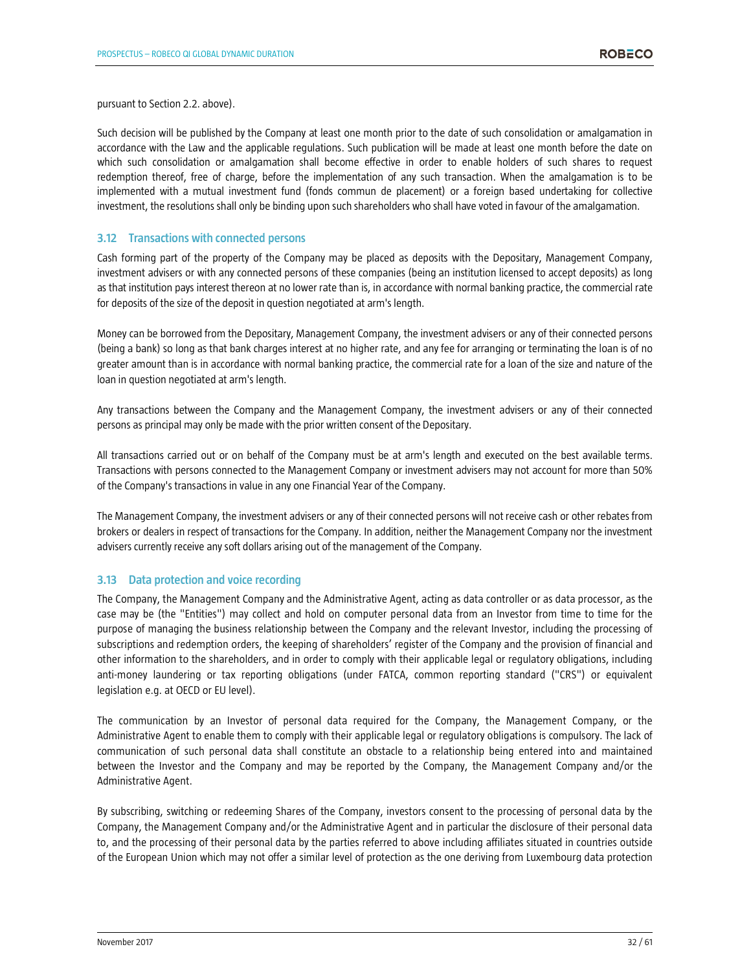pursuant to Section 2.2. above).

Such decision will be published by the Company at least one month prior to the date of such consolidation or amalgamation in accordance with the Law and the applicable regulations. Such publication will be made at least one month before the date on which such consolidation or amalgamation shall become effective in order to enable holders of such shares to request redemption thereof, free of charge, before the implementation of any such transaction. When the amalgamation is to be implemented with a mutual investment fund (fonds commun de placement) or a foreign based undertaking for collective investment, the resolutions shall only be binding upon such shareholders who shall have voted in favour of the amalgamation.

# **3.12 Transactions with connected persons**

Cash forming part of the property of the Company may be placed as deposits with the Depositary, Management Company, investment advisers or with any connected persons of these companies (being an institution licensed to accept deposits) as long as that institution pays interest thereon at no lower rate than is, in accordance with normal banking practice, the commercial rate for deposits of the size of the deposit in question negotiated at arm's length.

Money can be borrowed from the Depositary, Management Company, the investment advisers or any of their connected persons (being a bank) so long as that bank charges interest at no higher rate, and any fee for arranging or terminating the loan is of no greater amount than is in accordance with normal banking practice, the commercial rate for a loan of the size and nature of the loan in question negotiated at arm's length.

Any transactions between the Company and the Management Company, the investment advisers or any of their connected persons as principal may only be made with the prior written consent of the Depositary.

All transactions carried out or on behalf of the Company must be at arm's length and executed on the best available terms. Transactions with persons connected to the Management Company or investment advisers may not account for more than 50% of the Company's transactions in value in any one Financial Year of the Company.

The Management Company, the investment advisers or any of their connected persons will not receive cash or other rebates from brokers or dealers in respect of transactions for the Company. In addition, neither the Management Company nor the investment advisers currently receive any soft dollars arising out of the management of the Company.

# **3.13 Data protection and voice recording**

The Company, the Management Company and the Administrative Agent, acting as data controller or as data processor, as the case may be (the "Entities") may collect and hold on computer personal data from an Investor from time to time for the purpose of managing the business relationship between the Company and the relevant Investor, including the processing of subscriptions and redemption orders, the keeping of shareholders' register of the Company and the provision of financial and other information to the shareholders, and in order to comply with their applicable legal or regulatory obligations, including anti-money laundering or tax reporting obligations (under FATCA, common reporting standard ("CRS") or equivalent legislation e.g. at OECD or EU level).

The communication by an Investor of personal data required for the Company, the Management Company, or the Administrative Agent to enable them to comply with their applicable legal or regulatory obligations is compulsory. The lack of communication of such personal data shall constitute an obstacle to a relationship being entered into and maintained between the Investor and the Company and may be reported by the Company, the Management Company and/or the Administrative Agent.

By subscribing, switching or redeeming Shares of the Company, investors consent to the processing of personal data by the Company, the Management Company and/or the Administrative Agent and in particular the disclosure of their personal data to, and the processing of their personal data by the parties referred to above including affiliates situated in countries outside of the European Union which may not offer a similar level of protection as the one deriving from Luxembourg data protection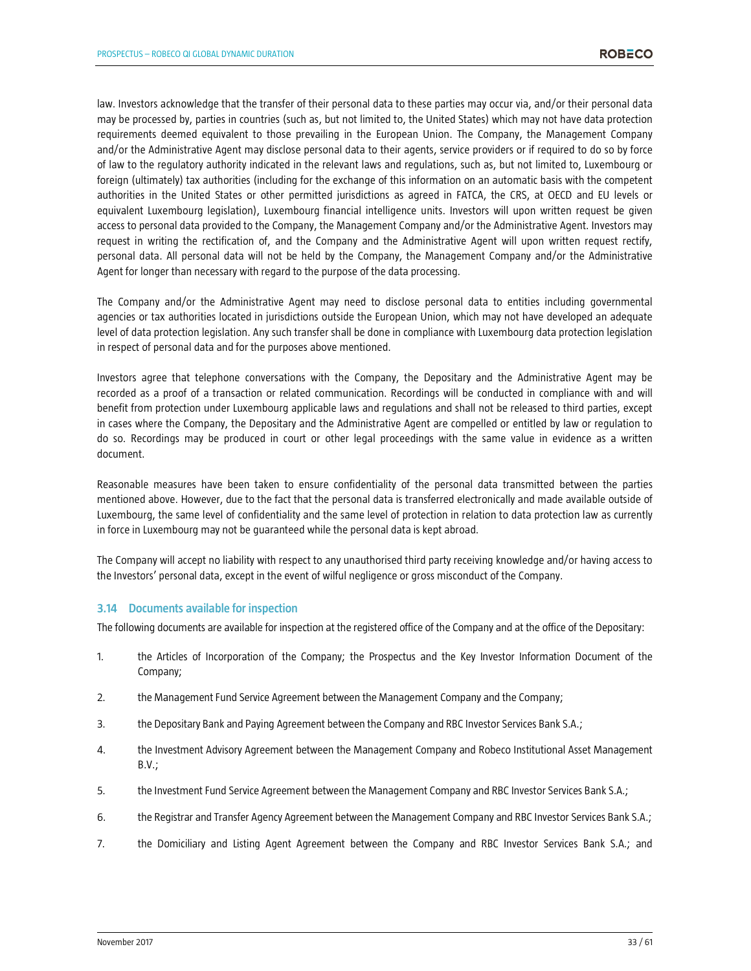law. Investors acknowledge that the transfer of their personal data to these parties may occur via, and/or their personal data may be processed by, parties in countries (such as, but not limited to, the United States) which may not have data protection requirements deemed equivalent to those prevailing in the European Union. The Company, the Management Company and/or the Administrative Agent may disclose personal data to their agents, service providers or if required to do so by force of law to the regulatory authority indicated in the relevant laws and regulations, such as, but not limited to, Luxembourg or foreign (ultimately) tax authorities (including for the exchange of this information on an automatic basis with the competent authorities in the United States or other permitted jurisdictions as agreed in FATCA, the CRS, at OECD and EU levels or equivalent Luxembourg legislation), Luxembourg financial intelligence units. Investors will upon written request be given access to personal data provided to the Company, the Management Company and/or the Administrative Agent. Investors may request in writing the rectification of, and the Company and the Administrative Agent will upon written request rectify, personal data. All personal data will not be held by the Company, the Management Company and/or the Administrative Agent for longer than necessary with regard to the purpose of the data processing.

The Company and/or the Administrative Agent may need to disclose personal data to entities including governmental agencies or tax authorities located in jurisdictions outside the European Union, which may not have developed an adequate level of data protection legislation. Any such transfer shall be done in compliance with Luxembourg data protection legislation in respect of personal data and for the purposes above mentioned.

Investors agree that telephone conversations with the Company, the Depositary and the Administrative Agent may be recorded as a proof of a transaction or related communication. Recordings will be conducted in compliance with and will benefit from protection under Luxembourg applicable laws and regulations and shall not be released to third parties, except in cases where the Company, the Depositary and the Administrative Agent are compelled or entitled by law or regulation to do so. Recordings may be produced in court or other legal proceedings with the same value in evidence as a written document.

Reasonable measures have been taken to ensure confidentiality of the personal data transmitted between the parties mentioned above. However, due to the fact that the personal data is transferred electronically and made available outside of Luxembourg, the same level of confidentiality and the same level of protection in relation to data protection law as currently in force in Luxembourg may not be guaranteed while the personal data is kept abroad.

The Company will accept no liability with respect to any unauthorised third party receiving knowledge and/or having access to the Investors' personal data, except in the event of wilful negligence or gross misconduct of the Company.

# **3.14 Documents available for inspection**

The following documents are available for inspection at the registered office of the Company and at the office of the Depositary:

- 1. the Articles of Incorporation of the Company; the Prospectus and the Key Investor Information Document of the Company;
- 2. the Management Fund Service Agreement between the Management Company and the Company;
- 3. the Depositary Bank and Paying Agreement between the Company and RBC Investor Services Bank S.A.;
- 4. the Investment Advisory Agreement between the Management Company and Robeco Institutional Asset Management B.V.;
- 5. the Investment Fund Service Agreement between the Management Company and RBC Investor Services Bank S.A.;
- 6. the Registrar and Transfer Agency Agreement between the Management Company and RBC Investor Services Bank S.A.;
- 7. the Domiciliary and Listing Agent Agreement between the Company and RBC Investor Services Bank S.A.; and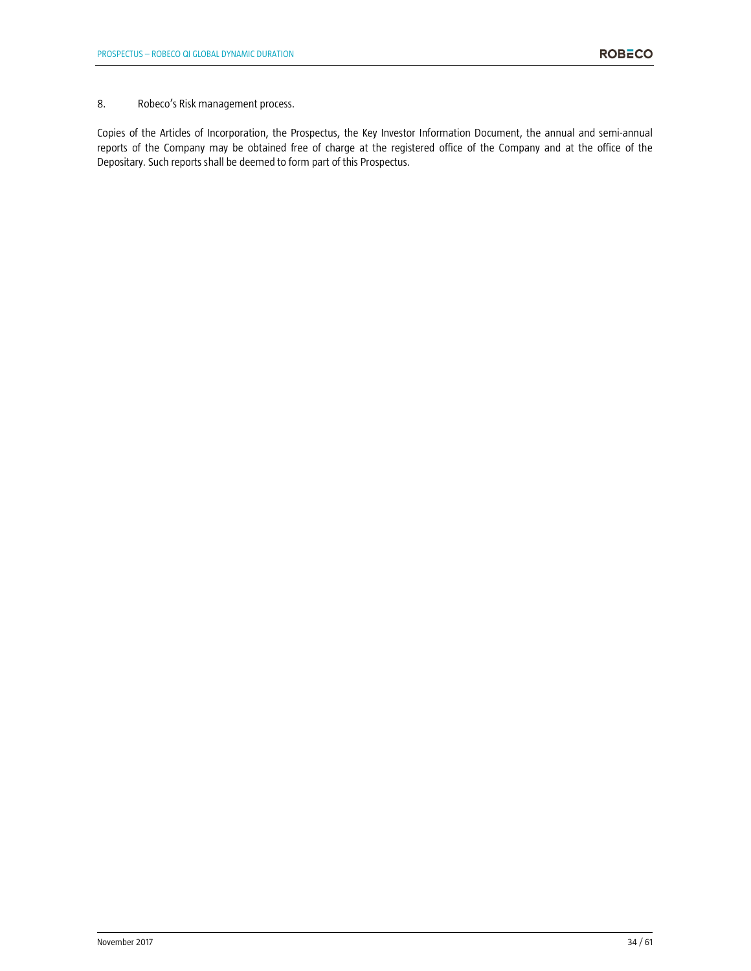# 8. Robeco's Risk management process.

Copies of the Articles of Incorporation, the Prospectus, the Key Investor Information Document, the annual and semi-annual reports of the Company may be obtained free of charge at the registered office of the Company and at the office of the Depositary. Such reports shall be deemed to form part of this Prospectus.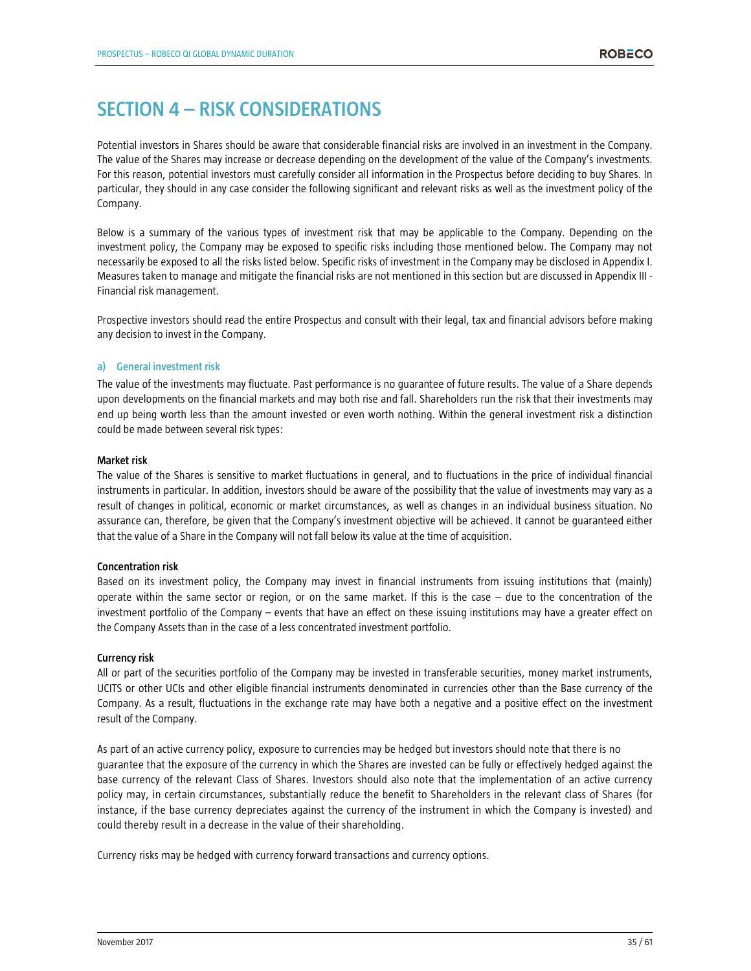# **SECTION 4 – RISK CONSIDERATIONS**

Potential investors in Shares should be aware that considerable financial risks are involved in an investment in the Company. The value of the Shares may increase or decrease depending on the development of the value of the Company's investments. For this reason, potential investors must carefully consider all information in the Prospectus before deciding to buy Shares. In particular, they should in any case consider the following significant and relevant risks as well as the investment policy of the Company.

Below is a summary of the various types of investment risk that may be applicable to the Company. Depending on the investment policy, the Company may be exposed to specific risks including those mentioned below. The Company may not necessarily be exposed to all the risks listed below. Specific risks of investment in the Company may be disclosed in Appendix I. Measures taken to manage and mitigate the financial risks are not mentioned in this section but are discussed in Appendix III - Financial risk management.

Prospective investors should read the entire Prospectus and consult with their legal, tax and financial advisors before making any decision to invest in the Company.

# **a) General investment risk**

The value of the investments may fluctuate. Past performance is no guarantee of future results. The value of a Share depends upon developments on the financial markets and may both rise and fall. Shareholders run the risk that their investments may end up being worth less than the amount invested or even worth nothing. Within the general investment risk a distinction could be made between several risk types:

#### **Market risk**

The value of the Shares is sensitive to market fluctuations in general, and to fluctuations in the price of individual financial instruments in particular. In addition, investors should be aware of the possibility that the value of investments may vary as a result of changes in political, economic or market circumstances, as well as changes in an individual business situation. No assurance can, therefore, be given that the Company's investment objective will be achieved. It cannot be guaranteed either that the value of a Share in the Company will not fall below its value at the time of acquisition.

# **Concentration risk**

Based on its investment policy, the Company may invest in financial instruments from issuing institutions that (mainly) operate within the same sector or region, or on the same market. If this is the case – due to the concentration of the investment portfolio of the Company – events that have an effect on these issuing institutions may have a greater effect on the Company Assets than in the case of a less concentrated investment portfolio.

# **Currency risk**

All or part of the securities portfolio of the Company may be invested in transferable securities, money market instruments, UCITS or other UCIs and other eligible financial instruments denominated in currencies other than the Base currency of the Company. As a result, fluctuations in the exchange rate may have both a negative and a positive effect on the investment result of the Company.

As part of an active currency policy, exposure to currencies may be hedged but investors should note that there is no guarantee that the exposure of the currency in which the Shares are invested can be fully or effectively hedged against the base currency of the relevant Class of Shares. Investors should also note that the implementation of an active currency policy may, in certain circumstances, substantially reduce the benefit to Shareholders in the relevant class of Shares (for instance, if the base currency depreciates against the currency of the instrument in which the Company is invested) and could thereby result in a decrease in the value of their shareholding.

Currency risks may be hedged with currency forward transactions and currency options.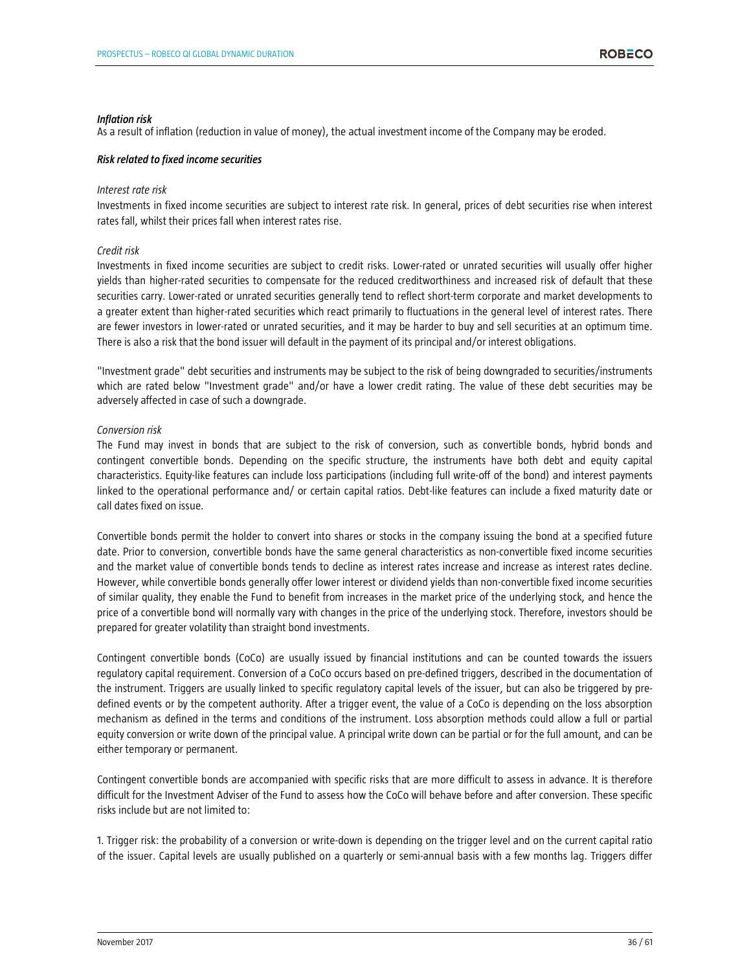#### *Inflation risk*

As a result of inflation (reduction in value of money), the actual investment income of the Company may be eroded.

#### *Risk related to fixed income securities*

#### *Interest rate risk*

Investments in fixed income securities are subject to interest rate risk. In general, prices of debt securities rise when interest rates fall, whilst their prices fall when interest rates rise.

#### *Credit risk*

Investments in fixed income securities are subject to credit risks. Lower-rated or unrated securities will usually offer higher yields than higher-rated securities to compensate for the reduced creditworthiness and increased risk of default that these securities carry. Lower-rated or unrated securities generally tend to reflect short-term corporate and market developments to a greater extent than higher-rated securities which react primarily to fluctuations in the general level of interest rates. There are fewer investors in lower-rated or unrated securities, and it may be harder to buy and sell securities at an optimum time. There is also a risk that the bond issuer will default in the payment of its principal and/or interest obligations.

"Investment grade" debt securities and instruments may be subject to the risk of being downgraded to securities/instruments which are rated below "Investment grade" and/or have a lower credit rating. The value of these debt securities may be adversely affected in case of such a downgrade.

#### *Conversion risk*

The Fund may invest in bonds that are subject to the risk of conversion, such as convertible bonds, hybrid bonds and contingent convertible bonds. Depending on the specific structure, the instruments have both debt and equity capital characteristics. Equity-like features can include loss participations (including full write-off of the bond) and interest payments linked to the operational performance and/ or certain capital ratios. Debt-like features can include a fixed maturity date or call dates fixed on issue.

Convertible bonds permit the holder to convert into shares or stocks in the company issuing the bond at a specified future date. Prior to conversion, convertible bonds have the same general characteristics as non-convertible fixed income securities and the market value of convertible bonds tends to decline as interest rates increase and increase as interest rates decline. However, while convertible bonds generally offer lower interest or dividend yields than non-convertible fixed income securities of similar quality, they enable the Fund to benefit from increases in the market price of the underlying stock, and hence the price of a convertible bond will normally vary with changes in the price of the underlying stock. Therefore, investors should be prepared for greater volatility than straight bond investments.

Contingent convertible bonds (CoCo) are usually issued by financial institutions and can be counted towards the issuers regulatory capital requirement. Conversion of a CoCo occurs based on pre-defined triggers, described in the documentation of the instrument. Triggers are usually linked to specific regulatory capital levels of the issuer, but can also be triggered by predefined events or by the competent authority. After a trigger event, the value of a CoCo is depending on the loss absorption mechanism as defined in the terms and conditions of the instrument. Loss absorption methods could allow a full or partial equity conversion or write down of the principal value. A principal write down can be partial or for the full amount, and can be either temporary or permanent.

Contingent convertible bonds are accompanied with specific risks that are more difficult to assess in advance. It is therefore difficult for the Investment Adviser of the Fund to assess how the CoCo will behave before and after conversion. These specific risks include but are not limited to:

1. Trigger risk: the probability of a conversion or write-down is depending on the trigger level and on the current capital ratio of the issuer. Capital levels are usually published on a quarterly or semi-annual basis with a few months lag. Triggers differ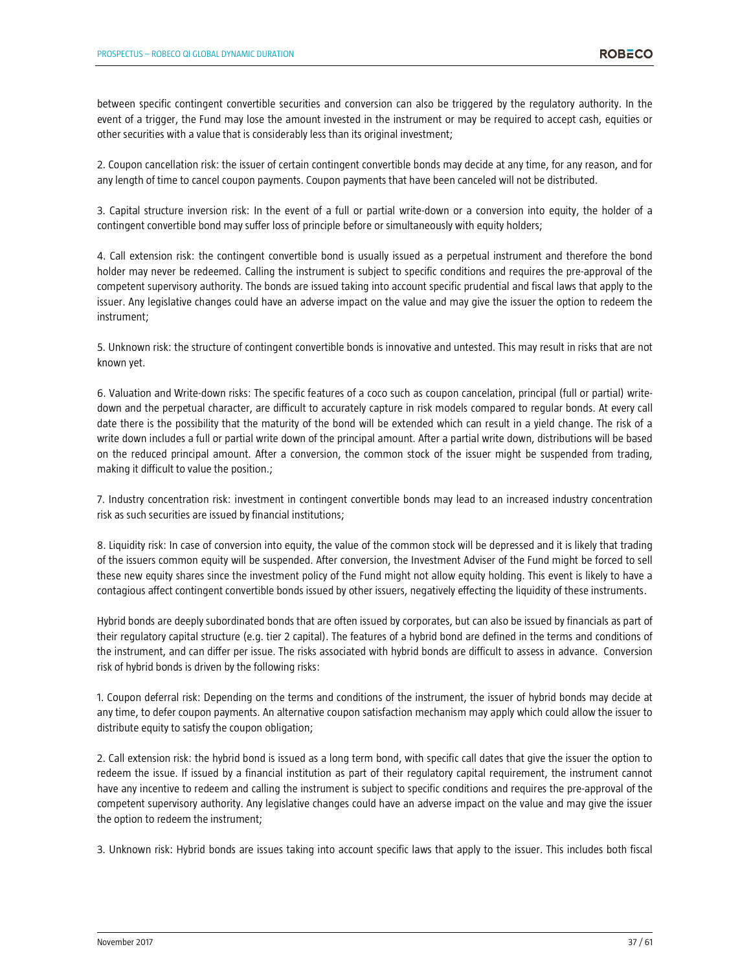between specific contingent convertible securities and conversion can also be triggered by the regulatory authority. In the event of a trigger, the Fund may lose the amount invested in the instrument or may be required to accept cash, equities or other securities with a value that is considerably less than its original investment;

2. Coupon cancellation risk: the issuer of certain contingent convertible bonds may decide at any time, for any reason, and for any length of time to cancel coupon payments. Coupon payments that have been canceled will not be distributed.

3. Capital structure inversion risk: In the event of a full or partial write-down or a conversion into equity, the holder of a contingent convertible bond may suffer loss of principle before or simultaneously with equity holders;

4. Call extension risk: the contingent convertible bond is usually issued as a perpetual instrument and therefore the bond holder may never be redeemed. Calling the instrument is subject to specific conditions and requires the pre-approval of the competent supervisory authority. The bonds are issued taking into account specific prudential and fiscal laws that apply to the issuer. Any legislative changes could have an adverse impact on the value and may give the issuer the option to redeem the instrument;

5. Unknown risk: the structure of contingent convertible bonds is innovative and untested. This may result in risks that are not known yet.

6. Valuation and Write-down risks: The specific features of a coco such as coupon cancelation, principal (full or partial) writedown and the perpetual character, are difficult to accurately capture in risk models compared to regular bonds. At every call date there is the possibility that the maturity of the bond will be extended which can result in a yield change. The risk of a write down includes a full or partial write down of the principal amount. After a partial write down, distributions will be based on the reduced principal amount. After a conversion, the common stock of the issuer might be suspended from trading, making it difficult to value the position.;

7. Industry concentration risk: investment in contingent convertible bonds may lead to an increased industry concentration risk as such securities are issued by financial institutions;

8. Liquidity risk: In case of conversion into equity, the value of the common stock will be depressed and it is likely that trading of the issuers common equity will be suspended. After conversion, the Investment Adviser of the Fund might be forced to sell these new equity shares since the investment policy of the Fund might not allow equity holding. This event is likely to have a contagious affect contingent convertible bonds issued by other issuers, negatively effecting the liquidity of these instruments.

Hybrid bonds are deeply subordinated bonds that are often issued by corporates, but can also be issued by financials as part of their regulatory capital structure (e.g. tier 2 capital). The features of a hybrid bond are defined in the terms and conditions of the instrument, and can differ per issue. The risks associated with hybrid bonds are difficult to assess in advance. Conversion risk of hybrid bonds is driven by the following risks:

1. Coupon deferral risk: Depending on the terms and conditions of the instrument, the issuer of hybrid bonds may decide at any time, to defer coupon payments. An alternative coupon satisfaction mechanism may apply which could allow the issuer to distribute equity to satisfy the coupon obligation;

2. Call extension risk: the hybrid bond is issued as a long term bond, with specific call dates that give the issuer the option to redeem the issue. If issued by a financial institution as part of their regulatory capital requirement, the instrument cannot have any incentive to redeem and calling the instrument is subject to specific conditions and requires the pre-approval of the competent supervisory authority. Any legislative changes could have an adverse impact on the value and may give the issuer the option to redeem the instrument;

3. Unknown risk: Hybrid bonds are issues taking into account specific laws that apply to the issuer. This includes both fiscal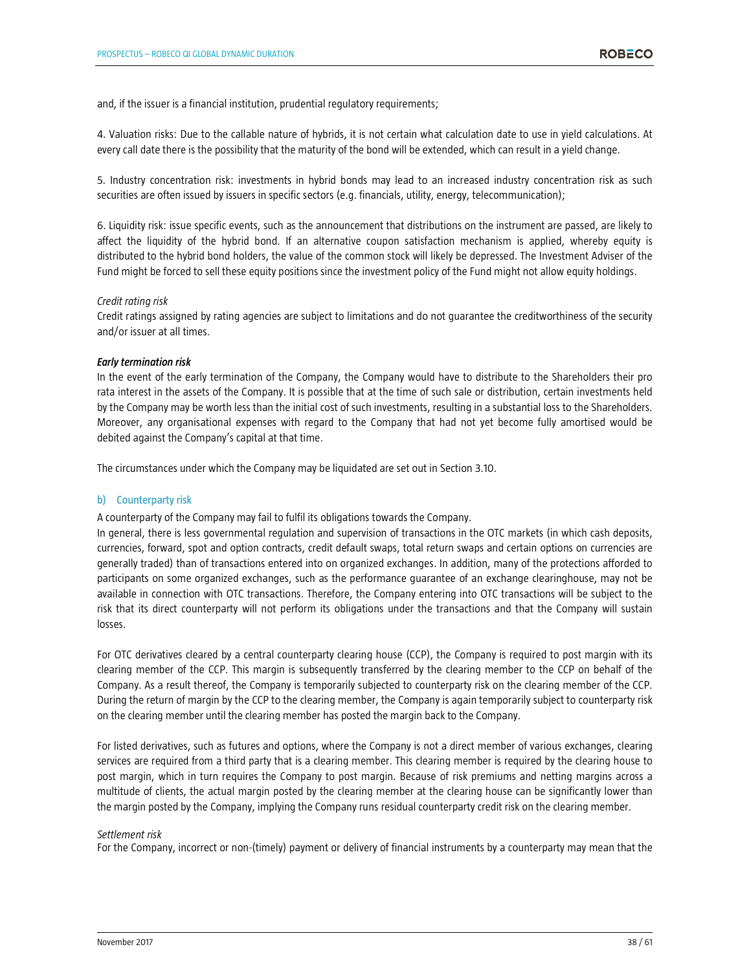and, if the issuer is a financial institution, prudential regulatory requirements;

4. Valuation risks: Due to the callable nature of hybrids, it is not certain what calculation date to use in yield calculations. At every call date there is the possibility that the maturity of the bond will be extended, which can result in a yield change.

5. Industry concentration risk: investments in hybrid bonds may lead to an increased industry concentration risk as such securities are often issued by issuers in specific sectors (e.g. financials, utility, energy, telecommunication);

6. Liquidity risk: issue specific events, such as the announcement that distributions on the instrument are passed, are likely to affect the liquidity of the hybrid bond. If an alternative coupon satisfaction mechanism is applied, whereby equity is distributed to the hybrid bond holders, the value of the common stock will likely be depressed. The Investment Adviser of the Fund might be forced to sell these equity positions since the investment policy of the Fund might not allow equity holdings.

#### *Credit rating risk*

Credit ratings assigned by rating agencies are subject to limitations and do not guarantee the creditworthiness of the security and/or issuer at all times.

#### *Early termination risk*

In the event of the early termination of the Company, the Company would have to distribute to the Shareholders their pro rata interest in the assets of the Company. It is possible that at the time of such sale or distribution, certain investments held by the Company may be worth less than the initial cost of such investments, resulting in a substantial loss to the Shareholders. Moreover, any organisational expenses with regard to the Company that had not yet become fully amortised would be debited against the Company's capital at that time.

The circumstances under which the Company may be liquidated are set out in Section 3.10.

#### **b) Counterparty risk**

A counterparty of the Company may fail to fulfil its obligations towards the Company.

In general, there is less governmental regulation and supervision of transactions in the OTC markets (in which cash deposits, currencies, forward, spot and option contracts, credit default swaps, total return swaps and certain options on currencies are generally traded) than of transactions entered into on organized exchanges. In addition, many of the protections afforded to participants on some organized exchanges, such as the performance guarantee of an exchange clearinghouse, may not be available in connection with OTC transactions. Therefore, the Company entering into OTC transactions will be subject to the risk that its direct counterparty will not perform its obligations under the transactions and that the Company will sustain losses.

For OTC derivatives cleared by a central counterparty clearing house (CCP), the Company is required to post margin with its clearing member of the CCP. This margin is subsequently transferred by the clearing member to the CCP on behalf of the Company. As a result thereof, the Company is temporarily subjected to counterparty risk on the clearing member of the CCP. During the return of margin by the CCP to the clearing member, the Company is again temporarily subject to counterparty risk on the clearing member until the clearing member has posted the margin back to the Company.

For listed derivatives, such as futures and options, where the Company is not a direct member of various exchanges, clearing services are required from a third party that is a clearing member. This clearing member is required by the clearing house to post margin, which in turn requires the Company to post margin. Because of risk premiums and netting margins across a multitude of clients, the actual margin posted by the clearing member at the clearing house can be significantly lower than the margin posted by the Company, implying the Company runs residual counterparty credit risk on the clearing member.

#### *Settlement risk*

For the Company, incorrect or non-(timely) payment or delivery of financial instruments by a counterparty may mean that the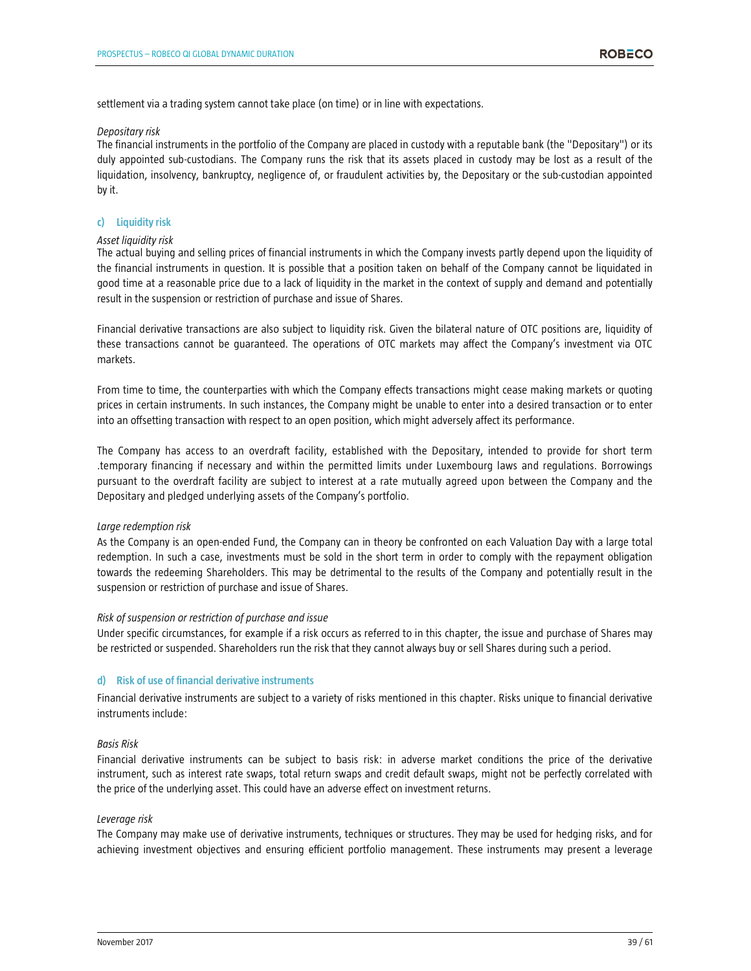settlement via a trading system cannot take place (on time) or in line with expectations.

#### *Depositary risk*

The financial instruments in the portfolio of the Company are placed in custody with a reputable bank (the "Depositary") or its duly appointed sub-custodians. The Company runs the risk that its assets placed in custody may be lost as a result of the liquidation, insolvency, bankruptcy, negligence of, or fraudulent activities by, the Depositary or the sub-custodian appointed by it.

# **c) Liquidity risk**

#### *Asset liquidity risk*

The actual buying and selling prices of financial instruments in which the Company invests partly depend upon the liquidity of the financial instruments in question. It is possible that a position taken on behalf of the Company cannot be liquidated in good time at a reasonable price due to a lack of liquidity in the market in the context of supply and demand and potentially result in the suspension or restriction of purchase and issue of Shares.

Financial derivative transactions are also subject to liquidity risk. Given the bilateral nature of OTC positions are, liquidity of these transactions cannot be guaranteed. The operations of OTC markets may affect the Company's investment via OTC markets.

From time to time, the counterparties with which the Company effects transactions might cease making markets or quoting prices in certain instruments. In such instances, the Company might be unable to enter into a desired transaction or to enter into an offsetting transaction with respect to an open position, which might adversely affect its performance.

The Company has access to an overdraft facility, established with the Depositary, intended to provide for short term .temporary financing if necessary and within the permitted limits under Luxembourg laws and regulations. Borrowings pursuant to the overdraft facility are subject to interest at a rate mutually agreed upon between the Company and the Depositary and pledged underlying assets of the Company's portfolio.

#### *Large redemption risk*

As the Company is an open-ended Fund, the Company can in theory be confronted on each Valuation Day with a large total redemption. In such a case, investments must be sold in the short term in order to comply with the repayment obligation towards the redeeming Shareholders. This may be detrimental to the results of the Company and potentially result in the suspension or restriction of purchase and issue of Shares.

#### *Risk of suspension or restriction of purchase and issue*

Under specific circumstances, for example if a risk occurs as referred to in this chapter, the issue and purchase of Shares may be restricted or suspended. Shareholders run the risk that they cannot always buy or sell Shares during such a period.

#### **d) Risk of use of financial derivative instruments**

Financial derivative instruments are subject to a variety of risks mentioned in this chapter. Risks unique to financial derivative instruments include:

#### *Basis Risk*

Financial derivative instruments can be subject to basis risk: in adverse market conditions the price of the derivative instrument, such as interest rate swaps, total return swaps and credit default swaps, might not be perfectly correlated with the price of the underlying asset. This could have an adverse effect on investment returns.

#### *Leverage risk*

The Company may make use of derivative instruments, techniques or structures. They may be used for hedging risks, and for achieving investment objectives and ensuring efficient portfolio management. These instruments may present a leverage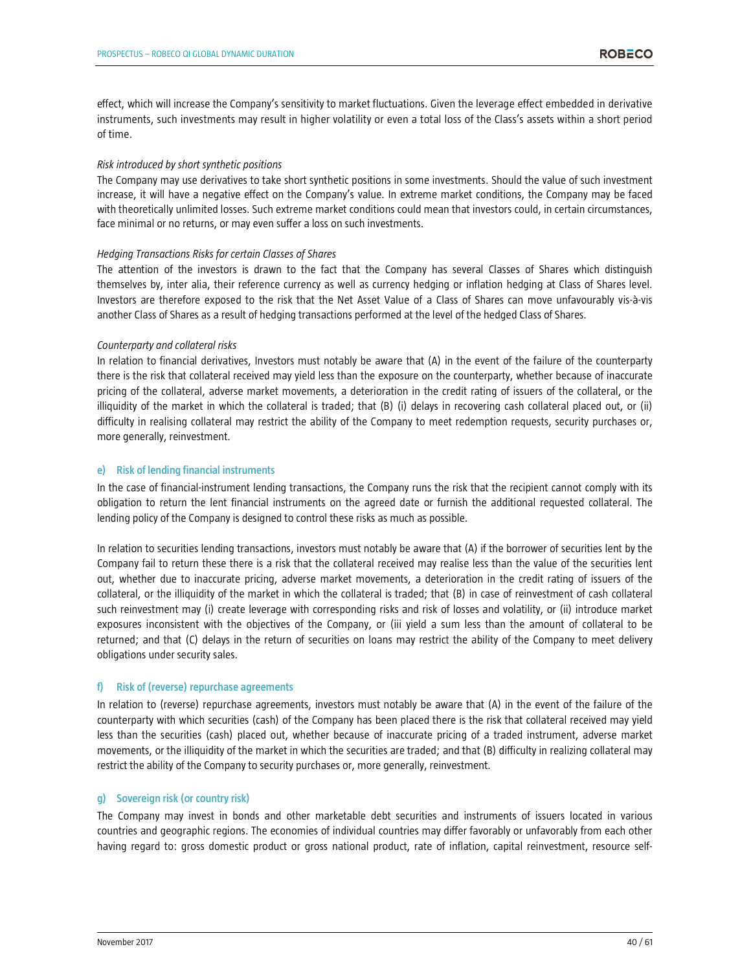effect, which will increase the Company's sensitivity to market fluctuations. Given the leverage effect embedded in derivative instruments, such investments may result in higher volatility or even a total loss of the Class's assets within a short period of time.

#### *Risk introduced by short synthetic positions*

The Company may use derivatives to take short synthetic positions in some investments. Should the value of such investment increase, it will have a negative effect on the Company's value. In extreme market conditions, the Company may be faced with theoretically unlimited losses. Such extreme market conditions could mean that investors could, in certain circumstances, face minimal or no returns, or may even suffer a loss on such investments.

#### *Hedging Transactions Risks for certain Classes of Shares*

The attention of the investors is drawn to the fact that the Company has several Classes of Shares which distinguish themselves by, inter alia, their reference currency as well as currency hedging or inflation hedging at Class of Shares level. Investors are therefore exposed to the risk that the Net Asset Value of a Class of Shares can move unfavourably vis-à-vis another Class of Shares as a result of hedging transactions performed at the level of the hedged Class of Shares.

#### *Counterparty and collateral risks*

In relation to financial derivatives, Investors must notably be aware that (A) in the event of the failure of the counterparty there is the risk that collateral received may yield less than the exposure on the counterparty, whether because of inaccurate pricing of the collateral, adverse market movements, a deterioration in the credit rating of issuers of the collateral, or the illiquidity of the market in which the collateral is traded; that (B) (i) delays in recovering cash collateral placed out, or (ii) difficulty in realising collateral may restrict the ability of the Company to meet redemption requests, security purchases or, more generally, reinvestment.

#### **e) Risk of lending financial instruments**

In the case of financial-instrument lending transactions, the Company runs the risk that the recipient cannot comply with its obligation to return the lent financial instruments on the agreed date or furnish the additional requested collateral. The lending policy of the Company is designed to control these risks as much as possible.

In relation to securities lending transactions, investors must notably be aware that (A) if the borrower of securities lent by the Company fail to return these there is a risk that the collateral received may realise less than the value of the securities lent out, whether due to inaccurate pricing, adverse market movements, a deterioration in the credit rating of issuers of the collateral, or the illiquidity of the market in which the collateral is traded; that (B) in case of reinvestment of cash collateral such reinvestment may (i) create leverage with corresponding risks and risk of losses and volatility, or (ii) introduce market exposures inconsistent with the objectives of the Company, or (iii yield a sum less than the amount of collateral to be returned; and that (C) delays in the return of securities on loans may restrict the ability of the Company to meet delivery obligations under security sales.

# **f) Risk of (reverse) repurchase agreements**

In relation to (reverse) repurchase agreements, investors must notably be aware that (A) in the event of the failure of the counterparty with which securities (cash) of the Company has been placed there is the risk that collateral received may yield less than the securities (cash) placed out, whether because of inaccurate pricing of a traded instrument, adverse market movements, or the illiquidity of the market in which the securities are traded; and that (B) difficulty in realizing collateral may restrict the ability of the Company to security purchases or, more generally, reinvestment.

# **g) Sovereign risk (or country risk)**

The Company may invest in bonds and other marketable debt securities and instruments of issuers located in various countries and geographic regions. The economies of individual countries may differ favorably or unfavorably from each other having regard to: gross domestic product or gross national product, rate of inflation, capital reinvestment, resource self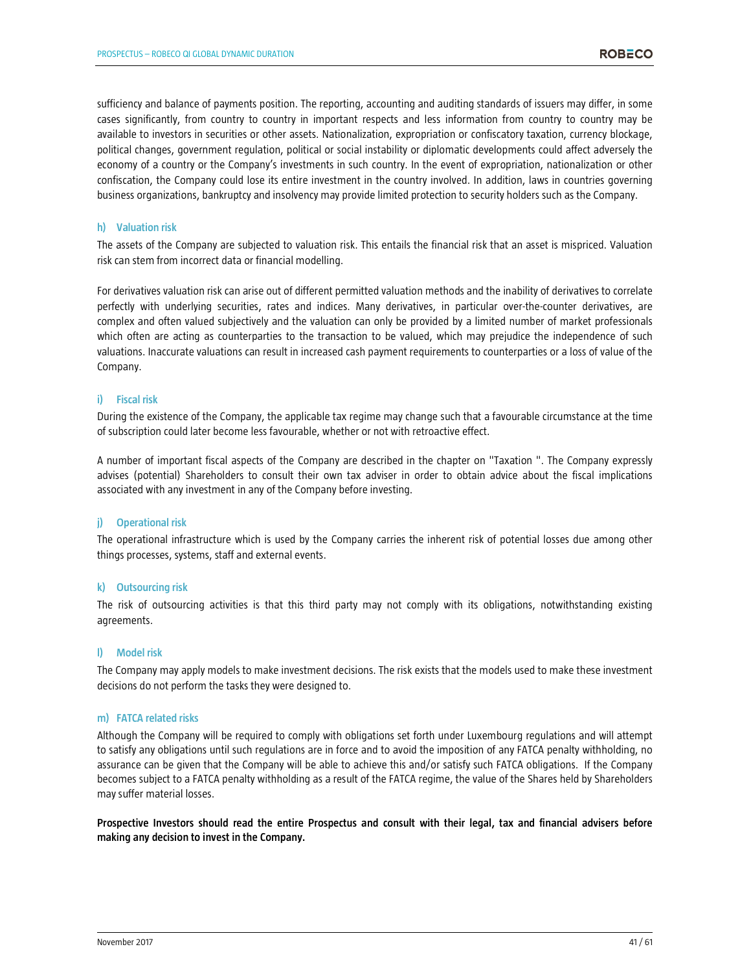sufficiency and balance of payments position. The reporting, accounting and auditing standards of issuers may differ, in some cases significantly, from country to country in important respects and less information from country to country may be available to investors in securities or other assets. Nationalization, expropriation or confiscatory taxation, currency blockage, political changes, government regulation, political or social instability or diplomatic developments could affect adversely the economy of a country or the Company's investments in such country. In the event of expropriation, nationalization or other confiscation, the Company could lose its entire investment in the country involved. In addition, laws in countries governing business organizations, bankruptcy and insolvency may provide limited protection to security holders such as the Company.

#### **h) Valuation risk**

The assets of the Company are subjected to valuation risk. This entails the financial risk that an asset is mispriced. Valuation risk can stem from incorrect data or financial modelling.

For derivatives valuation risk can arise out of different permitted valuation methods and the inability of derivatives to correlate perfectly with underlying securities, rates and indices. Many derivatives, in particular over-the-counter derivatives, are complex and often valued subjectively and the valuation can only be provided by a limited number of market professionals which often are acting as counterparties to the transaction to be valued, which may prejudice the independence of such valuations. Inaccurate valuations can result in increased cash payment requirements to counterparties or a loss of value of the Company.

# **i) Fiscal risk**

During the existence of the Company, the applicable tax regime may change such that a favourable circumstance at the time of subscription could later become less favourable, whether or not with retroactive effect.

A number of important fiscal aspects of the Company are described in the chapter on "Taxation ". The Company expressly advises (potential) Shareholders to consult their own tax adviser in order to obtain advice about the fiscal implications associated with any investment in any of the Company before investing.

# **j) Operational risk**

The operational infrastructure which is used by the Company carries the inherent risk of potential losses due among other things processes, systems, staff and external events.

#### **k) Outsourcing risk**

The risk of outsourcing activities is that this third party may not comply with its obligations, notwithstanding existing agreements.

#### **l) Model risk**

The Company may apply models to make investment decisions. The risk exists that the models used to make these investment decisions do not perform the tasks they were designed to.

#### **m) FATCA related risks**

Although the Company will be required to comply with obligations set forth under Luxembourg regulations and will attempt to satisfy any obligations until such regulations are in force and to avoid the imposition of any FATCA penalty withholding, no assurance can be given that the Company will be able to achieve this and/or satisfy such FATCA obligations. If the Company becomes subject to a FATCA penalty withholding as a result of the FATCA regime, the value of the Shares held by Shareholders may suffer material losses.

**Prospective Investors should read the entire Prospectus and consult with their legal, tax and financial advisers before making any decision to invest in the Company.**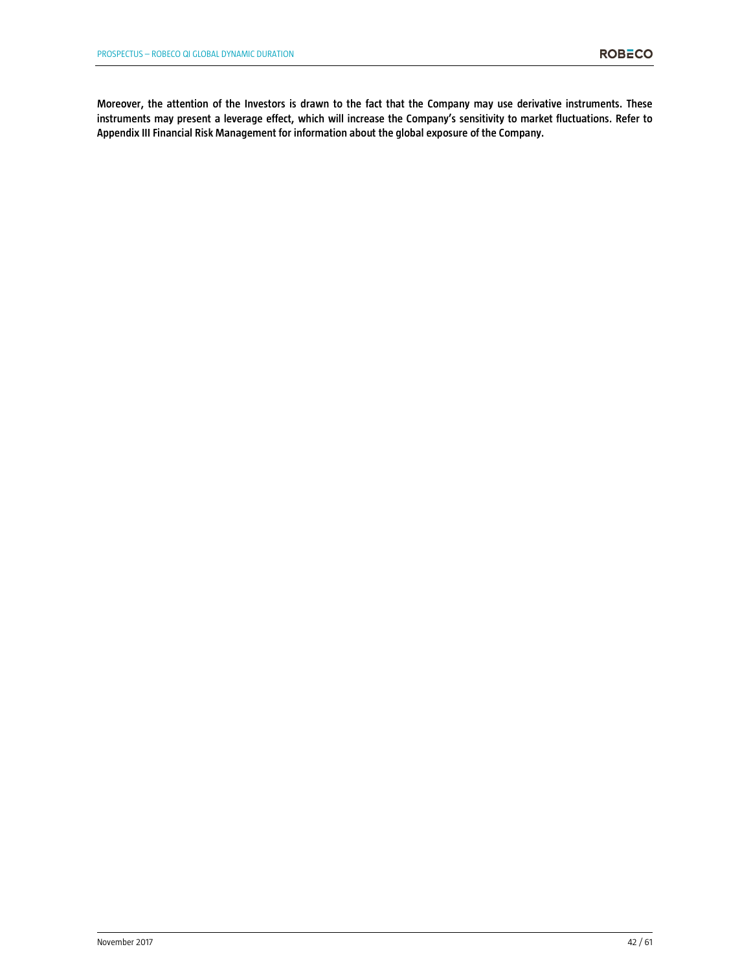**Moreover, the attention of the Investors is drawn to the fact that the Company may use derivative instruments. These instruments may present a leverage effect, which will increase the Company's sensitivity to market fluctuations. Refer to Appendix III Financial Risk Management for information about the global exposure of the Company.**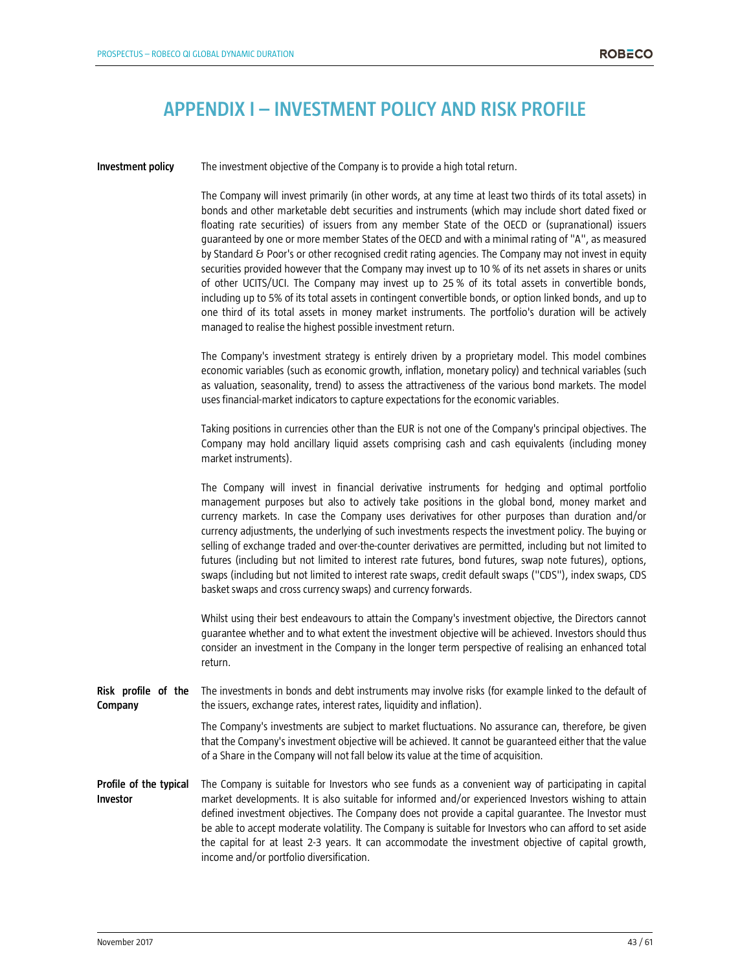# **APPENDIX I – INVESTMENT POLICY AND RISK PROFILE**

**Investment policy** The investment objective of the Company is to provide a high total return.

The Company will invest primarily (in other words, at any time at least two thirds of its total assets) in bonds and other marketable debt securities and instruments (which may include short dated fixed or floating rate securities) of issuers from any member State of the OECD or (supranational) issuers guaranteed by one or more member States of the OECD and with a minimal rating of "A", as measured by Standard & Poor's or other recognised credit rating agencies. The Company may not invest in equity securities provided however that the Company may invest up to 10 % of its net assets in shares or units of other UCITS/UCI. The Company may invest up to 25 % of its total assets in convertible bonds, including up to 5% of its total assets in contingent convertible bonds, or option linked bonds, and up to one third of its total assets in money market instruments. The portfolio's duration will be actively managed to realise the highest possible investment return.

The Company's investment strategy is entirely driven by a proprietary model. This model combines economic variables (such as economic growth, inflation, monetary policy) and technical variables (such as valuation, seasonality, trend) to assess the attractiveness of the various bond markets. The model uses financial-market indicators to capture expectations for the economic variables.

Taking positions in currencies other than the EUR is not one of the Company's principal objectives. The Company may hold ancillary liquid assets comprising cash and cash equivalents (including money market instruments).

The Company will invest in financial derivative instruments for hedging and optimal portfolio management purposes but also to actively take positions in the global bond, money market and currency markets. In case the Company uses derivatives for other purposes than duration and/or currency adjustments, the underlying of such investments respects the investment policy. The buying or selling of exchange traded and over-the-counter derivatives are permitted, including but not limited to futures (including but not limited to interest rate futures, bond futures, swap note futures), options, swaps (including but not limited to interest rate swaps, credit default swaps ("CDS"), index swaps, CDS basket swaps and cross currency swaps) and currency forwards.

Whilst using their best endeavours to attain the Company's investment objective, the Directors cannot guarantee whether and to what extent the investment objective will be achieved. Investors should thus consider an investment in the Company in the longer term perspective of realising an enhanced total return.

**Risk profile of the Company** The investments in bonds and debt instruments may involve risks (for example linked to the default of the issuers, exchange rates, interest rates, liquidity and inflation).

> The Company's investments are subject to market fluctuations. No assurance can, therefore, be given that the Company's investment objective will be achieved. It cannot be guaranteed either that the value of a Share in the Company will not fall below its value at the time of acquisition.

**Profile of the typical Investor**  The Company is suitable for Investors who see funds as a convenient way of participating in capital market developments. It is also suitable for informed and/or experienced Investors wishing to attain defined investment objectives. The Company does not provide a capital guarantee. The Investor must be able to accept moderate volatility. The Company is suitable for Investors who can afford to set aside the capital for at least 2-3 years. It can accommodate the investment objective of capital growth, income and/or portfolio diversification.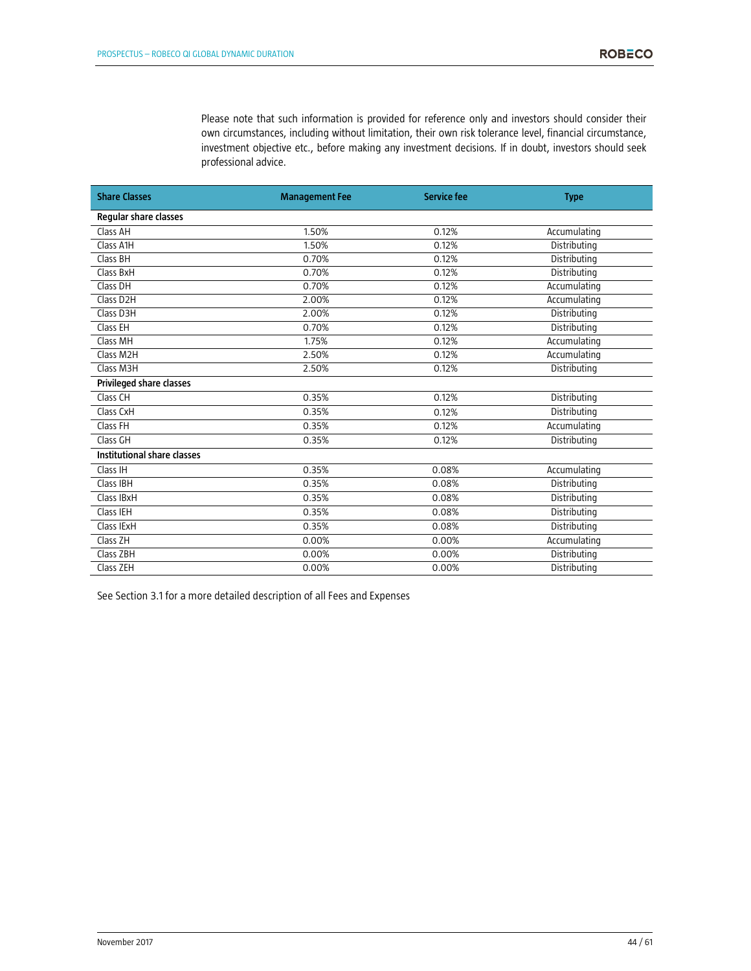Please note that such information is provided for reference only and investors should consider their own circumstances, including without limitation, their own risk tolerance level, financial circumstance, investment objective etc., before making any investment decisions. If in doubt, investors should seek professional advice.

| <b>Share Classes</b>        | <b>Management Fee</b> | Service fee | <b>Type</b>  |
|-----------------------------|-----------------------|-------------|--------------|
| Regular share classes       |                       |             |              |
| Class AH                    | 1.50%                 | 0.12%       | Accumulating |
| Class A1H                   | 1.50%                 | 0.12%       | Distributing |
| Class BH                    | 0.70%                 | 0.12%       | Distributing |
| Class BxH                   | 0.70%                 | 0.12%       | Distributing |
| Class DH                    | 0.70%                 | 0.12%       | Accumulating |
| Class D2H                   | 2.00%                 | 0.12%       | Accumulating |
| Class D3H                   | 2.00%                 | 0.12%       | Distributing |
| Class EH                    | 0.70%                 | 0.12%       | Distributing |
| Class MH                    | 1.75%                 | 0.12%       | Accumulating |
| Class M2H                   | 2.50%                 | 0.12%       | Accumulating |
| Class M3H                   | 2.50%                 | 0.12%       | Distributing |
| Privileged share classes    |                       |             |              |
| Class CH                    | 0.35%                 | 0.12%       | Distributing |
| Class CxH                   | 0.35%                 | 0.12%       | Distributing |
| Class FH                    | 0.35%                 | 0.12%       | Accumulating |
| Class GH                    | 0.35%                 | 0.12%       | Distributing |
| Institutional share classes |                       |             |              |
| Class IH                    | 0.35%                 | 0.08%       | Accumulating |
| Class IBH                   | 0.35%                 | 0.08%       | Distributing |
| Class IBxH                  | 0.35%                 | 0.08%       | Distributing |
| Class IEH                   | 0.35%                 | 0.08%       | Distributing |
| Class IExH                  | 0.35%                 | 0.08%       | Distributing |
| Class ZH                    | 0.00%                 | 0.00%       | Accumulating |
| Class ZBH                   | 0.00%                 | 0.00%       | Distributing |
| Class ZEH                   | 0.00%                 | 0.00%       | Distributing |

See Section 3.1 for a more detailed description of all Fees and Expenses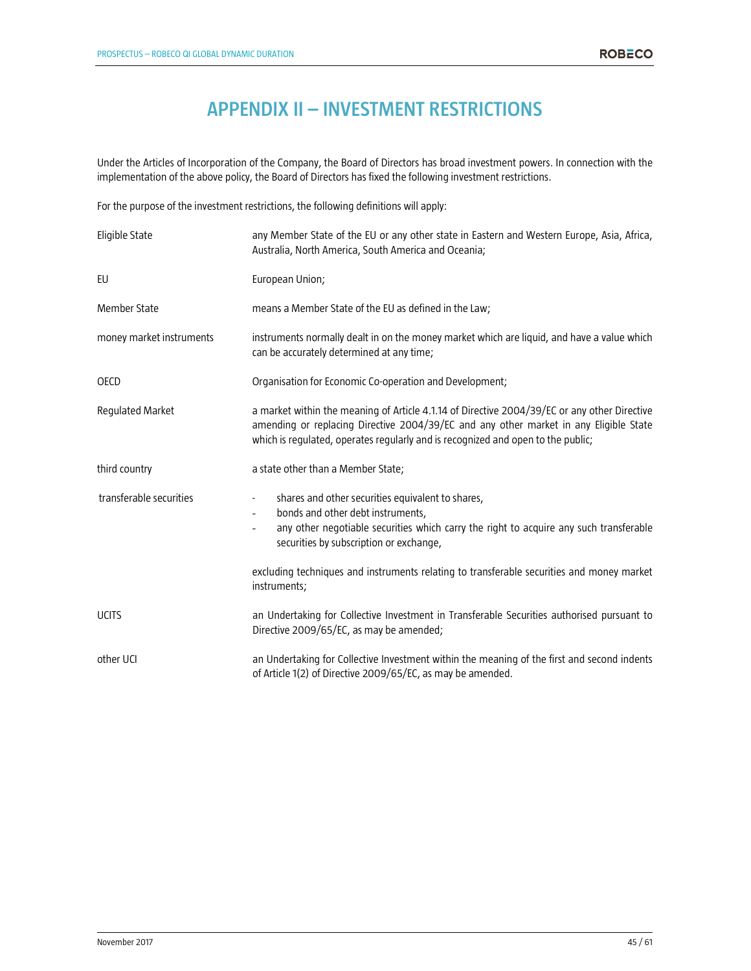# **APPENDIX II – INVESTMENT RESTRICTIONS**

Under the Articles of Incorporation of the Company, the Board of Directors has broad investment powers. In connection with the implementation of the above policy, the Board of Directors has fixed the following investment restrictions.

For the purpose of the investment restrictions, the following definitions will apply:

| Eligible State           | any Member State of the EU or any other state in Eastern and Western Europe, Asia, Africa,<br>Australia, North America, South America and Oceania;                                                                                                                        |  |  |  |
|--------------------------|---------------------------------------------------------------------------------------------------------------------------------------------------------------------------------------------------------------------------------------------------------------------------|--|--|--|
| EU                       | European Union;                                                                                                                                                                                                                                                           |  |  |  |
| <b>Member State</b>      | means a Member State of the EU as defined in the Law;                                                                                                                                                                                                                     |  |  |  |
| money market instruments | instruments normally dealt in on the money market which are liquid, and have a value which<br>can be accurately determined at any time;                                                                                                                                   |  |  |  |
| <b>OECD</b>              | Organisation for Economic Co-operation and Development;                                                                                                                                                                                                                   |  |  |  |
| Regulated Market         | a market within the meaning of Article 4.1.14 of Directive 2004/39/EC or any other Directive<br>amending or replacing Directive 2004/39/EC and any other market in any Eligible State<br>which is regulated, operates regularly and is recognized and open to the public; |  |  |  |
| third country            | a state other than a Member State;                                                                                                                                                                                                                                        |  |  |  |
| transferable securities  | shares and other securities equivalent to shares,<br>$\blacksquare$<br>bonds and other debt instruments,<br>any other negotiable securities which carry the right to acquire any such transferable<br>securities by subscription or exchange,                             |  |  |  |
|                          | excluding techniques and instruments relating to transferable securities and money market<br>instruments;                                                                                                                                                                 |  |  |  |
| <b>UCITS</b>             | an Undertaking for Collective Investment in Transferable Securities authorised pursuant to<br>Directive 2009/65/EC, as may be amended;                                                                                                                                    |  |  |  |
| other UCI                | an Undertaking for Collective Investment within the meaning of the first and second indents<br>of Article 1(2) of Directive 2009/65/EC, as may be amended.                                                                                                                |  |  |  |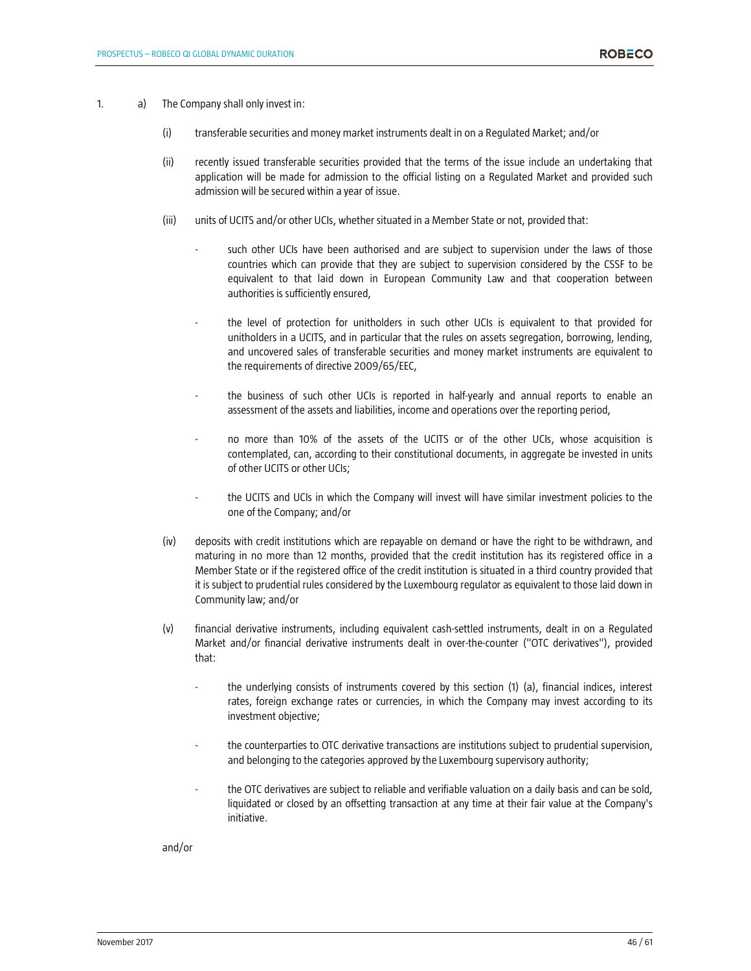- 1. a) The Company shall only invest in:
	- (i) transferable securities and money market instruments dealt in on a Regulated Market; and/or
	- (ii) recently issued transferable securities provided that the terms of the issue include an undertaking that application will be made for admission to the official listing on a Regulated Market and provided such admission will be secured within a year of issue.
	- (iii) units of UCITS and/or other UCIs, whether situated in a Member State or not, provided that:
		- such other UCIs have been authorised and are subject to supervision under the laws of those countries which can provide that they are subject to supervision considered by the CSSF to be equivalent to that laid down in European Community Law and that cooperation between authorities is sufficiently ensured,
		- the level of protection for unitholders in such other UCIs is equivalent to that provided for unitholders in a UCITS, and in particular that the rules on assets segregation, borrowing, lending, and uncovered sales of transferable securities and money market instruments are equivalent to the requirements of directive 2009/65/EEC,
		- the business of such other UCIs is reported in half-yearly and annual reports to enable an assessment of the assets and liabilities, income and operations over the reporting period,
		- no more than 10% of the assets of the UCITS or of the other UCIs, whose acquisition is contemplated, can, according to their constitutional documents, in aggregate be invested in units of other UCITS or other UCIs;
		- the UCITS and UCIs in which the Company will invest will have similar investment policies to the one of the Company; and/or
	- (iv) deposits with credit institutions which are repayable on demand or have the right to be withdrawn, and maturing in no more than 12 months, provided that the credit institution has its registered office in a Member State or if the registered office of the credit institution is situated in a third country provided that it is subject to prudential rules considered by the Luxembourg regulator as equivalent to those laid down in Community law; and/or
	- (v) financial derivative instruments, including equivalent cash-settled instruments, dealt in on a Regulated Market and/or financial derivative instruments dealt in over-the-counter ("OTC derivatives"), provided that:
		- the underlying consists of instruments covered by this section (1) (a), financial indices, interest rates, foreign exchange rates or currencies, in which the Company may invest according to its investment objective;
		- the counterparties to OTC derivative transactions are institutions subject to prudential supervision, and belonging to the categories approved by the Luxembourg supervisory authority;
		- the OTC derivatives are subject to reliable and verifiable valuation on a daily basis and can be sold, liquidated or closed by an offsetting transaction at any time at their fair value at the Company's initiative.

and/or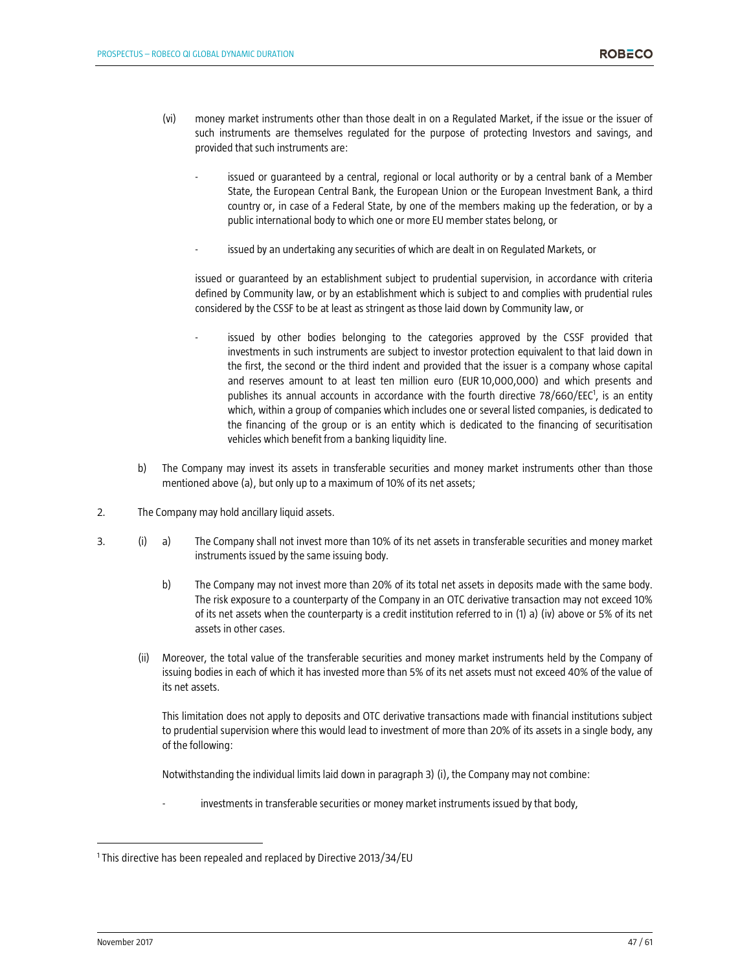- (vi) money market instruments other than those dealt in on a Regulated Market, if the issue or the issuer of such instruments are themselves regulated for the purpose of protecting Investors and savings, and provided that such instruments are:
	- issued or guaranteed by a central, regional or local authority or by a central bank of a Member State, the European Central Bank, the European Union or the European Investment Bank, a third country or, in case of a Federal State, by one of the members making up the federation, or by a public international body to which one or more EU member states belong, or
	- issued by an undertaking any securities of which are dealt in on Regulated Markets, or

issued or guaranteed by an establishment subject to prudential supervision, in accordance with criteria defined by Community law, or by an establishment which is subject to and complies with prudential rules considered by the CSSF to be at least as stringent as those laid down by Community law, or

- issued by other bodies belonging to the categories approved by the CSSF provided that investments in such instruments are subject to investor protection equivalent to that laid down in the first, the second or the third indent and provided that the issuer is a company whose capital and reserves amount to at least ten million euro (EUR 10,000,000) and which presents and publishes its annual accounts in accordance with the fourth directive 78/660/EEC<sup>1</sup>, is an entity which, within a group of companies which includes one or several listed companies, is dedicated to the financing of the group or is an entity which is dedicated to the financing of securitisation vehicles which benefit from a banking liquidity line.
- b) The Company may invest its assets in transferable securities and money market instruments other than those mentioned above (a), but only up to a maximum of 10% of its net assets;
- 2. The Company may hold ancillary liquid assets.
- 3. (i) a) The Company shall not invest more than 10% of its net assets in transferable securities and money market instruments issued by the same issuing body.
	- b) The Company may not invest more than 20% of its total net assets in deposits made with the same body. The risk exposure to a counterparty of the Company in an OTC derivative transaction may not exceed 10% of its net assets when the counterparty is a credit institution referred to in (1) a) (iv) above or 5% of its net assets in other cases.
	- (ii) Moreover, the total value of the transferable securities and money market instruments held by the Company of issuing bodies in each of which it has invested more than 5% of its net assets must not exceed 40% of the value of its net assets.

This limitation does not apply to deposits and OTC derivative transactions made with financial institutions subject to prudential supervision where this would lead to investment of more than 20% of its assets in a single body, any of the following:

Notwithstanding the individual limits laid down in paragraph 3) (i), the Company may not combine:

investments in transferable securities or money market instruments issued by that body,

l

<sup>1</sup> This directive has been repealed and replaced by Directive 2013/34/EU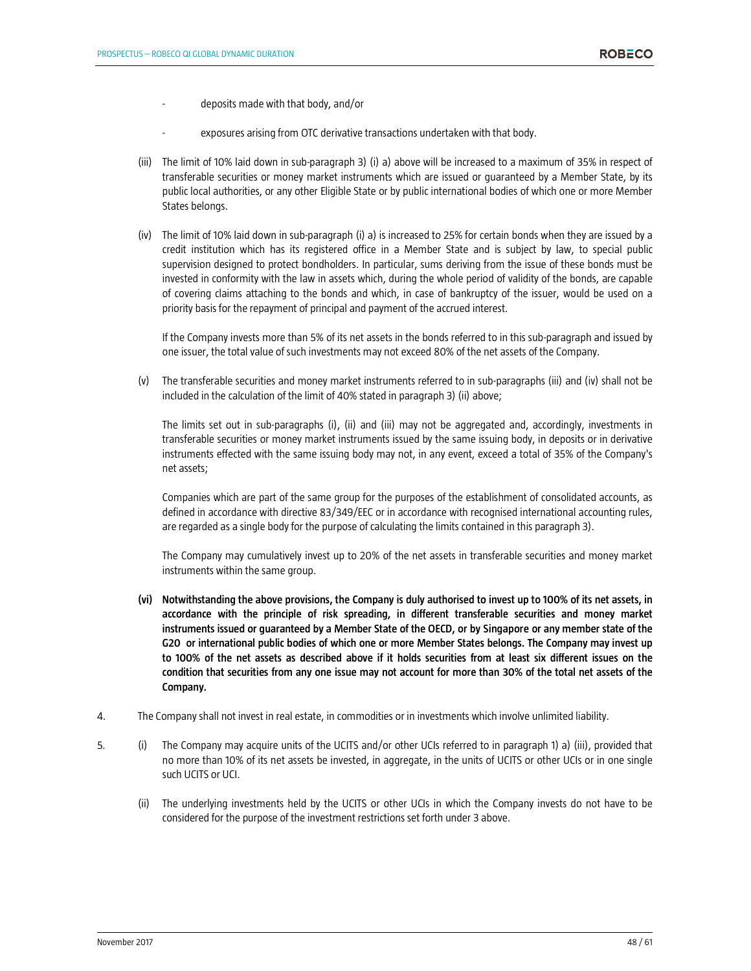- deposits made with that body, and/or
- exposures arising from OTC derivative transactions undertaken with that body.
- (iii) The limit of 10% laid down in sub-paragraph 3) (i) a) above will be increased to a maximum of 35% in respect of transferable securities or money market instruments which are issued or guaranteed by a Member State, by its public local authorities, or any other Eligible State or by public international bodies of which one or more Member States belongs.
- (iv) The limit of 10% laid down in sub-paragraph (i) a) is increased to 25% for certain bonds when they are issued by a credit institution which has its registered office in a Member State and is subject by law, to special public supervision designed to protect bondholders. In particular, sums deriving from the issue of these bonds must be invested in conformity with the law in assets which, during the whole period of validity of the bonds, are capable of covering claims attaching to the bonds and which, in case of bankruptcy of the issuer, would be used on a priority basis for the repayment of principal and payment of the accrued interest.

If the Company invests more than 5% of its net assets in the bonds referred to in this sub-paragraph and issued by one issuer, the total value of such investments may not exceed 80% of the net assets of the Company.

(v) The transferable securities and money market instruments referred to in sub-paragraphs (iii) and (iv) shall not be included in the calculation of the limit of 40% stated in paragraph 3) (ii) above;

The limits set out in sub-paragraphs (i), (ii) and (iii) may not be aggregated and, accordingly, investments in transferable securities or money market instruments issued by the same issuing body, in deposits or in derivative instruments effected with the same issuing body may not, in any event, exceed a total of 35% of the Company's net assets;

Companies which are part of the same group for the purposes of the establishment of consolidated accounts, as defined in accordance with directive 83/349/EEC or in accordance with recognised international accounting rules, are regarded as a single body for the purpose of calculating the limits contained in this paragraph 3).

The Company may cumulatively invest up to 20% of the net assets in transferable securities and money market instruments within the same group.

- **(vi) Notwithstanding the above provisions, the Company is duly authorised to invest up to 100% of its net assets, in accordance with the principle of risk spreading, in different transferable securities and money market instruments issued or guaranteed by a Member State of the OECD, or by Singapore or any member state of the G20 or international public bodies of which one or more Member States belongs. The Company may invest up to 100% of the net assets as described above if it holds securities from at least six different issues on the condition that securities from any one issue may not account for more than 30% of the total net assets of the Company.**
- 4. The Company shall not invest in real estate, in commodities or in investments which involve unlimited liability.
- 5. (i) The Company may acquire units of the UCITS and/or other UCIs referred to in paragraph 1) a) (iii), provided that no more than 10% of its net assets be invested, in aggregate, in the units of UCITS or other UCIs or in one single such UCITS or UCI.
	- (ii) The underlying investments held by the UCITS or other UCIs in which the Company invests do not have to be considered for the purpose of the investment restrictions set forth under 3 above.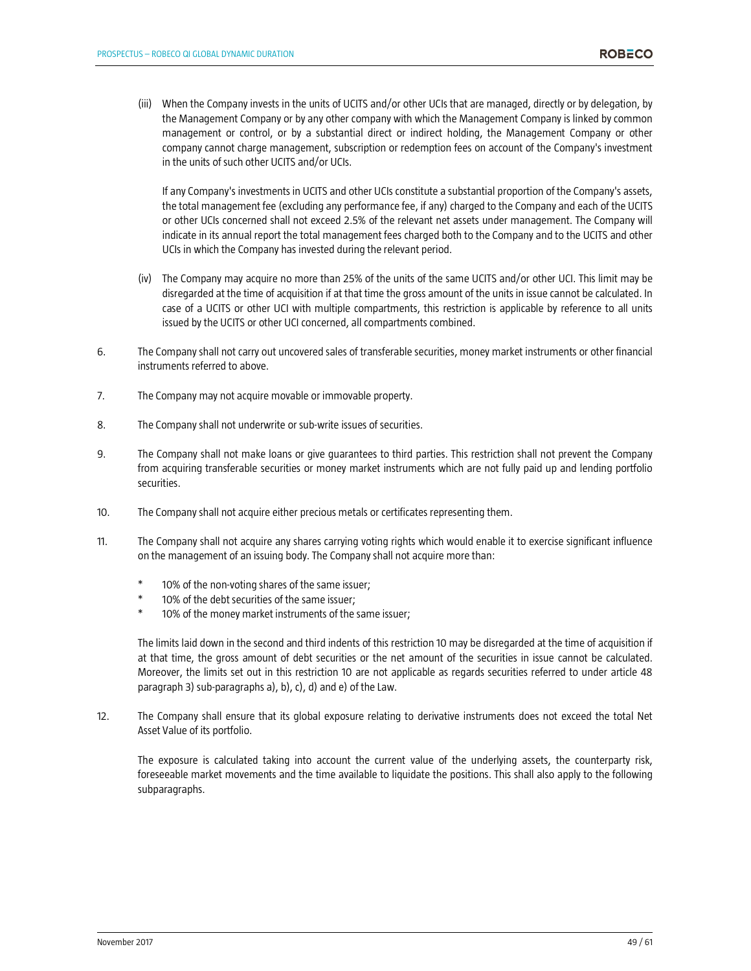(iii) When the Company invests in the units of UCITS and/or other UCIs that are managed, directly or by delegation, by the Management Company or by any other company with which the Management Company is linked by common management or control, or by a substantial direct or indirect holding, the Management Company or other company cannot charge management, subscription or redemption fees on account of the Company's investment in the units of such other UCITS and/or UCIs.

If any Company's investments in UCITS and other UCIs constitute a substantial proportion of the Company's assets, the total management fee (excluding any performance fee, if any) charged to the Company and each of the UCITS or other UCIs concerned shall not exceed 2.5% of the relevant net assets under management. The Company will indicate in its annual report the total management fees charged both to the Company and to the UCITS and other UCIs in which the Company has invested during the relevant period.

- (iv) The Company may acquire no more than 25% of the units of the same UCITS and/or other UCI. This limit may be disregarded at the time of acquisition if at that time the gross amount of the units in issue cannot be calculated. In case of a UCITS or other UCI with multiple compartments, this restriction is applicable by reference to all units issued by the UCITS or other UCI concerned, all compartments combined.
- 6. The Company shall not carry out uncovered sales of transferable securities, money market instruments or other financial instruments referred to above.
- 7. The Company may not acquire movable or immovable property.
- 8. The Company shall not underwrite or sub-write issues of securities.
- 9. The Company shall not make loans or give guarantees to third parties. This restriction shall not prevent the Company from acquiring transferable securities or money market instruments which are not fully paid up and lending portfolio securities.
- 10. The Company shall not acquire either precious metals or certificates representing them.
- 11. The Company shall not acquire any shares carrying voting rights which would enable it to exercise significant influence on the management of an issuing body. The Company shall not acquire more than:
	- 10% of the non-voting shares of the same issuer;
	- 10% of the debt securities of the same issuer:
	- 10% of the money market instruments of the same issuer;

The limits laid down in the second and third indents of this restriction 10 may be disregarded at the time of acquisition if at that time, the gross amount of debt securities or the net amount of the securities in issue cannot be calculated. Moreover, the limits set out in this restriction 10 are not applicable as regards securities referred to under article 48 paragraph 3) sub-paragraphs a), b), c), d) and e) of the Law.

12. The Company shall ensure that its global exposure relating to derivative instruments does not exceed the total Net Asset Value of its portfolio.

The exposure is calculated taking into account the current value of the underlying assets, the counterparty risk, foreseeable market movements and the time available to liquidate the positions. This shall also apply to the following subparagraphs.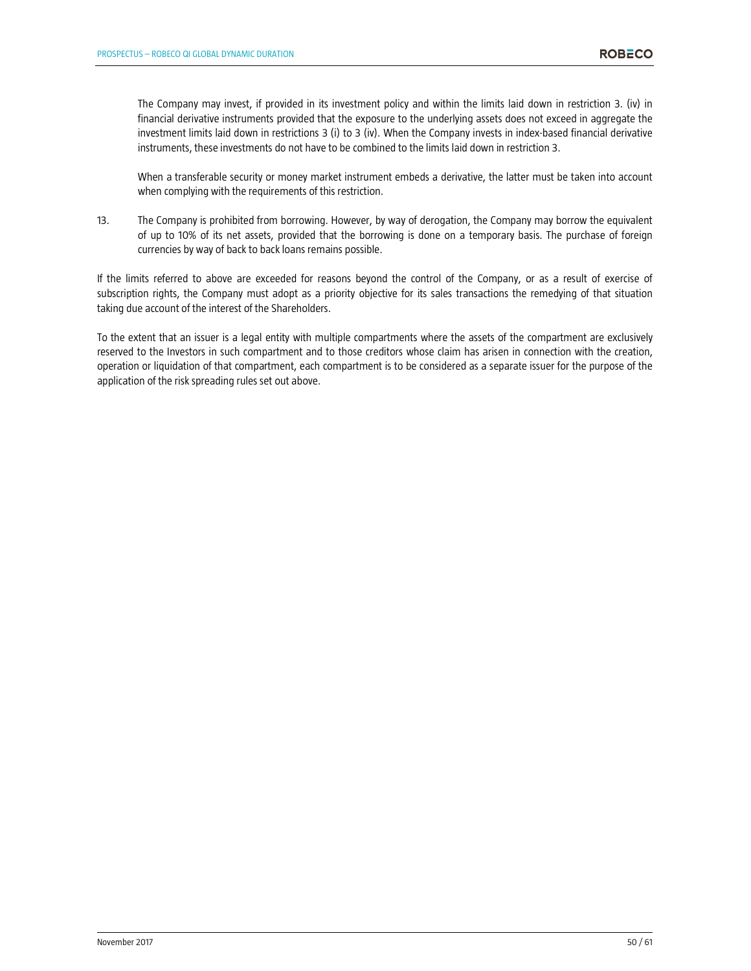The Company may invest, if provided in its investment policy and within the limits laid down in restriction 3. (iv) in financial derivative instruments provided that the exposure to the underlying assets does not exceed in aggregate the investment limits laid down in restrictions 3 (i) to 3 (iv). When the Company invests in index-based financial derivative instruments, these investments do not have to be combined to the limits laid down in restriction 3.

When a transferable security or money market instrument embeds a derivative, the latter must be taken into account when complying with the requirements of this restriction.

13. The Company is prohibited from borrowing. However, by way of derogation, the Company may borrow the equivalent of up to 10% of its net assets, provided that the borrowing is done on a temporary basis. The purchase of foreign currencies by way of back to back loans remains possible.

If the limits referred to above are exceeded for reasons beyond the control of the Company, or as a result of exercise of subscription rights, the Company must adopt as a priority objective for its sales transactions the remedying of that situation taking due account of the interest of the Shareholders.

To the extent that an issuer is a legal entity with multiple compartments where the assets of the compartment are exclusively reserved to the Investors in such compartment and to those creditors whose claim has arisen in connection with the creation, operation or liquidation of that compartment, each compartment is to be considered as a separate issuer for the purpose of the application of the risk spreading rules set out above.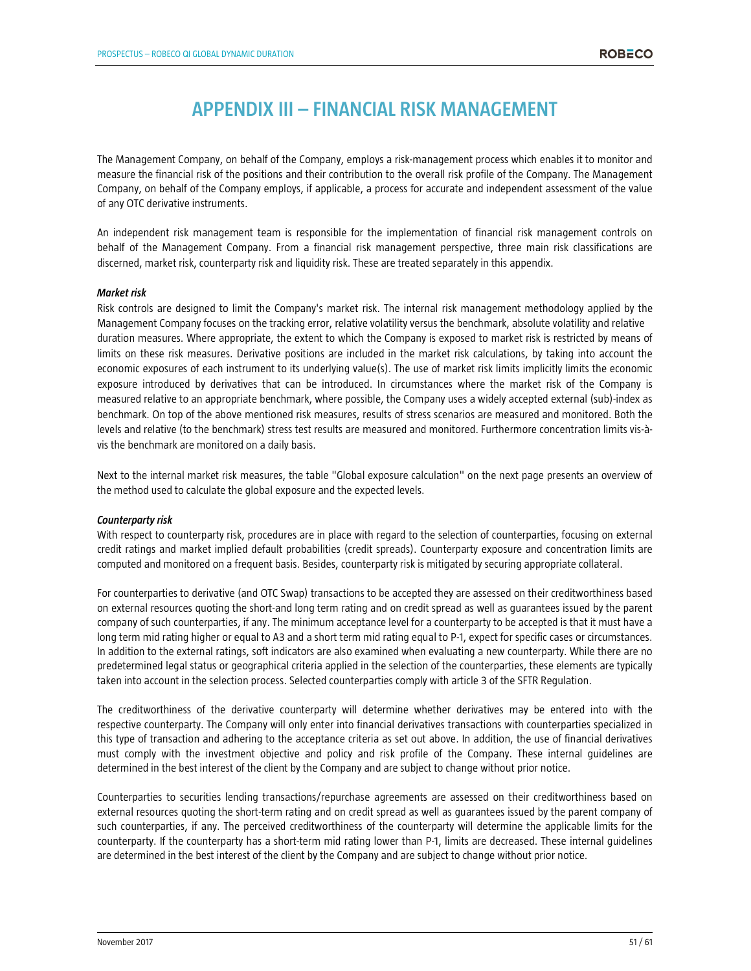# **APPENDIX III – FINANCIAL RISK MANAGEMENT**

The Management Company, on behalf of the Company, employs a risk-management process which enables it to monitor and measure the financial risk of the positions and their contribution to the overall risk profile of the Company. The Management Company, on behalf of the Company employs, if applicable, a process for accurate and independent assessment of the value of any OTC derivative instruments.

An independent risk management team is responsible for the implementation of financial risk management controls on behalf of the Management Company. From a financial risk management perspective, three main risk classifications are discerned, market risk, counterparty risk and liquidity risk. These are treated separately in this appendix.

#### *Market risk*

Risk controls are designed to limit the Company's market risk. The internal risk management methodology applied by the Management Company focuses on the tracking error, relative volatility versus the benchmark, absolute volatility and relative duration measures. Where appropriate, the extent to which the Company is exposed to market risk is restricted by means of limits on these risk measures. Derivative positions are included in the market risk calculations, by taking into account the economic exposures of each instrument to its underlying value(s). The use of market risk limits implicitly limits the economic exposure introduced by derivatives that can be introduced. In circumstances where the market risk of the Company is measured relative to an appropriate benchmark, where possible, the Company uses a widely accepted external (sub)-index as benchmark. On top of the above mentioned risk measures, results of stress scenarios are measured and monitored. Both the levels and relative (to the benchmark) stress test results are measured and monitored. Furthermore concentration limits vis-àvis the benchmark are monitored on a daily basis.

Next to the internal market risk measures, the table "Global exposure calculation" on the next page presents an overview of the method used to calculate the global exposure and the expected levels.

#### *Counterparty risk*

With respect to counterparty risk, procedures are in place with regard to the selection of counterparties, focusing on external credit ratings and market implied default probabilities (credit spreads). Counterparty exposure and concentration limits are computed and monitored on a frequent basis. Besides, counterparty risk is mitigated by securing appropriate collateral.

For counterparties to derivative (and OTC Swap) transactions to be accepted they are assessed on their creditworthiness based on external resources quoting the short-and long term rating and on credit spread as well as guarantees issued by the parent company of such counterparties, if any. The minimum acceptance level for a counterparty to be accepted is that it must have a long term mid rating higher or equal to A3 and a short term mid rating equal to P-1, expect for specific cases or circumstances. In addition to the external ratings, soft indicators are also examined when evaluating a new counterparty. While there are no predetermined legal status or geographical criteria applied in the selection of the counterparties, these elements are typically taken into account in the selection process. Selected counterparties comply with article 3 of the SFTR Regulation.

The creditworthiness of the derivative counterparty will determine whether derivatives may be entered into with the respective counterparty. The Company will only enter into financial derivatives transactions with counterparties specialized in this type of transaction and adhering to the acceptance criteria as set out above. In addition, the use of financial derivatives must comply with the investment objective and policy and risk profile of the Company. These internal guidelines are determined in the best interest of the client by the Company and are subject to change without prior notice.

Counterparties to securities lending transactions/repurchase agreements are assessed on their creditworthiness based on external resources quoting the short-term rating and on credit spread as well as guarantees issued by the parent company of such counterparties, if any. The perceived creditworthiness of the counterparty will determine the applicable limits for the counterparty. If the counterparty has a short-term mid rating lower than P-1, limits are decreased. These internal guidelines are determined in the best interest of the client by the Company and are subject to change without prior notice.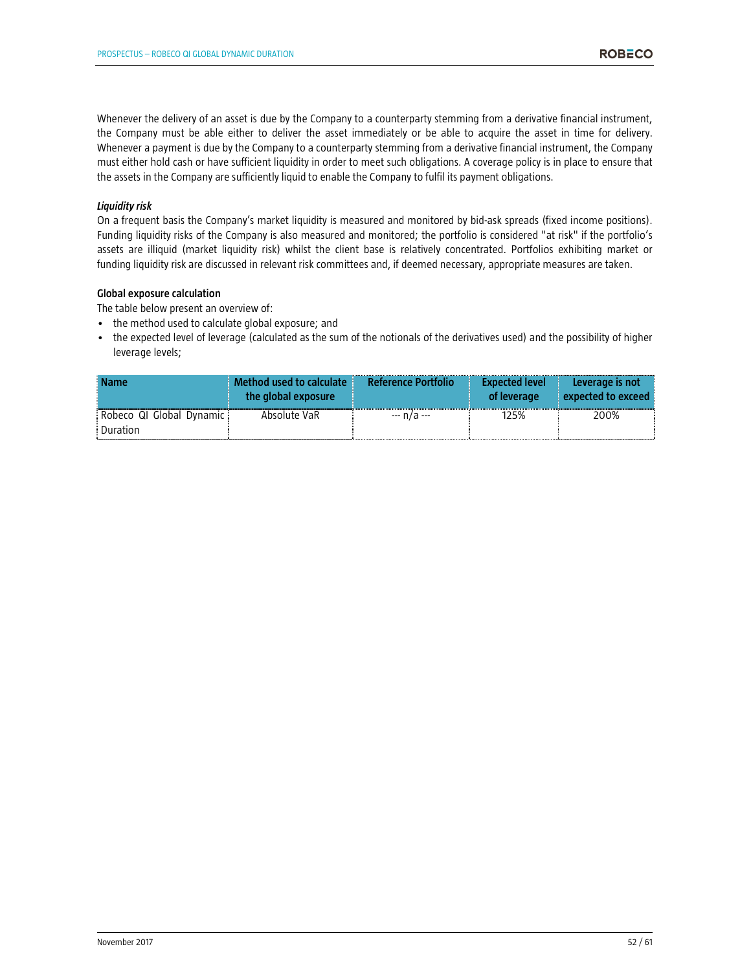Whenever the delivery of an asset is due by the Company to a counterparty stemming from a derivative financial instrument, the Company must be able either to deliver the asset immediately or be able to acquire the asset in time for delivery. Whenever a payment is due by the Company to a counterparty stemming from a derivative financial instrument, the Company must either hold cash or have sufficient liquidity in order to meet such obligations. A coverage policy is in place to ensure that the assets in the Company are sufficiently liquid to enable the Company to fulfil its payment obligations.

# *Liquidity risk*

On a frequent basis the Company's market liquidity is measured and monitored by bid-ask spreads (fixed income positions). Funding liquidity risks of the Company is also measured and monitored; the portfolio is considered "at risk" if the portfolio's assets are illiquid (market liquidity risk) whilst the client base is relatively concentrated. Portfolios exhibiting market or funding liquidity risk are discussed in relevant risk committees and, if deemed necessary, appropriate measures are taken.

#### **Global exposure calculation**

The table below present an overview of:

- the method used to calculate global exposure; and
- the expected level of leverage (calculated as the sum of the notionals of the derivatives used) and the possibility of higher leverage levels;

| <b>Name</b>                          | Method used to calculate<br>the global exposure | <b>Reference Portfolio</b> | <b>Expected level</b><br>of leverage | Leverage is not<br>$\blacksquare$ expected to exceed |
|--------------------------------------|-------------------------------------------------|----------------------------|--------------------------------------|------------------------------------------------------|
| Robeco QI Global Dynamic<br>Duration | Absolute VaR                                    | --- n/a ---                | 125%                                 | 200%                                                 |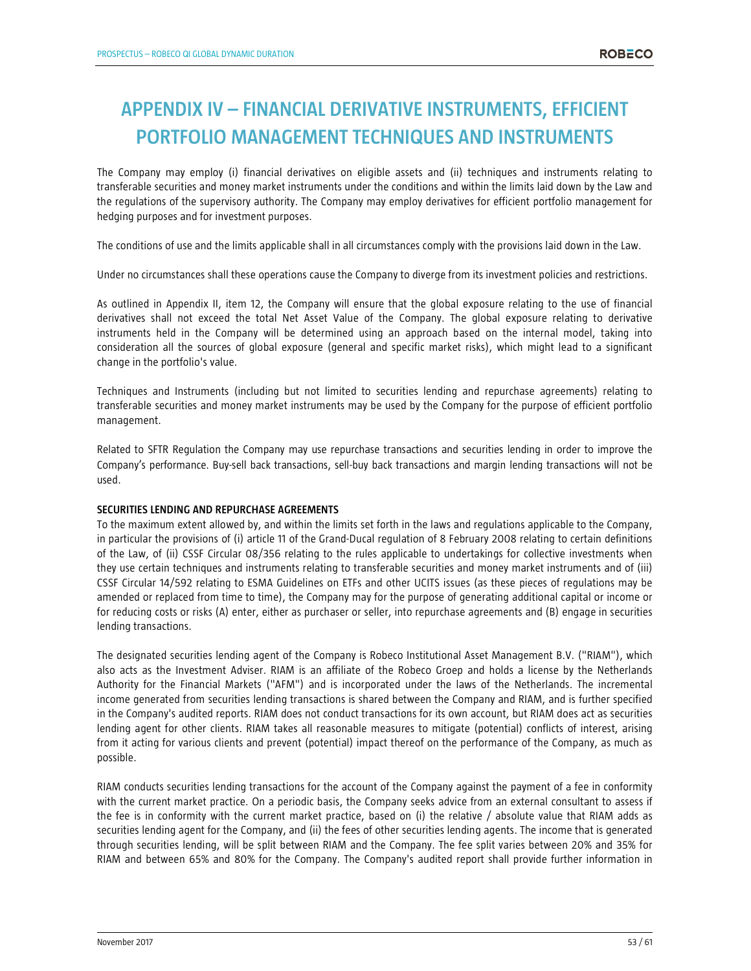# **APPENDIX IV – FINANCIAL DERIVATIVE INSTRUMENTS, EFFICIENT PORTFOLIO MANAGEMENT TECHNIQUES AND INSTRUMENTS**

The Company may employ (i) financial derivatives on eligible assets and (ii) techniques and instruments relating to transferable securities and money market instruments under the conditions and within the limits laid down by the Law and the regulations of the supervisory authority. The Company may employ derivatives for efficient portfolio management for hedging purposes and for investment purposes.

The conditions of use and the limits applicable shall in all circumstances comply with the provisions laid down in the Law.

Under no circumstances shall these operations cause the Company to diverge from its investment policies and restrictions.

As outlined in Appendix II, item 12, the Company will ensure that the global exposure relating to the use of financial derivatives shall not exceed the total Net Asset Value of the Company. The global exposure relating to derivative instruments held in the Company will be determined using an approach based on the internal model, taking into consideration all the sources of global exposure (general and specific market risks), which might lead to a significant change in the portfolio's value.

Techniques and Instruments (including but not limited to securities lending and repurchase agreements) relating to transferable securities and money market instruments may be used by the Company for the purpose of efficient portfolio management.

Related to SFTR Regulation the Company may use repurchase transactions and securities lending in order to improve the Company's performance. Buy-sell back transactions, sell-buy back transactions and margin lending transactions will not be used.

# **SECURITIES LENDING AND REPURCHASE AGREEMENTS**

To the maximum extent allowed by, and within the limits set forth in the laws and regulations applicable to the Company, in particular the provisions of (i) article 11 of the Grand-Ducal regulation of 8 February 2008 relating to certain definitions of the Law, of (ii) CSSF Circular 08/356 relating to the rules applicable to undertakings for collective investments when they use certain techniques and instruments relating to transferable securities and money market instruments and of (iii) CSSF Circular 14/592 relating to ESMA Guidelines on ETFs and other UCITS issues (as these pieces of regulations may be amended or replaced from time to time), the Company may for the purpose of generating additional capital or income or for reducing costs or risks (A) enter, either as purchaser or seller, into repurchase agreements and (B) engage in securities lending transactions.

The designated securities lending agent of the Company is Robeco Institutional Asset Management B.V. ("RIAM"), which also acts as the Investment Adviser. RIAM is an affiliate of the Robeco Groep and holds a license by the Netherlands Authority for the Financial Markets ("AFM") and is incorporated under the laws of the Netherlands. The incremental income generated from securities lending transactions is shared between the Company and RIAM, and is further specified in the Company's audited reports. RIAM does not conduct transactions for its own account, but RIAM does act as securities lending agent for other clients. RIAM takes all reasonable measures to mitigate (potential) conflicts of interest, arising from it acting for various clients and prevent (potential) impact thereof on the performance of the Company, as much as possible.

RIAM conducts securities lending transactions for the account of the Company against the payment of a fee in conformity with the current market practice. On a periodic basis, the Company seeks advice from an external consultant to assess if the fee is in conformity with the current market practice, based on (i) the relative / absolute value that RIAM adds as securities lending agent for the Company, and (ii) the fees of other securities lending agents. The income that is generated through securities lending, will be split between RIAM and the Company. The fee split varies between 20% and 35% for RIAM and between 65% and 80% for the Company. The Company's audited report shall provide further information in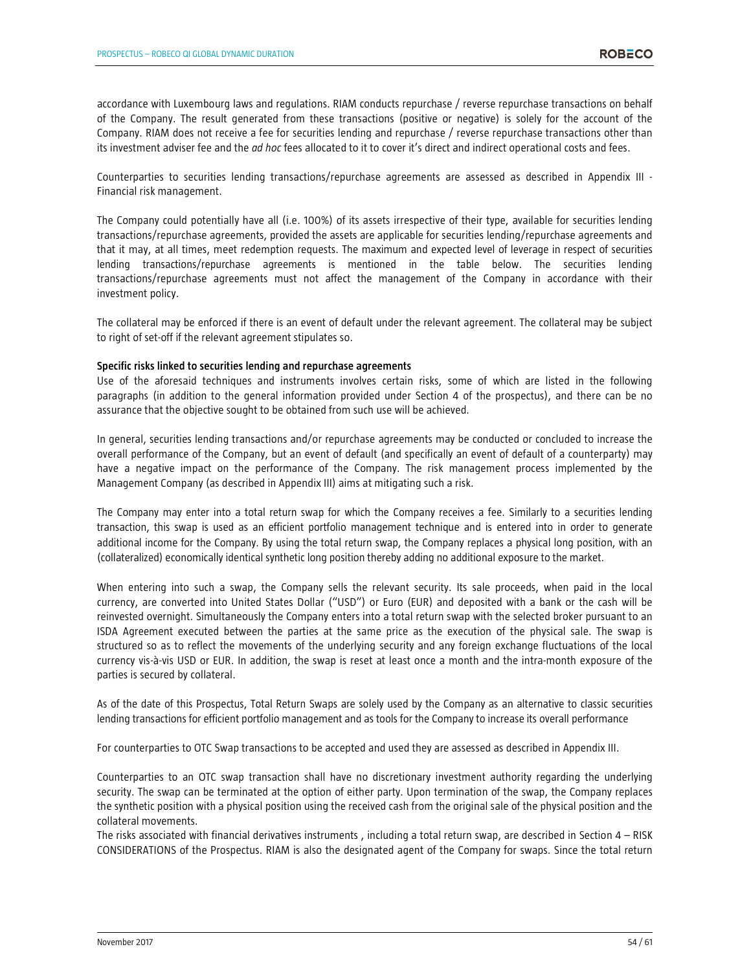accordance with Luxembourg laws and regulations. RIAM conducts repurchase / reverse repurchase transactions on behalf of the Company. The result generated from these transactions (positive or negative) is solely for the account of the Company. RIAM does not receive a fee for securities lending and repurchase / reverse repurchase transactions other than its investment adviser fee and the *ad hoc* fees allocated to it to cover it's direct and indirect operational costs and fees.

Counterparties to securities lending transactions/repurchase agreements are assessed as described in Appendix III - Financial risk management.

The Company could potentially have all (i.e. 100%) of its assets irrespective of their type, available for securities lending transactions/repurchase agreements, provided the assets are applicable for securities lending/repurchase agreements and that it may, at all times, meet redemption requests. The maximum and expected level of leverage in respect of securities lending transactions/repurchase agreements is mentioned in the table below. The securities lending transactions/repurchase agreements must not affect the management of the Company in accordance with their investment policy.

The collateral may be enforced if there is an event of default under the relevant agreement. The collateral may be subject to right of set-off if the relevant agreement stipulates so.

#### **Specific risks linked to securities lending and repurchase agreements**

Use of the aforesaid techniques and instruments involves certain risks, some of which are listed in the following paragraphs (in addition to the general information provided under Section 4 of the prospectus), and there can be no assurance that the objective sought to be obtained from such use will be achieved.

In general, securities lending transactions and/or repurchase agreements may be conducted or concluded to increase the overall performance of the Company, but an event of default (and specifically an event of default of a counterparty) may have a negative impact on the performance of the Company. The risk management process implemented by the Management Company (as described in Appendix III) aims at mitigating such a risk.

The Company may enter into a total return swap for which the Company receives a fee. Similarly to a securities lending transaction, this swap is used as an efficient portfolio management technique and is entered into in order to generate additional income for the Company. By using the total return swap, the Company replaces a physical long position, with an (collateralized) economically identical synthetic long position thereby adding no additional exposure to the market.

When entering into such a swap, the Company sells the relevant security. Its sale proceeds, when paid in the local currency, are converted into United States Dollar ("USD") or Euro (EUR) and deposited with a bank or the cash will be reinvested overnight. Simultaneously the Company enters into a total return swap with the selected broker pursuant to an ISDA Agreement executed between the parties at the same price as the execution of the physical sale. The swap is structured so as to reflect the movements of the underlying security and any foreign exchange fluctuations of the local currency vis-à-vis USD or EUR. In addition, the swap is reset at least once a month and the intra-month exposure of the parties is secured by collateral.

As of the date of this Prospectus, Total Return Swaps are solely used by the Company as an alternative to classic securities lending transactions for efficient portfolio management and as tools for the Company to increase its overall performance

For counterparties to OTC Swap transactions to be accepted and used they are assessed as described in Appendix III.

Counterparties to an OTC swap transaction shall have no discretionary investment authority regarding the underlying security. The swap can be terminated at the option of either party. Upon termination of the swap, the Company replaces the synthetic position with a physical position using the received cash from the original sale of the physical position and the collateral movements.

The risks associated with financial derivatives instruments , including a total return swap, are described in Section 4 – RISK CONSIDERATIONS of the Prospectus. RIAM is also the designated agent of the Company for swaps. Since the total return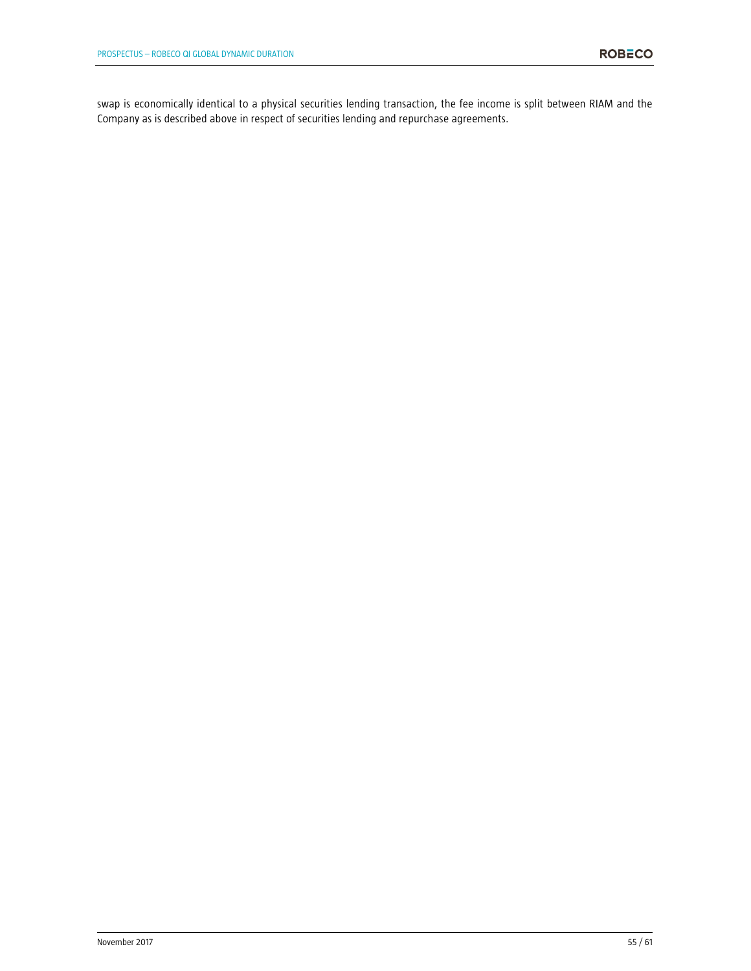swap is economically identical to a physical securities lending transaction, the fee income is split between RIAM and the Company as is described above in respect of securities lending and repurchase agreements.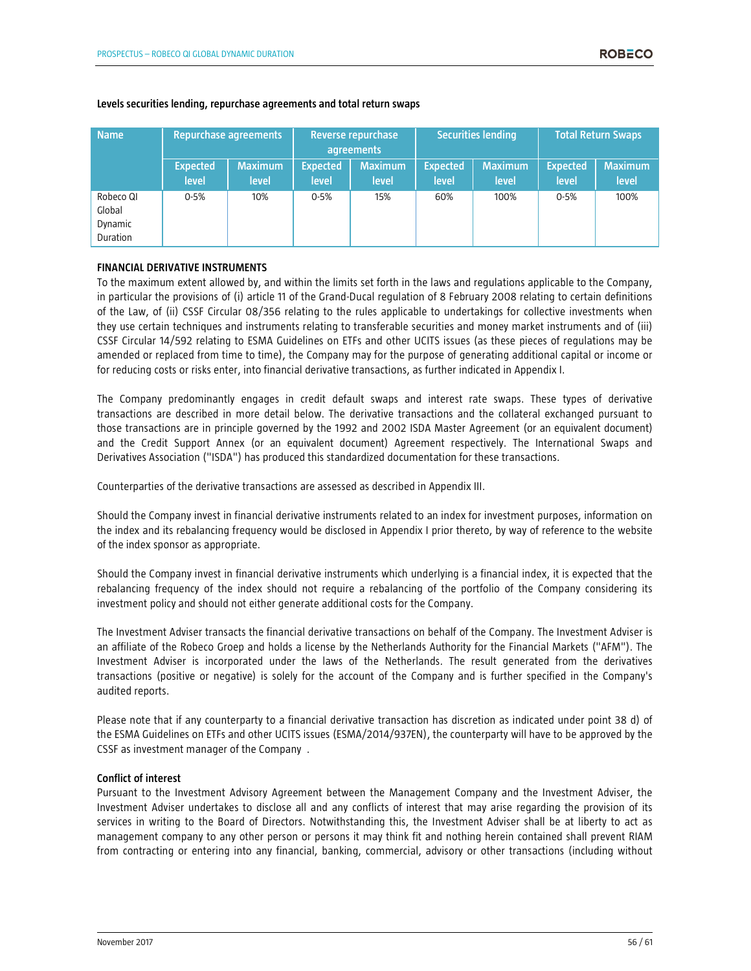| <b>Name</b>                                | <b>Repurchase agreements</b> |                         | Reverse repurchase<br>agreements |                         | <b>Securities lending</b> |                         | <b>Total Return Swaps</b> |                         |
|--------------------------------------------|------------------------------|-------------------------|----------------------------------|-------------------------|---------------------------|-------------------------|---------------------------|-------------------------|
|                                            | <b>Expected</b><br>level     | <b>Maximum</b><br>level | <b>Expected</b><br>level         | <b>Maximum</b><br>level | <b>Expected</b><br>level  | <b>Maximum</b><br>level | <b>Expected</b><br>level  | <b>Maximum</b><br>level |
| Robeco QI<br>Global<br>Dynamic<br>Duration | $0 - 5%$                     | 10%                     | $0 - 5%$                         | 15%                     | 60%                       | 100%                    | $0 - 5%$                  | 100%                    |

#### **Levels securities lending, repurchase agreements and total return swaps**

# **FINANCIAL DERIVATIVE INSTRUMENTS**

To the maximum extent allowed by, and within the limits set forth in the laws and regulations applicable to the Company, in particular the provisions of (i) article 11 of the Grand-Ducal regulation of 8 February 2008 relating to certain definitions of the Law, of (ii) CSSF Circular 08/356 relating to the rules applicable to undertakings for collective investments when they use certain techniques and instruments relating to transferable securities and money market instruments and of (iii) CSSF Circular 14/592 relating to ESMA Guidelines on ETFs and other UCITS issues (as these pieces of regulations may be amended or replaced from time to time), the Company may for the purpose of generating additional capital or income or for reducing costs or risks enter, into financial derivative transactions, as further indicated in Appendix I.

The Company predominantly engages in credit default swaps and interest rate swaps. These types of derivative transactions are described in more detail below. The derivative transactions and the collateral exchanged pursuant to those transactions are in principle governed by the 1992 and 2002 ISDA Master Agreement (or an equivalent document) and the Credit Support Annex (or an equivalent document) Agreement respectively. The International Swaps and Derivatives Association ("ISDA") has produced this standardized documentation for these transactions.

Counterparties of the derivative transactions are assessed as described in Appendix III.

Should the Company invest in financial derivative instruments related to an index for investment purposes, information on the index and its rebalancing frequency would be disclosed in Appendix I prior thereto, by way of reference to the website of the index sponsor as appropriate.

Should the Company invest in financial derivative instruments which underlying is a financial index, it is expected that the rebalancing frequency of the index should not require a rebalancing of the portfolio of the Company considering its investment policy and should not either generate additional costs for the Company.

The Investment Adviser transacts the financial derivative transactions on behalf of the Company. The Investment Adviser is an affiliate of the Robeco Groep and holds a license by the Netherlands Authority for the Financial Markets ("AFM"). The Investment Adviser is incorporated under the laws of the Netherlands. The result generated from the derivatives transactions (positive or negative) is solely for the account of the Company and is further specified in the Company's audited reports.

Please note that if any counterparty to a financial derivative transaction has discretion as indicated under point 38 d) of the ESMA Guidelines on ETFs and other UCITS issues (ESMA/2014/937EN), the counterparty will have to be approved by the CSSF as investment manager of the Company .

#### **Conflict of interest**

Pursuant to the Investment Advisory Agreement between the Management Company and the Investment Adviser, the Investment Adviser undertakes to disclose all and any conflicts of interest that may arise regarding the provision of its services in writing to the Board of Directors. Notwithstanding this, the Investment Adviser shall be at liberty to act as management company to any other person or persons it may think fit and nothing herein contained shall prevent RIAM from contracting or entering into any financial, banking, commercial, advisory or other transactions (including without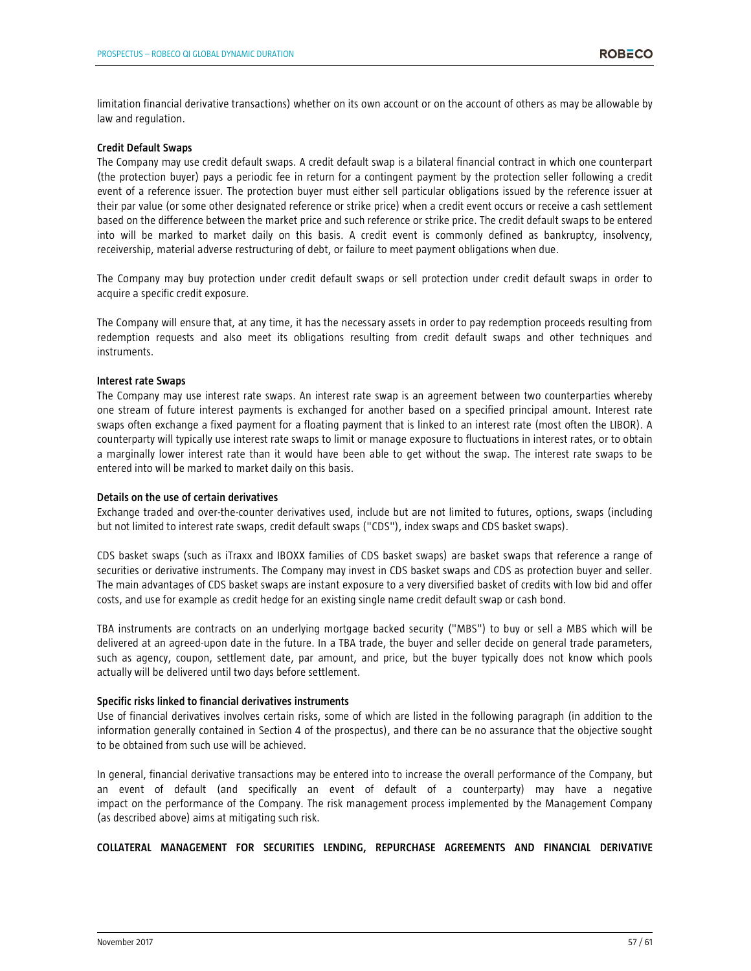limitation financial derivative transactions) whether on its own account or on the account of others as may be allowable by law and regulation.

#### **Credit Default Swaps**

The Company may use credit default swaps. A credit default swap is a bilateral financial contract in which one counterpart (the protection buyer) pays a periodic fee in return for a contingent payment by the protection seller following a credit event of a reference issuer. The protection buyer must either sell particular obligations issued by the reference issuer at their par value (or some other designated reference or strike price) when a credit event occurs or receive a cash settlement based on the difference between the market price and such reference or strike price. The credit default swaps to be entered into will be marked to market daily on this basis. A credit event is commonly defined as bankruptcy, insolvency, receivership, material adverse restructuring of debt, or failure to meet payment obligations when due.

The Company may buy protection under credit default swaps or sell protection under credit default swaps in order to acquire a specific credit exposure.

The Company will ensure that, at any time, it has the necessary assets in order to pay redemption proceeds resulting from redemption requests and also meet its obligations resulting from credit default swaps and other techniques and instruments.

#### **Interest rate Swaps**

The Company may use interest rate swaps. An interest rate swap is an agreement between two counterparties whereby one stream of future interest payments is exchanged for another based on a specified principal amount. Interest rate swaps often exchange a fixed payment for a floating payment that is linked to an interest rate (most often the LIBOR). A counterparty will typically use interest rate swaps to limit or manage exposure to fluctuations in interest rates, or to obtain a marginally lower interest rate than it would have been able to get without the swap. The interest rate swaps to be entered into will be marked to market daily on this basis.

#### **Details on the use of certain derivatives**

Exchange traded and over-the-counter derivatives used, include but are not limited to futures, options, swaps (including but not limited to interest rate swaps, credit default swaps ("CDS"), index swaps and CDS basket swaps).

CDS basket swaps (such as iTraxx and IBOXX families of CDS basket swaps) are basket swaps that reference a range of securities or derivative instruments. The Company may invest in CDS basket swaps and CDS as protection buyer and seller. The main advantages of CDS basket swaps are instant exposure to a very diversified basket of credits with low bid and offer costs, and use for example as credit hedge for an existing single name credit default swap or cash bond.

TBA instruments are contracts on an underlying mortgage backed security ("MBS") to buy or sell a MBS which will be delivered at an agreed-upon date in the future. In a TBA trade, the buyer and seller decide on general trade parameters, such as agency, coupon, settlement date, par amount, and price, but the buyer typically does not know which pools actually will be delivered until two days before settlement.

# **Specific risks linked to financial derivatives instruments**

Use of financial derivatives involves certain risks, some of which are listed in the following paragraph (in addition to the information generally contained in Section 4 of the prospectus), and there can be no assurance that the objective sought to be obtained from such use will be achieved.

In general, financial derivative transactions may be entered into to increase the overall performance of the Company, but an event of default (and specifically an event of default of a counterparty) may have a negative impact on the performance of the Company. The risk management process implemented by the Management Company (as described above) aims at mitigating such risk.

**COLLATERAL MANAGEMENT FOR SECURITIES LENDING, REPURCHASE AGREEMENTS AND FINANCIAL DERIVATIVE**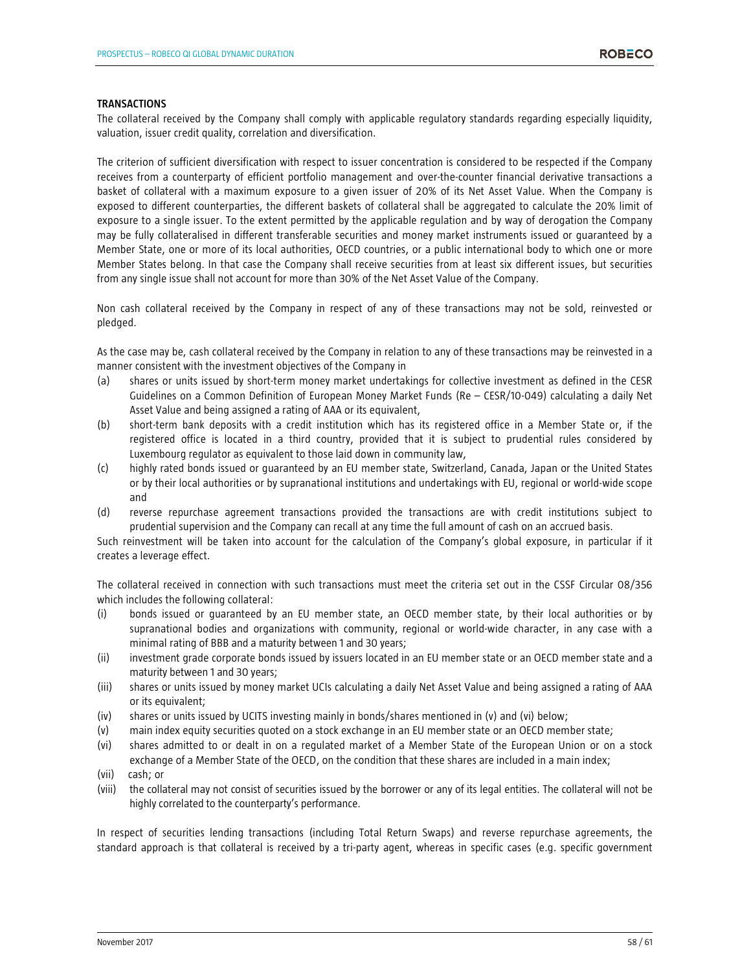#### **TRANSACTIONS**

The collateral received by the Company shall comply with applicable regulatory standards regarding especially liquidity, valuation, issuer credit quality, correlation and diversification.

The criterion of sufficient diversification with respect to issuer concentration is considered to be respected if the Company receives from a counterparty of efficient portfolio management and over-the-counter financial derivative transactions a basket of collateral with a maximum exposure to a given issuer of 20% of its Net Asset Value. When the Company is exposed to different counterparties, the different baskets of collateral shall be aggregated to calculate the 20% limit of exposure to a single issuer. To the extent permitted by the applicable regulation and by way of derogation the Company may be fully collateralised in different transferable securities and money market instruments issued or guaranteed by a Member State, one or more of its local authorities, OECD countries, or a public international body to which one or more Member States belong. In that case the Company shall receive securities from at least six different issues, but securities from any single issue shall not account for more than 30% of the Net Asset Value of the Company.

Non cash collateral received by the Company in respect of any of these transactions may not be sold, reinvested or pledged.

As the case may be, cash collateral received by the Company in relation to any of these transactions may be reinvested in a manner consistent with the investment objectives of the Company in

- (a) shares or units issued by short-term money market undertakings for collective investment as defined in the CESR Guidelines on a Common Definition of European Money Market Funds (Re – CESR/10-049) calculating a daily Net Asset Value and being assigned a rating of AAA or its equivalent,
- (b) short-term bank deposits with a credit institution which has its registered office in a Member State or, if the registered office is located in a third country, provided that it is subject to prudential rules considered by Luxembourg regulator as equivalent to those laid down in community law,
- (c) highly rated bonds issued or guaranteed by an EU member state, Switzerland, Canada, Japan or the United States or by their local authorities or by supranational institutions and undertakings with EU, regional or world-wide scope and
- (d) reverse repurchase agreement transactions provided the transactions are with credit institutions subject to prudential supervision and the Company can recall at any time the full amount of cash on an accrued basis.

Such reinvestment will be taken into account for the calculation of the Company's global exposure, in particular if it creates a leverage effect.

The collateral received in connection with such transactions must meet the criteria set out in the CSSF Circular 08/356 which includes the following collateral:

- (i) bonds issued or guaranteed by an EU member state, an OECD member state, by their local authorities or by supranational bodies and organizations with community, regional or world-wide character, in any case with a minimal rating of BBB and a maturity between 1 and 30 years;
- (ii) investment grade corporate bonds issued by issuers located in an EU member state or an OECD member state and a maturity between 1 and 30 years;
- (iii) shares or units issued by money market UCIs calculating a daily Net Asset Value and being assigned a rating of AAA or its equivalent;
- (iv) shares or units issued by UCITS investing mainly in bonds/shares mentioned in (v) and (vi) below;
- (v) main index equity securities quoted on a stock exchange in an EU member state or an OECD member state;
- (vi) shares admitted to or dealt in on a regulated market of a Member State of the European Union or on a stock exchange of a Member State of the OECD, on the condition that these shares are included in a main index;
- (vii) cash; or
- (viii) the collateral may not consist of securities issued by the borrower or any of its legal entities. The collateral will not be highly correlated to the counterparty's performance.

In respect of securities lending transactions (including Total Return Swaps) and reverse repurchase agreements, the standard approach is that collateral is received by a tri-party agent, whereas in specific cases (e.g. specific government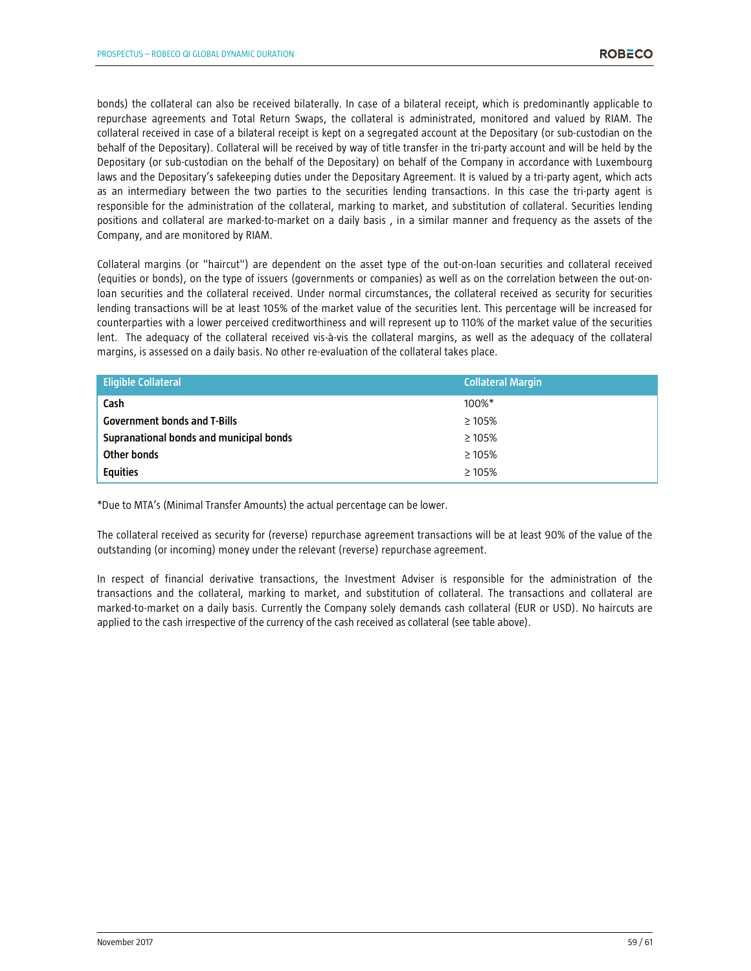bonds) the collateral can also be received bilaterally. In case of a bilateral receipt, which is predominantly applicable to repurchase agreements and Total Return Swaps, the collateral is administrated, monitored and valued by RIAM. The collateral received in case of a bilateral receipt is kept on a segregated account at the Depositary (or sub-custodian on the behalf of the Depositary). Collateral will be received by way of title transfer in the tri-party account and will be held by the Depositary (or sub-custodian on the behalf of the Depositary) on behalf of the Company in accordance with Luxembourg laws and the Depositary's safekeeping duties under the Depositary Agreement. It is valued by a tri-party agent, which acts as an intermediary between the two parties to the securities lending transactions. In this case the tri-party agent is responsible for the administration of the collateral, marking to market, and substitution of collateral. Securities lending positions and collateral are marked-to-market on a daily basis , in a similar manner and frequency as the assets of the Company, and are monitored by RIAM.

Collateral margins (or "haircut") are dependent on the asset type of the out-on-loan securities and collateral received (equities or bonds), on the type of issuers (governments or companies) as well as on the correlation between the out-onloan securities and the collateral received. Under normal circumstances, the collateral received as security for securities lending transactions will be at least 105% of the market value of the securities lent. This percentage will be increased for counterparties with a lower perceived creditworthiness and will represent up to 110% of the market value of the securities lent. The adequacy of the collateral received vis-à-vis the collateral margins, as well as the adequacy of the collateral margins, is assessed on a daily basis. No other re-evaluation of the collateral takes place.

| <b>Eligible Collateral</b>              | <b>Collateral Margin</b> |
|-----------------------------------------|--------------------------|
| Cash                                    | 100%*                    |
| <b>Government bonds and T-Bills</b>     | $\geq 105\%$             |
| Supranational bonds and municipal bonds | $\geq 105\%$             |
| Other bonds                             | $\geq 105\%$             |
| <b>Equities</b>                         | $\geq 105\%$             |

\*Due to MTA's (Minimal Transfer Amounts) the actual percentage can be lower.

The collateral received as security for (reverse) repurchase agreement transactions will be at least 90% of the value of the outstanding (or incoming) money under the relevant (reverse) repurchase agreement.

In respect of financial derivative transactions, the Investment Adviser is responsible for the administration of the transactions and the collateral, marking to market, and substitution of collateral. The transactions and collateral are marked-to-market on a daily basis. Currently the Company solely demands cash collateral (EUR or USD). No haircuts are applied to the cash irrespective of the currency of the cash received as collateral (see table above).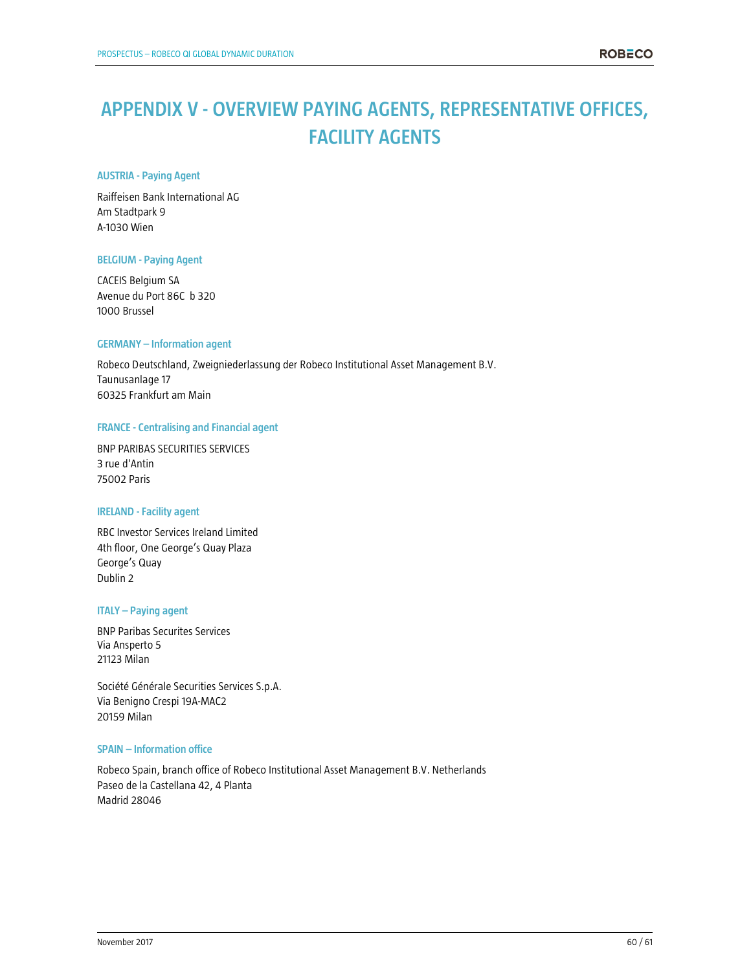# **APPENDIX V - OVERVIEW PAYING AGENTS, REPRESENTATIVE OFFICES, FACILITY AGENTS**

# **AUSTRIA - Paying Agent**

Raiffeisen Bank International AG Am Stadtpark 9 A-1030 Wien

# **BELGIUM - Paying Agent**

CACEIS Belgium SA Avenue du Port 86C b 320 1000 Brussel

# **GERMANY – Information agent**

Robeco Deutschland, Zweigniederlassung der Robeco Institutional Asset Management B.V. Taunusanlage 17 60325 Frankfurt am Main

#### **FRANCE - Centralising and Financial agent**

BNP PARIBAS SECURITIES SERVICES 3 rue d'Antin 75002 Paris

# **IRELAND - Facility agent**

RBC Investor Services Ireland Limited 4th floor, One George's Quay Plaza George's Quay Dublin 2

# **ITALY – Paying agent**

BNP Paribas Securites Services Via Ansperto 5 21123 Milan

Société Générale Securities Services S.p.A. Via Benigno Crespi 19A-MAC2 20159 Milan

# **SPAIN – Information office**

Robeco Spain, branch office of Robeco Institutional Asset Management B.V. Netherlands Paseo de la Castellana 42, 4 Planta Madrid 28046